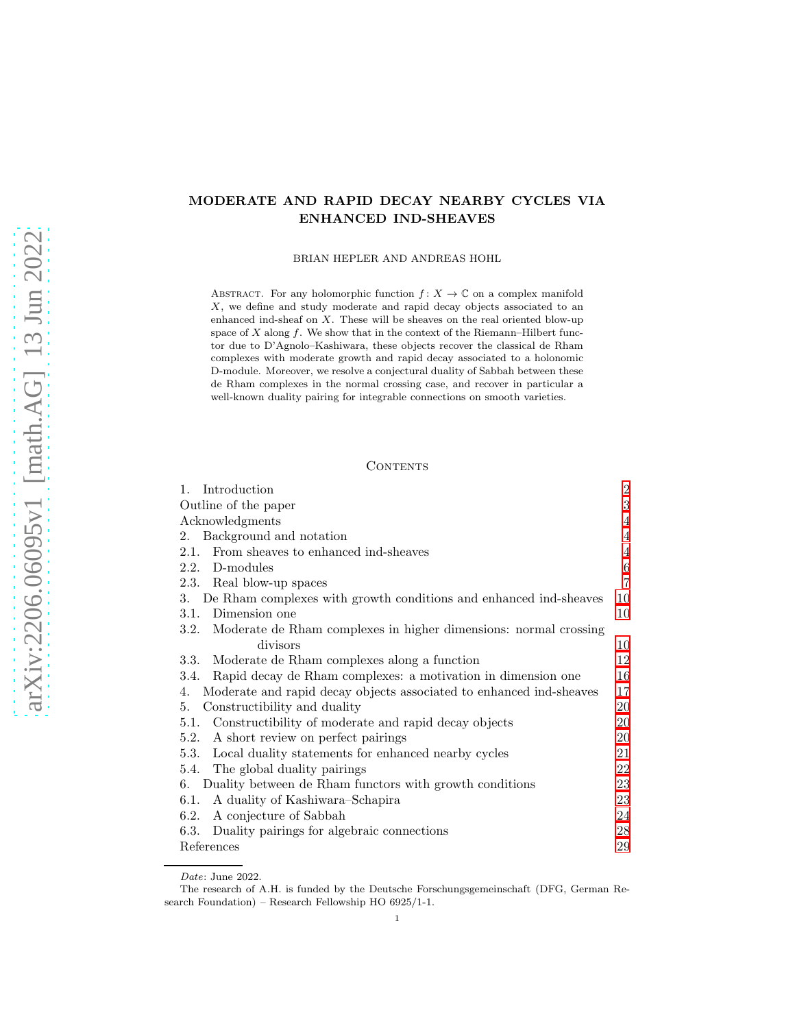# arXiv:2206.06095v1 [math.AG] 13 Jun 2022 [arXiv:2206.06095v1 \[math.AG\] 13 Jun 2022](http://arxiv.org/abs/2206.06095v1)

# MODERATE AND RAPID DECAY NEARBY CYCLES VIA ENHANCED IND-SHEAVES

BRIAN HEPLER AND ANDREAS HOHL

ABSTRACT. For any holomorphic function  $f: X \to \mathbb{C}$  on a complex manifold X, we define and study moderate and rapid decay objects associated to an enhanced ind-sheaf on X. These will be sheaves on the real oriented blow-up space of  $X$  along  $f$ . We show that in the context of the Riemann–Hilbert functor due to D'Agnolo–Kashiwara, these objects recover the classical de Rham complexes with moderate growth and rapid decay associated to a holonomic D-module. Moreover, we resolve a conjectural duality of Sabbah between these de Rham complexes in the normal crossing case, and recover in particular a well-known duality pairing for integrable connections on smooth varieties.

### CONTENTS

| Introduction<br>1.                                                        | $\overline{2}$ |
|---------------------------------------------------------------------------|----------------|
| Outline of the paper                                                      | $\sqrt{3}$     |
| Acknowledgments                                                           | $\overline{4}$ |
| Background and notation<br>2.                                             | $\overline{4}$ |
| From sheaves to enhanced ind-sheaves<br>2.1.                              | $\overline{4}$ |
| 2.2. D-modules                                                            | $\,6\,$        |
| 2.3. Real blow-up spaces                                                  | $\overline{7}$ |
| De Rham complexes with growth conditions and enhanced ind-sheaves<br>3.   | 10             |
| Dimension one<br>3.1.                                                     | 10             |
| 3.2. Moderate de Rham complexes in higher dimensions: normal crossing     |                |
| divisors                                                                  | 10             |
| 3.3. Moderate de Rham complexes along a function                          | 12             |
| Rapid decay de Rham complexes: a motivation in dimension one<br>3.4.      | 16             |
| Moderate and rapid decay objects associated to enhanced ind-sheaves<br>4. | 17             |
| Constructibility and duality<br>5.                                        | 20             |
| 5.1. Constructibility of moderate and rapid decay objects                 | 20             |
| A short review on perfect pairings<br>5.2.                                | 20             |
| Local duality statements for enhanced nearby cycles<br>5.3.               | 21             |
| 5.4. The global duality pairings                                          | 22             |
| Duality between de Rham functors with growth conditions<br>6.             | 23             |
| A duality of Kashiwara–Schapira<br>6.1.                                   | 23             |
| A conjecture of Sabbah<br>6.2.                                            | 24             |
| 6.3.<br>Duality pairings for algebraic connections                        | 28             |
| References                                                                | 29             |

Date: June 2022.

The research of A.H. is funded by the Deutsche Forschungsgemeinschaft (DFG, German Research Foundation) – Research Fellowship HO 6925/1-1.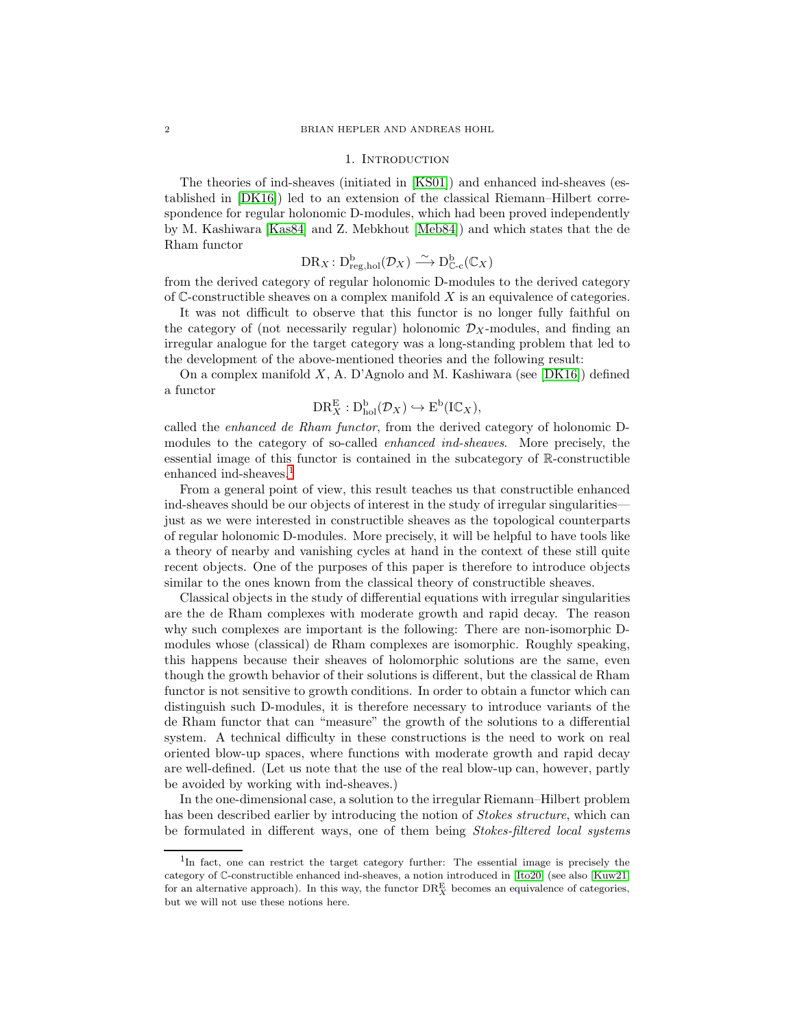### 1. INTRODUCTION

<span id="page-1-0"></span>The theories of ind-sheaves (initiated in [\[KS01\]](#page-29-0)) and enhanced ind-sheaves (established in [\[DK16\]](#page-29-1)) led to an extension of the classical Riemann–Hilbert correspondence for regular holonomic D-modules, which had been proved independently by M. Kashiwara [\[Kas84\]](#page-29-2) and Z. Mebkhout [\[Meb84\]](#page-29-3)) and which states that the de Rham functor

$$
\mathrm{DR}_X\colon \mathrm{D}^\mathrm{b}_{\mathrm{reg, hol}}(\mathcal{D}_X)\stackrel{\sim}{\longrightarrow} \mathrm{D}^\mathrm{b}_{\mathbb{C}\text{-}\mathrm{c}}(\mathbb{C}_X)
$$

from the derived category of regular holonomic D-modules to the derived category of  $\mathbb C$ -constructible sheaves on a complex manifold X is an equivalence of categories.

It was not difficult to observe that this functor is no longer fully faithful on the category of (not necessarily regular) holonomic  $\mathcal{D}_X$ -modules, and finding an irregular analogue for the target category was a long-standing problem that led to the development of the above-mentioned theories and the following result:

On a complex manifold  $X$ , A. D'Agnolo and M. Kashiwara (see [\[DK16\]](#page-29-1)) defined a functor

$$
\mathrm{DR}^{\mathrm{E}}_X : \mathrm{D}^{\mathrm{b}}_{\mathrm{hol}}(\mathcal{D}_X) \hookrightarrow \mathrm{E}^{\mathrm{b}}(\mathrm{I}\mathbb{C}_X),
$$

called the *enhanced de Rham functor*, from the derived category of holonomic Dmodules to the category of so-called *enhanced ind-sheaves*. More precisely, the essential image of this functor is contained in the subcategory of R-constructible enhanced ind-sheaves.<sup>[1](#page-1-1)</sup>

From a general point of view, this result teaches us that constructible enhanced ind-sheaves should be our objects of interest in the study of irregular singularities just as we were interested in constructible sheaves as the topological counterparts of regular holonomic D-modules. More precisely, it will be helpful to have tools like a theory of nearby and vanishing cycles at hand in the context of these still quite recent objects. One of the purposes of this paper is therefore to introduce objects similar to the ones known from the classical theory of constructible sheaves.

Classical objects in the study of differential equations with irregular singularities are the de Rham complexes with moderate growth and rapid decay. The reason why such complexes are important is the following: There are non-isomorphic Dmodules whose (classical) de Rham complexes are isomorphic. Roughly speaking, this happens because their sheaves of holomorphic solutions are the same, even though the growth behavior of their solutions is different, but the classical de Rham functor is not sensitive to growth conditions. In order to obtain a functor which can distinguish such D-modules, it is therefore necessary to introduce variants of the de Rham functor that can "measure" the growth of the solutions to a differential system. A technical difficulty in these constructions is the need to work on real oriented blow-up spaces, where functions with moderate growth and rapid decay are well-defined. (Let us note that the use of the real blow-up can, however, partly be avoided by working with ind-sheaves.)

In the one-dimensional case, a solution to the irregular Riemann–Hilbert problem has been described earlier by introducing the notion of *Stokes structure*, which can be formulated in different ways, one of them being *Stokes-filtered local systems*

<span id="page-1-1"></span><sup>&</sup>lt;sup>1</sup>In fact, one can restrict the target category further: The essential image is precisely the category of C-constructible enhanced ind-sheaves, a notion introduced in [\[Ito20\]](#page-29-4) (see also [\[Kuw21\]](#page-29-5) for an alternative approach). In this way, the functor  $\text{DR}_X^{\text{E}}$  becomes an equivalence of categories, but we will not use these notions here.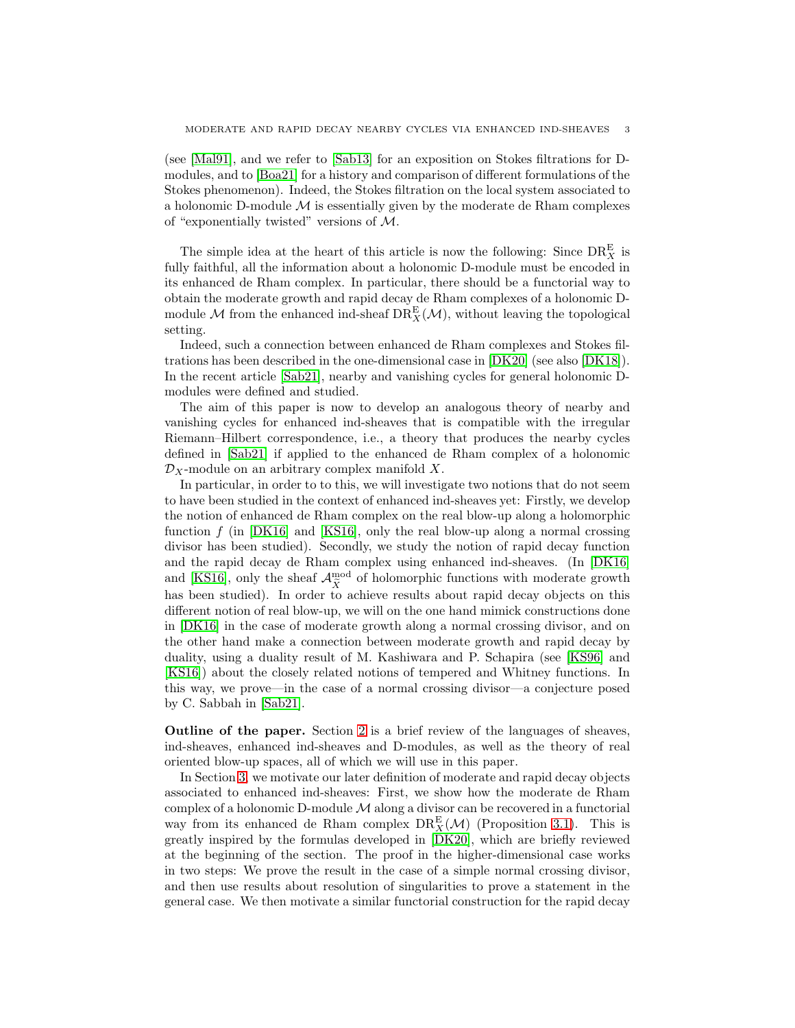(see [\[Mal91\]](#page-29-6), and we refer to [\[Sab13\]](#page-29-7) for an exposition on Stokes filtrations for Dmodules, and to [\[Boa21\]](#page-28-1) for a history and comparison of different formulations of the Stokes phenomenon). Indeed, the Stokes filtration on the local system associated to a holonomic D-module  $M$  is essentially given by the moderate de Rham complexes of "exponentially twisted" versions of  $M$ .

The simple idea at the heart of this article is now the following: Since  $\text{DR}_X^{\text{E}}$  is fully faithful, all the information about a holonomic D-module must be encoded in its enhanced de Rham complex. In particular, there should be a functorial way to obtain the moderate growth and rapid decay de Rham complexes of a holonomic Dmodule M from the enhanced ind-sheaf  $\text{DR}_X^{\text{E}}(\mathcal{M})$ , without leaving the topological setting.

Indeed, such a connection between enhanced de Rham complexes and Stokes filtrations has been described in the one-dimensional case in [\[DK20\]](#page-29-8) (see also [\[DK18\]](#page-29-9)). In the recent article [\[Sab21\]](#page-30-0), nearby and vanishing cycles for general holonomic Dmodules were defined and studied.

The aim of this paper is now to develop an analogous theory of nearby and vanishing cycles for enhanced ind-sheaves that is compatible with the irregular Riemann–Hilbert correspondence, i.e., a theory that produces the nearby cycles defined in [\[Sab21\]](#page-30-0) if applied to the enhanced de Rham complex of a holonomic  $\mathcal{D}_X$ -module on an arbitrary complex manifold X.

In particular, in order to to this, we will investigate two notions that do not seem to have been studied in the context of enhanced ind-sheaves yet: Firstly, we develop the notion of enhanced de Rham complex on the real blow-up along a holomorphic function f (in  $[DK16]$  and  $[KS16]$ , only the real blow-up along a normal crossing divisor has been studied). Secondly, we study the notion of rapid decay function and the rapid decay de Rham complex using enhanced ind-sheaves. (In [\[DK16\]](#page-29-1) and [\[KS16\]](#page-29-10), only the sheaf  $\mathcal{A}^{\text{mod}}_{\tilde{X}}$  of holomorphic functions with moderate growth has been studied). In order to achieve results about rapid decay objects on this different notion of real blow-up, we will on the one hand mimick constructions done in [\[DK16\]](#page-29-1) in the case of moderate growth along a normal crossing divisor, and on the other hand make a connection between moderate growth and rapid decay by duality, using a duality result of M. Kashiwara and P. Schapira (see [\[KS96\]](#page-29-11) and [\[KS16\]](#page-29-10)) about the closely related notions of tempered and Whitney functions. In this way, we prove—in the case of a normal crossing divisor—a conjecture posed by C. Sabbah in [\[Sab21\]](#page-30-0).

<span id="page-2-0"></span>Outline of the paper. Section [2](#page-3-1) is a brief review of the languages of sheaves, ind-sheaves, enhanced ind-sheaves and D-modules, as well as the theory of real oriented blow-up spaces, all of which we will use in this paper.

In Section [3,](#page-9-0) we motivate our later definition of moderate and rapid decay objects associated to enhanced ind-sheaves: First, we show how the moderate de Rham complex of a holonomic D-module  $M$  along a divisor can be recovered in a functorial way from its enhanced de Rham complex  $DR_X^E(\mathcal{M})$  (Proposition [3.1\)](#page-10-0). This is greatly inspired by the formulas developed in [\[DK20\]](#page-29-8), which are briefly reviewed at the beginning of the section. The proof in the higher-dimensional case works in two steps: We prove the result in the case of a simple normal crossing divisor, and then use results about resolution of singularities to prove a statement in the general case. We then motivate a similar functorial construction for the rapid decay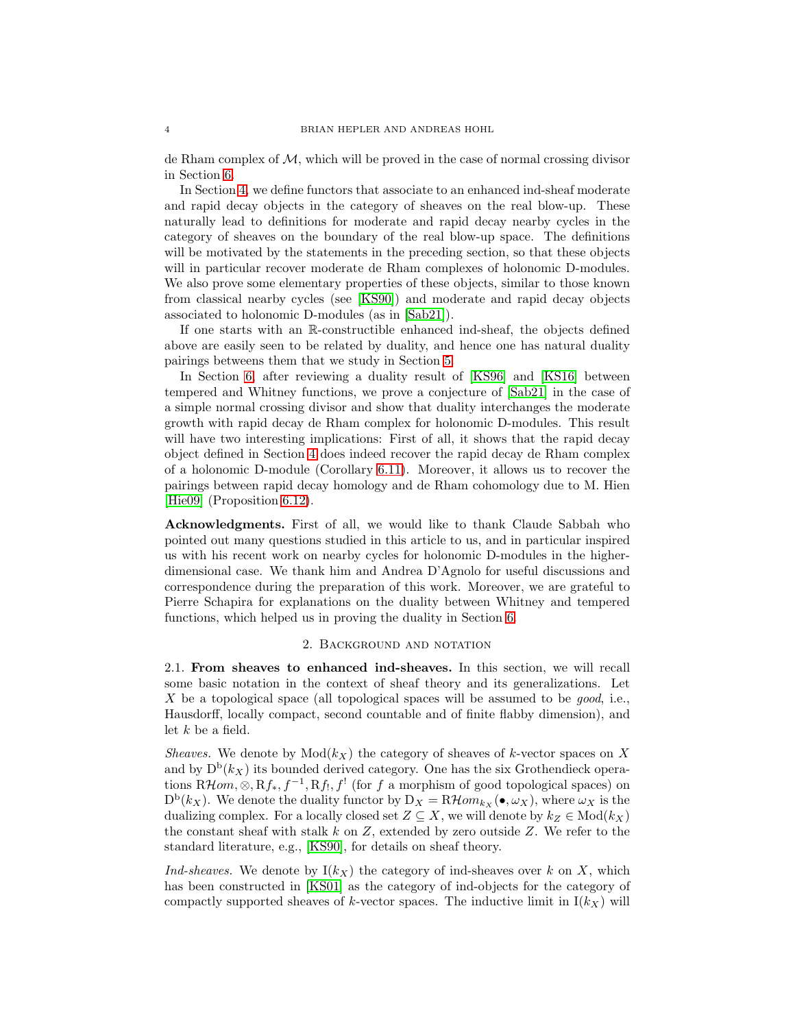de Rham complex of M, which will be proved in the case of normal crossing divisor in Section [6.](#page-22-0)

In Section [4,](#page-16-0) we define functors that associate to an enhanced ind-sheaf moderate and rapid decay objects in the category of sheaves on the real blow-up. These naturally lead to definitions for moderate and rapid decay nearby cycles in the category of sheaves on the boundary of the real blow-up space. The definitions will be motivated by the statements in the preceding section, so that these objects will in particular recover moderate de Rham complexes of holonomic D-modules. We also prove some elementary properties of these objects, similar to those known from classical nearby cycles (see [\[KS90\]](#page-29-12)) and moderate and rapid decay objects associated to holonomic D-modules (as in [\[Sab21\]](#page-30-0)).

If one starts with an R-constructible enhanced ind-sheaf, the objects defined above are easily seen to be related by duality, and hence one has natural duality pairings betweens them that we study in Section [5.](#page-19-0)

In Section [6,](#page-22-0) after reviewing a duality result of [\[KS96\]](#page-29-11) and [\[KS16\]](#page-29-10) between tempered and Whitney functions, we prove a conjecture of [\[Sab21\]](#page-30-0) in the case of a simple normal crossing divisor and show that duality interchanges the moderate growth with rapid decay de Rham complex for holonomic D-modules. This result will have two interesting implications: First of all, it shows that the rapid decay object defined in Section [4](#page-16-0) does indeed recover the rapid decay de Rham complex of a holonomic D-module (Corollary [6.11\)](#page-27-1). Moreover, it allows us to recover the pairings between rapid decay homology and de Rham cohomology due to M. Hien [\[Hie09\]](#page-29-13) (Proposition [6.12\)](#page-28-2).

<span id="page-3-0"></span>Acknowledgments. First of all, we would like to thank Claude Sabbah who pointed out many questions studied in this article to us, and in particular inspired us with his recent work on nearby cycles for holonomic D-modules in the higherdimensional case. We thank him and Andrea D'Agnolo for useful discussions and correspondence during the preparation of this work. Moreover, we are grateful to Pierre Schapira for explanations on the duality between Whitney and tempered functions, which helped us in proving the duality in Section [6.](#page-22-0)

### 2. Background and notation

<span id="page-3-2"></span><span id="page-3-1"></span>2.1. From sheaves to enhanced ind-sheaves. In this section, we will recall some basic notation in the context of sheaf theory and its generalizations. Let X be a topological space (all topological spaces will be assumed to be *good*, i.e., Hausdorff, locally compact, second countable and of finite flabby dimension), and let  $k$  be a field.

*Sheaves.* We denote by  $Mod(k_X)$  the category of sheaves of k-vector spaces on X and by  $D^b(k_X)$  its bounded derived category. One has the six Grothendieck operations  $R\mathcal{H}$ *om*,  $\otimes$ ,  $Rf_*, f^{-1}, Rf_!, f'$  (for f a morphism of good topological spaces) on  $D^b(k_X)$ . We denote the duality functor by  $D_X = R\mathcal{H}om_{k_X}(\bullet, \omega_X)$ , where  $\omega_X$  is the dualizing complex. For a locally closed set  $Z \subseteq X$ , we will denote by  $k_Z \in Mod(k_X)$ the constant sheaf with stalk  $k$  on  $Z$ , extended by zero outside  $Z$ . We refer to the standard literature, e.g., [\[KS90\]](#page-29-12), for details on sheaf theory.

*Ind-sheaves.* We denote by  $I(k_X)$  the category of ind-sheaves over k on X, which has been constructed in [\[KS01\]](#page-29-0) as the category of ind-objects for the category of compactly supported sheaves of k-vector spaces. The inductive limit in  $I(k_X)$  will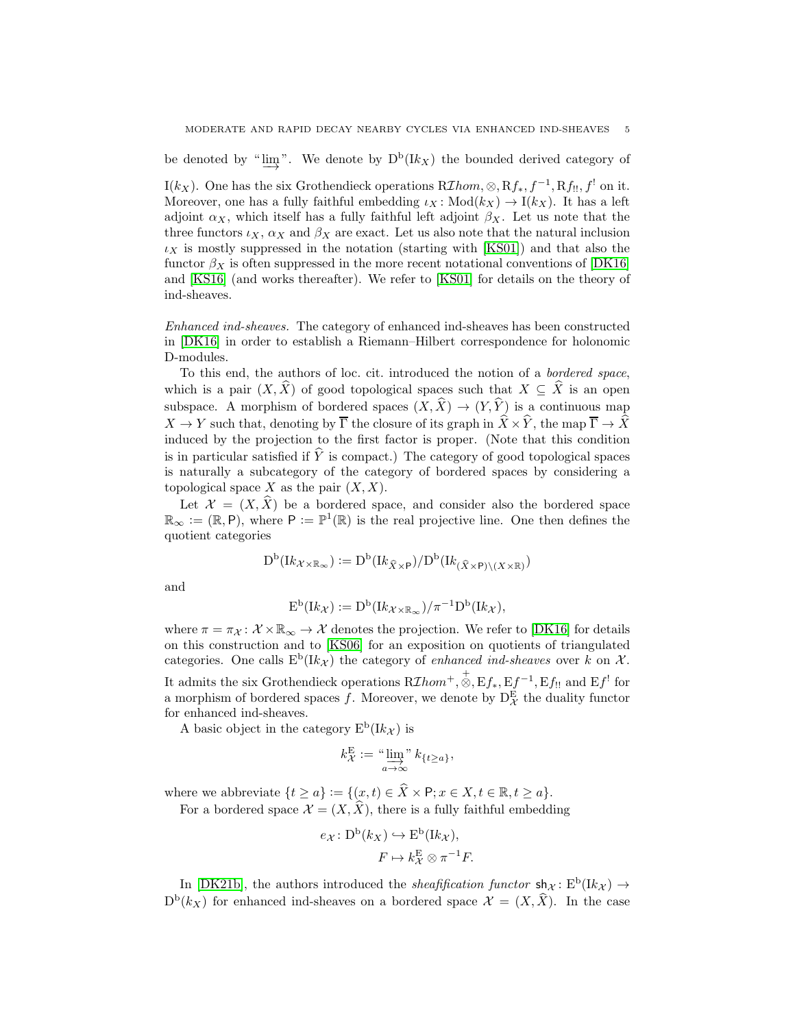be denoted by " $\varinjlim$ ". We denote by  $D^b(Ik_X)$  the bounded derived category of

I( $k_X$ ). One has the six Grothendieck operations  $R\mathcal{I}hom, \otimes, Rf_*, f^{-1}, Rf_{!!}, f^{!}$  on it. Moreover, one has a fully faithful embedding  $\iota_X : Mod(k_X) \to I(k_X)$ . It has a left adjoint  $\alpha_X$ , which itself has a fully faithful left adjoint  $\beta_X$ . Let us note that the three functors  $\iota_X$ ,  $\alpha_X$  and  $\beta_X$  are exact. Let us also note that the natural inclusion  $\iota_X$  is mostly suppressed in the notation (starting with [\[KS01\]](#page-29-0)) and that also the functor  $\beta_X$  is often suppressed in the more recent notational conventions of [\[DK16\]](#page-29-1) and [\[KS16\]](#page-29-10) (and works thereafter). We refer to [\[KS01\]](#page-29-0) for details on the theory of ind-sheaves.

*Enhanced ind-sheaves.* The category of enhanced ind-sheaves has been constructed in [\[DK16\]](#page-29-1) in order to establish a Riemann–Hilbert correspondence for holonomic D-modules.

To this end, the authors of loc. cit. introduced the notion of a *bordered space*, which is a pair  $(X,\widehat{X})$  of good topological spaces such that  $X \subseteq \widehat{X}$  is an open subspace. A morphism of bordered spaces  $(X, \hat{X}) \to (Y, \hat{Y})$  is a continuous map  $X \to Y$  such that, denoting by  $\overline{\Gamma}$  the closure of its graph in  $\hat{X} \times \hat{Y}$ , the map  $\overline{\Gamma} \to \hat{X}$ induced by the projection to the first factor is proper. (Note that this condition is in particular satisfied if  $\hat{Y}$  is compact.) The category of good topological spaces is naturally a subcategory of the category of bordered spaces by considering a topological space X as the pair  $(X, X)$ .

Let  $\mathcal{X} = (X, \overline{X})$  be a bordered space, and consider also the bordered space  $\mathbb{R}_{\infty} := (\mathbb{R}, \mathsf{P})$ , where  $\mathsf{P} := \mathbb{P}^1(\mathbb{R})$  is the real projective line. One then defines the quotient categories

$$
\mathcal{D}^{\mathrm{b}}(\mathcal{I}k_{\mathcal{X}\times\mathbb{R}_{\infty}}):=\mathcal{D}^{\mathrm{b}}(\mathcal{I}k_{\widehat{X}\times\mathsf{P}})/\mathcal{D}^{\mathrm{b}}(\mathcal{I}k_{(\widehat{X}\times\mathsf{P})\backslash(X\times\mathbb{R})})
$$

and

$$
E^{b}(Ik_{\mathcal{X}}) := D^{b}(Ik_{\mathcal{X} \times \mathbb{R}_{\infty}})/\pi^{-1}D^{b}(Ik_{\mathcal{X}}),
$$

where  $\pi = \pi_{\mathcal{X}} : \mathcal{X} \times \mathbb{R}_{\infty} \to \mathcal{X}$  denotes the projection. We refer to [\[DK16\]](#page-29-1) for details on this construction and to [\[KS06\]](#page-29-14) for an exposition on quotients of triangulated categories. One calls  $E^b(Ik_{\mathcal{X}})$  the category of *enhanced ind-sheaves* over k on X. It admits the six Grothendieck operations  $R\mathcal{I}hom^+, \overset{+}{\otimes}, \mathrm{E}f_*, \mathrm{E}f^{-1}, \mathrm{E}f_{!!}$  and  $\mathrm{E}f^!$  for a morphism of bordered spaces f. Moreover, we denote by  $D_{\mathcal{X}}^{\mathcal{E}}$  the duality functor for enhanced ind-sheaves.

A basic object in the category  $E^b(Ik\chi)$  is

$$
k_{\mathcal{X}}^{\mathcal{E}} := \lim_{a \to \infty} k_{\{t \geq a\}},
$$

where we abbreviate  $\{t \ge a\} := \{ (x, t) \in \widehat{X} \times \mathsf{P}; x \in X, t \in \mathbb{R}, t \ge a \}.$ 

For a bordered space 
$$
\mathcal{X} = (X, X)
$$
, there is a fully faithful embedding

$$
e_{\mathcal{X}} \colon \mathcal{D}^{\mathcal{b}}(k_X) \hookrightarrow \mathcal{E}^{\mathcal{b}}(\mathcal{R}_{\mathcal{X}}),
$$

$$
F \mapsto k_{\mathcal{X}}^{\mathcal{E}} \otimes \pi^{-1}F.
$$

In [\[DK21b\]](#page-29-15), the authors introduced the *sheafification functor*  $\sh_{\mathcal{X}}: E^b(Ik_{\mathcal{X}}) \to$  $D^b(k_X)$  for enhanced ind-sheaves on a bordered space  $\mathcal{X} = (X, \hat{X})$ . In the case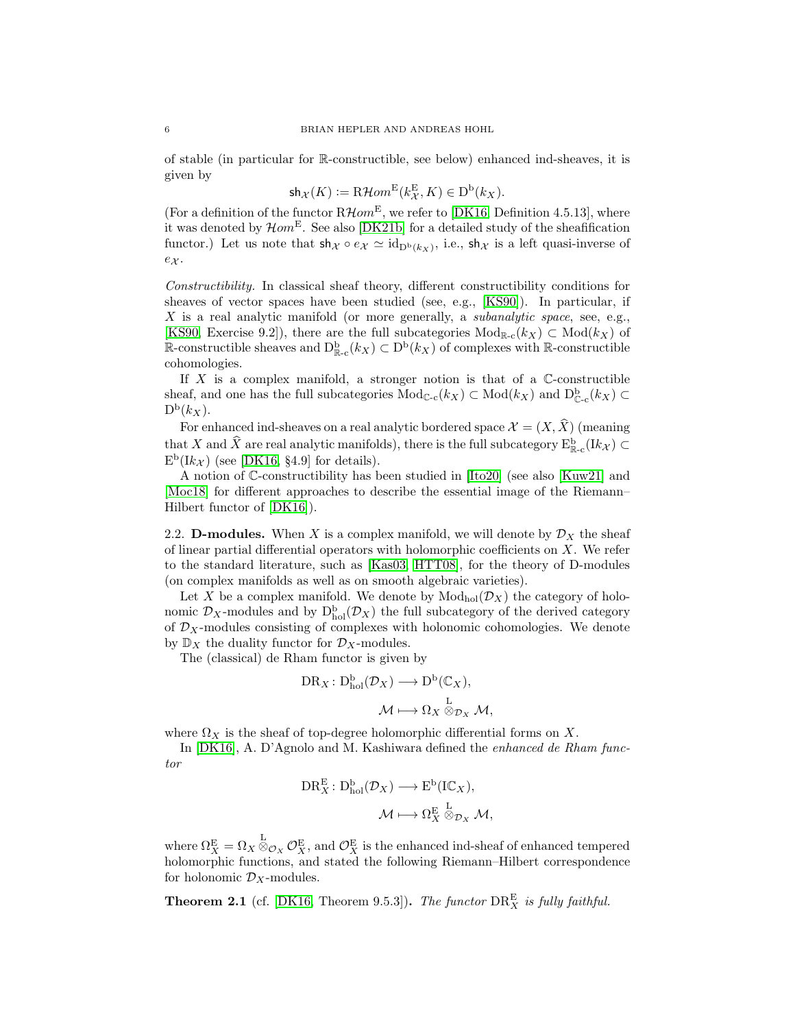of stable (in particular for R-constructible, see below) enhanced ind-sheaves, it is given by

$$
\mathsf{sh}_{\mathcal{X}}(K) := \mathbf{R}\mathcal{H}om^{\mathcal{E}}(k_{\mathcal{X}}^{\mathcal{E}}, K) \in \mathcal{D}^{\mathcal{b}}(k_{X}).
$$

(For a definition of the functor  $\mathbb{R}$  Hom<sup>E</sup>, we refer to [\[DK16,](#page-29-1) Definition 4.5.13], where it was denoted by  $\mathcal{H}om^{\mathcal{E}}$ . See also [\[DK21b\]](#page-29-15) for a detailed study of the sheafification functor.) Let us note that  $\mathsf{sh}_{\mathcal{X}} \circ e_{\mathcal{X}} \simeq \mathrm{id}_{D^b(k_{\mathcal{X}})}$ , i.e.,  $\mathsf{sh}_{\mathcal{X}}$  is a left quasi-inverse of  $e_{\mathcal{X}}$ .

*Constructibility.* In classical sheaf theory, different constructibility conditions for sheaves of vector spaces have been studied (see, e.g., [\[KS90\]](#page-29-12)). In particular, if X is a real analytic manifold (or more generally, a *subanalytic space*, see, e.g., [\[KS90,](#page-29-12) Exercise 9.2]), there are the full subcategories  $Mod_{\mathbb{R}_{\mathbb{C}}}(k_X) \subset Mod(k_X)$  of R-constructible sheaves and  $D_{\mathbb{R}-c}^{b}(k_X) \subset D^{b}(k_X)$  of complexes with R-constructible cohomologies.

If  $X$  is a complex manifold, a stronger notion is that of a  $\mathbb C$ -constructible sheaf, and one has the full subcategories  $Mod_{\mathbb{C}\text{-c}}(k_X) \subset Mod(k_X)$  and  $D^b_{\mathbb{C}\text{-c}}(k_X) \subset$  $D^{\mathrm{b}}(k_X)$ .

For enhanced ind-sheaves on a real analytic bordered space  $\mathcal{X} = (X, \widehat{X})$  (meaning that X and  $\hat{X}$  are real analytic manifolds), there is the full subcategory  $E_{\mathbb{R}-c}^{\text{b}}(Ik_{\mathcal{X}}) \subset$  $E<sup>b</sup>(Ik<sub>\mathcal{X}</sub>)$  (see [\[DK16,](#page-29-1) §4.9] for details).

A notion of C-constructibility has been studied in [\[Ito20\]](#page-29-4) (see also [\[Kuw21\]](#page-29-5) and [\[Moc18\]](#page-29-16) for different approaches to describe the essential image of the Riemann– Hilbert functor of [\[DK16\]](#page-29-1)).

<span id="page-5-0"></span>2.2. **D-modules.** When X is a complex manifold, we will denote by  $\mathcal{D}_X$  the sheaf of linear partial differential operators with holomorphic coefficients on X. We refer to the standard literature, such as [\[Kas03,](#page-29-17) [HTT08\]](#page-29-18), for the theory of D-modules (on complex manifolds as well as on smooth algebraic varieties).

Let X be a complex manifold. We denote by  $Mod_{hol}(\mathcal{D}_X)$  the category of holonomic  $\mathcal{D}_X$ -modules and by  $D_{hol}^b(\mathcal{D}_X)$  the full subcategory of the derived category of  $\mathcal{D}_X\text{-modules consisting of complexes with holonomic cohomologies. We denote$ by  $\mathbb{D}_X$  the duality functor for  $\mathcal{D}_X$ -modules.

The (classical) de Rham functor is given by

$$
DR_X: D_{hol}^b(\mathcal{D}_X) \longrightarrow D^b(\mathbb{C}_X),
$$

$$
\mathcal{M} \longmapsto \Omega_X \overset{L}{\otimes}_{\mathcal{D}_X} \mathcal{M},
$$

where  $\Omega_X$  is the sheaf of top-degree holomorphic differential forms on X.

In [\[DK16\]](#page-29-1), A. D'Agnolo and M. Kashiwara defined the *enhanced de Rham functor*

$$
DR_X^{\mathcal{E}}\colon D_{hol}^{\mathcal{b}}(\mathcal{D}_X)\longrightarrow E^{\mathcal{b}}(IC_X),
$$

$$
\mathcal{M}\longmapsto \Omega_X^{\mathcal{E}}\overset{L}{\otimes}_{\mathcal{D}_X}\mathcal{M},
$$

where  $\Omega_X^{\rm E} = \Omega_X \otimes_{\mathcal{O}_X} \mathcal{O}_X^{\rm E}$ , and  $\mathcal{O}_X^{\rm E}$  is the enhanced ind-sheaf of enhanced tempered holomorphic functions, and stated the following Riemann–Hilbert correspondence for holonomic  $\mathcal{D}_X$ -modules.

**Theorem 2.1** (cf. [\[DK16,](#page-29-1) Theorem 9.5.3]). *The functor*  $\text{DR}_X^{\text{E}}$  *is fully faithful.*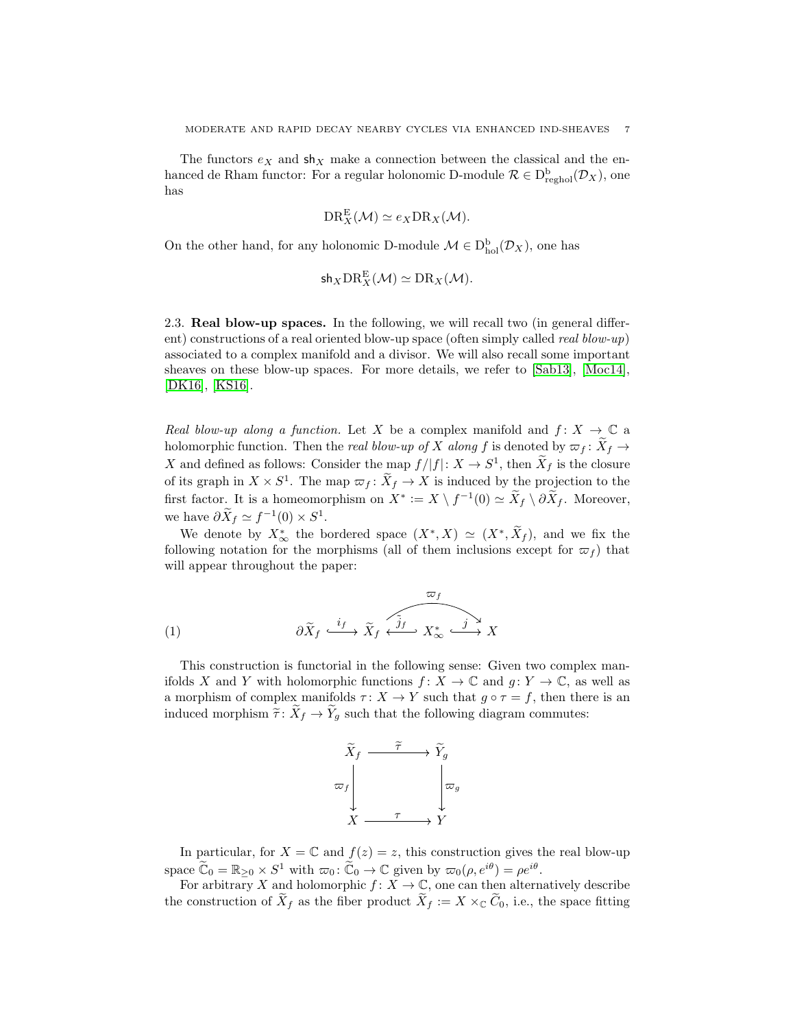The functors  $e_X$  and sh<sub>X</sub> make a connection between the classical and the enhanced de Rham functor: For a regular holonomic D-module  $\mathcal{R} \in D^{\text{b}}_{\text{reghol}}(\mathcal{D}_X)$ , one has

$$
\mathrm{DR}_{X}^{\mathrm{E}}(\mathcal{M}) \simeq e_X \mathrm{DR}_X(\mathcal{M}).
$$

On the other hand, for any holonomic D-module  $\mathcal{M} \in D_{hol}^{b}(\mathcal{D}_{X})$ , one has

$$
\mathsf{sh}_X \mathrm{DR}_X^{\mathrm{E}}(\mathcal{M}) \simeq \mathrm{DR}_X(\mathcal{M}).
$$

<span id="page-6-0"></span>2.3. Real blow-up spaces. In the following, we will recall two (in general different) constructions of a real oriented blow-up space (often simply called *real blow-up*) associated to a complex manifold and a divisor. We will also recall some important sheaves on these blow-up spaces. For more details, we refer to [\[Sab13\]](#page-29-7), [\[Moc14\]](#page-29-19), [\[DK16\]](#page-29-1), [\[KS16\]](#page-29-10).

*Real blow-up along a function.* Let X be a complex manifold and  $f: X \to \mathbb{C}$  a holomorphic function. Then the *real blow-up of* X along f is denoted by  $\varpi_f : X_f \to$ X and defined as follows: Consider the map  $f/|f|: X \to S^1$ , then  $\widetilde{X}_f$  is the closure of its graph in  $X \times S^1$ . The map  $\varpi_f : X_f \to X$  is induced by the projection to the first factor. It is a homeomorphism on  $X^* := X \setminus f^{-1}(0) \simeq \tilde{X}_f \setminus \partial \tilde{X}_f$ . Moreover, we have  $\partial \tilde{X}_f \simeq f^{-1}(0) \times S^1$ .

We denote by  $X^*_{\infty}$  the bordered space  $(X^*, X) \simeq (X^*, \overline{X}_f)$ , and we fix the following notation for the morphisms (all of them inclusions except for  $\varpi_f$ ) that will appear throughout the paper:

(1) 
$$
\partial \widetilde{X}_f \xrightarrow{i_f} \widetilde{X}_f \xleftarrow{j_f} X_{\infty}^* \xrightarrow{j} X
$$

This construction is functorial in the following sense: Given two complex manifolds X and Y with holomorphic functions  $f: X \to \mathbb{C}$  and  $q: Y \to \mathbb{C}$ , as well as a morphism of complex manifolds  $\tau: X \to Y$  such that  $g \circ \tau = f$ , then there is an induced morphism  $\tilde{\tau}: \tilde{X}_f \to \tilde{Y}_g$  such that the following diagram commutes:

<span id="page-6-1"></span>

In particular, for  $X = \mathbb{C}$  and  $f(z) = z$ , this construction gives the real blow-up space  $\widetilde{\mathbb{C}}_0 = \mathbb{R}_{\geq 0} \times S^1$  with  $\varpi_0 \colon \widetilde{\mathbb{C}}_0 \to \mathbb{C}$  given by  $\varpi_0(\rho, e^{i\theta}) = \rho e^{i\theta}$ .

For arbitrary X and holomorphic  $f: X \to \mathbb{C}$ , one can then alternatively describe the construction of  $X_f$  as the fiber product  $X_f := X \times_{\mathbb{C}} C_0$ , i.e., the space fitting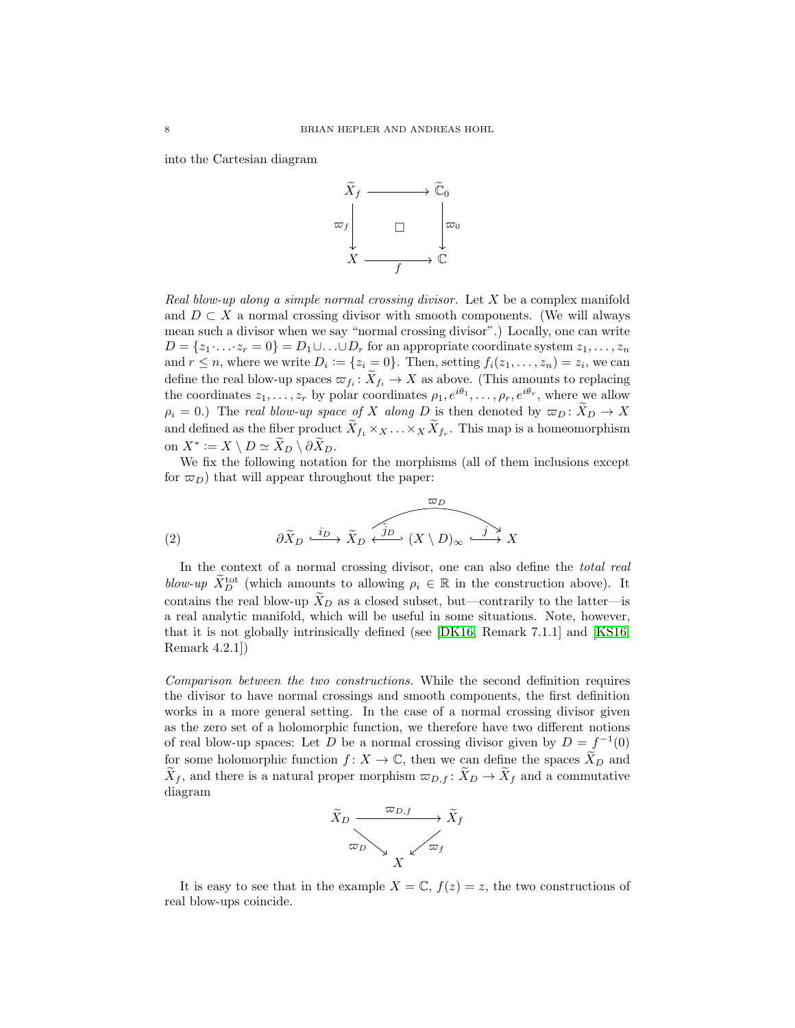into the Cartesian diagram



*Real blow-up along a simple normal crossing divisor.* Let X be a complex manifold and  $D \subset X$  a normal crossing divisor with smooth components. (We will always mean such a divisor when we say "normal crossing divisor".) Locally, one can write  $D = \{z_1 \cdot \ldots \cdot z_r = 0\} = D_1 \cup \ldots \cup D_r$  for an appropriate coordinate system  $z_1, \ldots, z_n$ and  $r \leq n$ , where we write  $D_i := \{z_i = 0\}$ . Then, setting  $f_i(z_1, \ldots, z_n) = z_i$ , we can define the real blow-up spaces  $\varpi_{f_i}: X_{f_i} \to X$  as above. (This amounts to replacing the coordinates  $z_1, \ldots, z_r$  by polar coordinates  $\rho_1, e^{i\theta_1}, \ldots, \rho_r, e^{i\theta_r}$ , where we allow  $\rho_i = 0$ .) The *real blow-up space of* X *along* D is then denoted by  $\varpi_D : X_D \to X$ and defined as the fiber product  $X_{f_1} \times_X \ldots \times_X X_{f_r}$ . This map is a homeomorphism on  $X^* := X \setminus D \simeq \widetilde{X}_D \setminus \partial \widetilde{X}_D.$ 

We fix the following notation for the morphisms (all of them inclusions except for  $\varpi_D$ ) that will appear throughout the paper:

(2) 
$$
\frac{\varpi_D}{\partial \tilde{X}_D \xrightarrow{i_D} \tilde{X}_D \xrightarrow{\tilde{j}_D} (X \setminus D)_{\infty} \xrightarrow{j}_{X} X}
$$

<span id="page-7-0"></span>In the context of a normal crossing divisor, one can also define the *total real* blow-up  $\widetilde{X}_D^{\text{tot}}$  (which amounts to allowing  $\rho_i \in \mathbb{R}$  in the construction above). It contains the real blow-up  $\tilde{X}_D$  as a closed subset, but—contrarily to the latter—is a real analytic manifold, which will be useful in some situations. Note, however, that it is not globally intrinsically defined (see [\[DK16,](#page-29-1) Remark 7.1.1] and [\[KS16,](#page-29-10) Remark 4.2.1])

*Comparison between the two constructions.* While the second definition requires the divisor to have normal crossings and smooth components, the first definition works in a more general setting. In the case of a normal crossing divisor given as the zero set of a holomorphic function, we therefore have two different notions of real blow-up spaces: Let D be a normal crossing divisor given by  $D = f^{-1}(0)$ for some holomorphic function  $f: X \to \mathbb{C}$ , then we can define the spaces  $\widetilde{X}_D$  and  $X_f$ , and there is a natural proper morphism  $\varpi_{D,f}: X_D \to X_f$  and a commutative diagram



It is easy to see that in the example  $X = \mathbb{C}$ ,  $f(z) = z$ , the two constructions of real blow-ups coincide.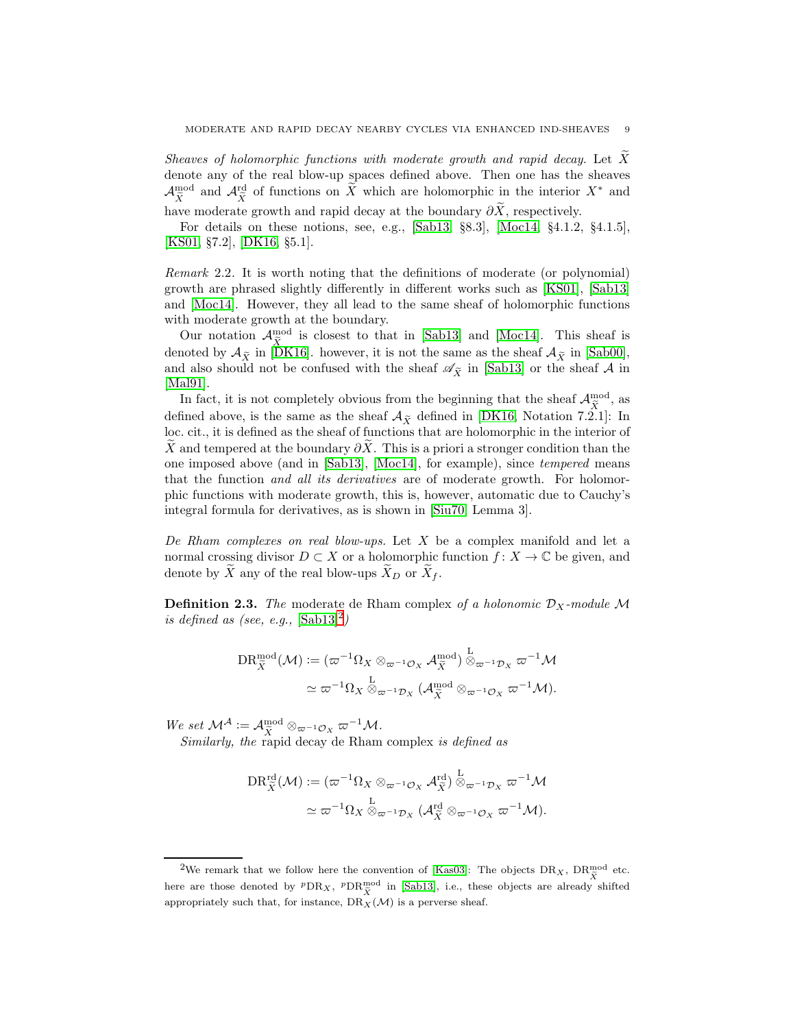*Sheaves of holomorphic functions with moderate growth and rapid decay.* Let X denote any of the real blow-up spaces defined above. Then one has the sheaves  $\mathcal{A}^{\text{mod}}_{\tilde{X}}$  and  $\mathcal{A}^{\text{rd}}_{\tilde{X}}$  of functions on  $\tilde{X}$  which are holomorphic in the interior  $X^*$  and have moderate growth and rapid decay at the boundary  $\partial \widetilde{X}$ , respectively.

For details on these notions, see, e.g., [\[Sab13,](#page-29-7) §8.3], [\[Moc14,](#page-29-19) §4.1.2, §4.1.5], [\[KS01,](#page-29-0) §7.2], [\[DK16,](#page-29-1) §5.1].

*Remark* 2.2*.* It is worth noting that the definitions of moderate (or polynomial) growth are phrased slightly differently in different works such as [\[KS01\]](#page-29-0), [\[Sab13\]](#page-29-7) and [\[Moc14\]](#page-29-19). However, they all lead to the same sheaf of holomorphic functions with moderate growth at the boundary.

Our notation  $\mathcal{A}_{\tilde{X}}^{\text{mod}}$  is closest to that in [\[Sab13\]](#page-29-7) and [\[Moc14\]](#page-29-19). This sheaf is denoted by  $\mathcal{A}_{\tilde{X}}$  in [\[DK16\]](#page-29-1). however, it is not the same as the sheaf  $\mathcal{A}_{\tilde{X}}$  in [\[Sab00\]](#page-29-20), and also should not be confused with the sheaf  $\mathscr{A}_{\widetilde{X}}$  in [\[Sab13\]](#page-29-7) or the sheaf A in [\[Mal91\]](#page-29-6).

In fact, it is not completely obvious from the beginning that the sheaf  $\mathcal{A}_{\tilde{X}}^{\text{mod}}$ , as defined above, is the same as the sheaf  $A_{\tilde{X}}$  defined in [\[DK16,](#page-29-1) Notation 7.2.1]: In loc. cit., it is defined as the sheaf of functions that are holomorphic in the interior of X and tempered at the boundary  $\partial X$ . This is a priori a stronger condition than the one imposed above (and in [\[Sab13\]](#page-29-7), [\[Moc14\]](#page-29-19), for example), since *tempered* means that the function *and all its derivatives* are of moderate growth. For holomorphic functions with moderate growth, this is, however, automatic due to Cauchy's integral formula for derivatives, as is shown in [\[Siu70,](#page-30-1) Lemma 3].

*De Rham complexes on real blow-ups.* Let X be a complex manifold and let a normal crossing divisor  $D \subset X$  or a holomorphic function  $f: X \to \mathbb{C}$  be given, and denote by  $\overline{X}$  any of the real blow-ups  $\overline{X}_D$  or  $\overline{X}_f$ .

**Definition 2.3.** The moderate de Rham complex of a holonomic  $\mathcal{D}_X$ -module M *is defined as (see, e.g.,*  $[\text{Sab13}]^2$  $[\text{Sab13}]^2$ )

$$
DR_{\tilde{X}}^{\text{mod}}(\mathcal{M}) := (\varpi^{-1}\Omega_X \otimes_{\varpi^{-1}\mathcal{O}_X} \mathcal{A}_{\tilde{X}}^{\text{mod}}) \overset{L}{\otimes}_{\varpi^{-1}\mathcal{D}_X} \varpi^{-1}\mathcal{M}
$$

$$
\simeq \varpi^{-1}\Omega_X \overset{L}{\otimes}_{\varpi^{-1}\mathcal{D}_X} (\mathcal{A}_{\tilde{X}}^{\text{mod}} \otimes_{\varpi^{-1}\mathcal{O}_X} \varpi^{-1}\mathcal{M}).
$$

 $We set M^{\mathcal{A}} := \mathcal{A}_{\tilde{X}}^{\text{mod}} \otimes_{\varpi^{-1}\mathcal{O}_X} \varpi^{-1} \mathcal{M}.$ 

*Similarly, the* rapid decay de Rham complex *is defined as*

$$
DR_{\tilde{X}}^{\text{rd}}(\mathcal{M}) := (\varpi^{-1}\Omega_X \otimes_{\varpi^{-1}\mathcal{O}_X} \mathcal{A}_{\tilde{X}}^{\text{rd}}) \overset{L}{\otimes}_{\varpi^{-1}\mathcal{D}_X} \varpi^{-1}\mathcal{M}
$$

$$
\simeq \varpi^{-1}\Omega_X \overset{L}{\otimes}_{\varpi^{-1}\mathcal{D}_X} (\mathcal{A}_{\tilde{X}}^{\text{rd}} \otimes_{\varpi^{-1}\mathcal{O}_X} \varpi^{-1}\mathcal{M}).
$$

<span id="page-8-0"></span><sup>&</sup>lt;sup>2</sup>We remark that we follow here the convention of [\[Kas03\]](#page-29-17): The objects  $DR_X$ ,  $DR_{\tilde{X}}^{\text{mod}}$  etc. here are those denoted by  ${}^p\text{DR}_X$ ,  ${}^p\text{DR}_X^{\text{mod}}$  in [\[Sab13\]](#page-29-7), i.e., these objects are already shifted appropriately such that, for instance,  $DR_X(\mathcal{M})$  is a perverse sheaf.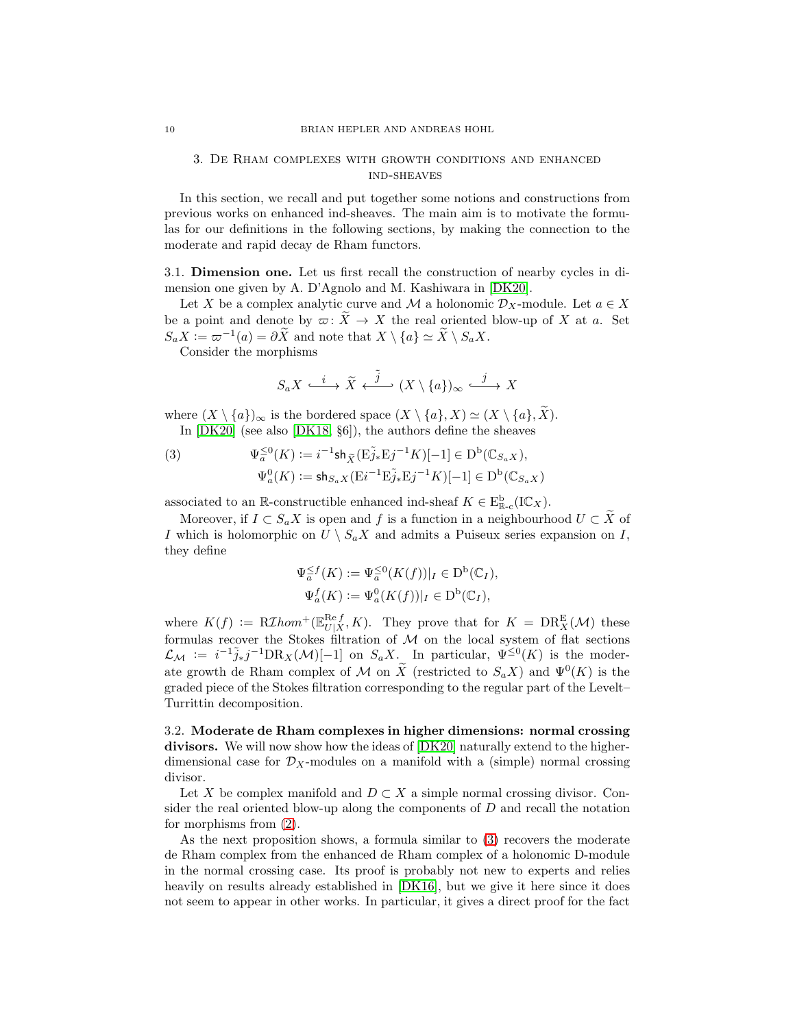## <span id="page-9-0"></span>3. De Rham complexes with growth conditions and enhanced ind-sheaves

In this section, we recall and put together some notions and constructions from previous works on enhanced ind-sheaves. The main aim is to motivate the formulas for our definitions in the following sections, by making the connection to the moderate and rapid decay de Rham functors.

<span id="page-9-1"></span>3.1. Dimension one. Let us first recall the construction of nearby cycles in dimension one given by A. D'Agnolo and M. Kashiwara in [\[DK20\]](#page-29-8).

Let X be a complex analytic curve and M a holonomic  $\mathcal{D}_X$ -module. Let  $a \in X$ be a point and denote by  $\overline{\alpha}$ :  $\overline{X} \to X$  the real oriented blow-up of X at a. Set  $S_a X := \varpi^{-1}(a) = \partial X$  and note that  $X \setminus \{a\} \simeq X \setminus S_a X$ .

Consider the morphisms

$$
S_a X \stackrel{i}{\xrightarrow{\hspace*{1.5cm}}} {\widetilde{X}} \stackrel{\widetilde{j}}{\longleftarrow} (X \setminus \{a\})_\infty \stackrel{j}{\xrightarrow{\hspace*{1.5cm}}} X
$$

where  $(X \setminus \{a\})_{\infty}$  is the bordered space  $(X \setminus \{a\}, X) \simeq (X \setminus \{a\}, X)$ . In [\[DK20\]](#page-29-8) (see also [\[DK18,](#page-29-9) §6]), the authors define the sheaves

<span id="page-9-3"></span>(3) 
$$
\Psi_a^{\leq 0}(K) := i^{-1} \text{sh}_{\tilde{X}}(\tilde{E}_{J*}^{\tilde{J}*} E_{J}^{j-1} K)[-1] \in D^b(\mathbb{C}_{S_a X}),
$$

$$
\Psi_a^0(K) := \text{sh}_{S_a X}(\tilde{E}_{J}^{j-1} E_{J*}^{\tilde{J}*} E_{J}^{j-1} K)[-1] \in D^b(\mathbb{C}_{S_a X})
$$

associated to an  $\mathbb{R}$ -constructible enhanced ind-sheaf  $K \in \mathcal{E}^{\mathbf{b}}_{\mathbb{R}-\mathbf{c}}(\mathbb{IC}_X)$ .

Moreover, if  $I \subset S_a X$  is open and f is a function in a neighbourhood  $U \subset X$  of I which is holomorphic on  $U \setminus S_a X$  and admits a Puiseux series expansion on I, they define

$$
\Psi_a^{\leq f}(K) := \Psi_a^{\leq 0}(K(f))|_I \in \mathcal{D}^{\mathbf{b}}(\mathbb{C}_I),
$$
  

$$
\Psi_a^f(K) := \Psi_a^0(K(f))|_I \in \mathcal{D}^{\mathbf{b}}(\mathbb{C}_I),
$$

where  $K(f) := R\mathcal{I}hom^+(\mathbb{E}^{\text{Re }f}_{U|X})$  $\frac{\text{Re } f}{U|X}$ , K). They prove that for  $K = \text{DR}_X^{\text{E}}(\mathcal{M})$  these formulas recover the Stokes filtration of M on the local system of flat sections  $\mathcal{L}_{\mathcal{M}} := i^{-1} \tilde{j}_* j^{-1} \text{DR}_X(\mathcal{M})[-1]$  on  $S_a X$ . In particular,  $\Psi^{\leq 0}(K)$  is the moderate growth de Rham complex of M on  $\tilde{X}$  (restricted to  $S_a X$ ) and  $\Psi^0(K)$  is the graded piece of the Stokes filtration corresponding to the regular part of the Levelt– Turrittin decomposition.

<span id="page-9-2"></span>3.2. Moderate de Rham complexes in higher dimensions: normal crossing divisors. We will now show how the ideas of [\[DK20\]](#page-29-8) naturally extend to the higherdimensional case for  $\mathcal{D}_X$ -modules on a manifold with a (simple) normal crossing divisor.

Let X be complex manifold and  $D \subset X$  a simple normal crossing divisor. Consider the real oriented blow-up along the components of  $D$  and recall the notation for morphisms from [\(2\)](#page-7-0).

As the next proposition shows, a formula similar to [\(3\)](#page-9-3) recovers the moderate de Rham complex from the enhanced de Rham complex of a holonomic D-module in the normal crossing case. Its proof is probably not new to experts and relies heavily on results already established in  $|DK16|$ , but we give it here since it does not seem to appear in other works. In particular, it gives a direct proof for the fact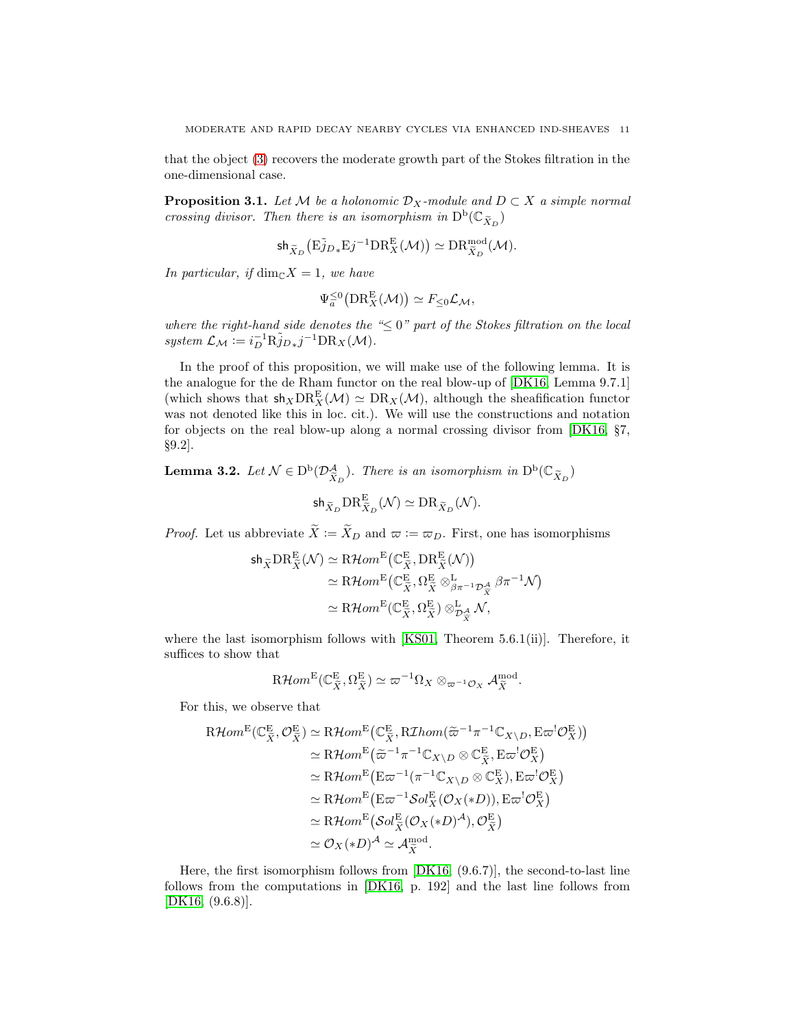that the object [\(3\)](#page-9-3) recovers the moderate growth part of the Stokes filtration in the one-dimensional case.

<span id="page-10-0"></span>**Proposition 3.1.** *Let*  $M$  *be a holonomic*  $\mathcal{D}_X$ *-module and*  $D \subset X$  *a simple normal crossing divisor. Then there is an isomorphism in*  $D^b(\mathbb{C}_{\tilde{X}_D})$ 

$$
\text{sh}_{\widetilde{X}_{D}}\big(\mathbf{E} \widetilde{j}_{D*}\mathbf{E}{j}^{-1} \mathbf{D} \mathbf{R}_{X}^{\mathbf{E}}(\mathcal{M})\big)\simeq \mathbf{D} \mathbf{R}_{\widetilde{X}_{D}}^{\text{mod}}(\mathcal{M}).
$$

*In particular, if*  $\dim_{\mathbb{C}} X = 1$ *, we have* 

$$
\Psi_a^{\leq 0} \big( \text{DR}_X^{\mathcal{E}} (\mathcal{M}) \big) \simeq F_{\leq 0} \mathcal{L}_{\mathcal{M}},
$$

*where the right-hand side denotes the "*≤ 0*" part of the Stokes filtration on the local* system  $\mathcal{L}_{\mathcal{M}} := i_D^{-1} \tilde{\mathbf{R}}_{jD*}^{\tilde{\jmath}} j^{-1} \mathbf{D} \mathbf{R}_X(\mathcal{M}).$ 

In the proof of this proposition, we will make use of the following lemma. It is the analogue for the de Rham functor on the real blow-up of [\[DK16,](#page-29-1) Lemma 9.7.1] (which shows that  $sh_X \text{DR}_X^E(\mathcal{M}) \simeq \text{DR}_X(\mathcal{M})$ , although the sheafification functor was not denoted like this in loc. cit.). We will use the constructions and notation for objects on the real blow-up along a normal crossing divisor from [\[DK16,](#page-29-1) §7, §9.2].

<span id="page-10-1"></span>**Lemma 3.2.** Let  $\mathcal{N} \in D^b(\mathcal{D}_{\tilde{X}_D}^A)$ . There is an isomorphism in  $D^b(\mathbb{C}_{\tilde{X}_D})$ 

$$
\mathsf{sh}_{\widetilde{X}_D} \text{DR}_{\widetilde{X}_D}^{\mathcal{E}}(\mathcal{N}) \simeq \text{DR}_{\widetilde{X}_D}(\mathcal{N}).
$$

*Proof.* Let us abbreviate  $\widetilde{X} := \widetilde{X}_D$  and  $\varpi := \varpi_D$ . First, one has isomorphisms

$$
\begin{aligned} \mathsf{sh}_{\widetilde{X}}\mathrm{DR}_{\widetilde{X}}^{\mathrm{E}}(\mathcal{N}) &\simeq \mathrm{R}\mathcal{H}om^{\mathrm{E}}\big(\mathbb{C}_{\widetilde{X}}^{\mathrm{E}},\mathrm{DR}_{\widetilde{X}}^{\mathrm{E}}(\mathcal{N})\big) \\ &\simeq \mathrm{R}\mathcal{H}om^{\mathrm{E}}\big(\mathbb{C}_{\widetilde{X}}^{\mathrm{E}},\Omega_{\widetilde{X}}^{\mathrm{E}}\otimes_{\beta\pi^{-1}\mathcal{D}_{\widetilde{X}}}^{\mathrm{L}}\beta\pi^{-1}\mathcal{N}\big) \\ &\simeq \mathrm{R}\mathcal{H}om^{\mathrm{E}}\big(\mathbb{C}_{\widetilde{X}}^{\mathrm{E}},\Omega_{\widetilde{X}}^{\mathrm{E}}\big)\otimes_{\mathcal{D}_{\widetilde{X}}^{\mathrm{L}}}\mathcal{N}, \end{aligned}
$$

where the last isomorphism follows with [\[KS01,](#page-29-0) Theorem 5.6.1(ii)]. Therefore, it suffices to show that

$$
\mathrm{R}\mathcal{H}om^{\mathrm{E}}(\mathbb{C}_{\widetilde{X}}^{\mathrm{E}}, \Omega_{\widetilde{X}}^{\mathrm{E}}) \simeq \varpi^{-1}\Omega_{X} \otimes_{\varpi^{-1}\mathcal{O}_{X}} \mathcal{A}_{\widetilde{X}}^{\mathrm{mod}}
$$

.

For this, we observe that

$$
\begin{split} \text{R}\mathcal{H}om^{\text{E}}(\mathbb{C}_{\tilde{X}}^{\text{E}},\mathcal{O}_{\tilde{X}}^{\text{E}}) &\simeq \text{R}\mathcal{H}om^{\text{E}}(\mathbb{C}_{\tilde{X}}^{\text{E}},\text{R}\mathcal{I}hom(\tilde{\varpi}^{-1}\pi^{-1}\mathbb{C}_{X\backslash D},\text{E}\varpi^{!}\mathcal{O}_{X}^{\text{E}})) \\ &\simeq \text{R}\mathcal{H}om^{\text{E}}(\tilde{\varpi}^{-1}\pi^{-1}\mathbb{C}_{X\backslash D}\otimes\mathbb{C}_{\tilde{X}}^{\text{E}},\text{E}\varpi^{!}\mathcal{O}_{X}^{\text{E}}) \\ &\simeq \text{R}\mathcal{H}om^{\text{E}}(\text{E}\varpi^{-1}(\pi^{-1}\mathbb{C}_{X\backslash D}\otimes\mathbb{C}_{X}^{\text{E}}),\text{E}\varpi^{!}\mathcal{O}_{X}^{\text{E}}) \\ &\simeq \text{R}\mathcal{H}om^{\text{E}}(\text{E}\varpi^{-1}\mathcal{S}ol_{X}^{\text{E}}(\mathcal{O}_{X}(*D)),\text{E}\varpi^{!}\mathcal{O}_{X}^{\text{E}}) \\ &\simeq \text{R}\mathcal{H}om^{\text{E}}(\mathcal{S}ol_{\tilde{X}}^{\text{E}}(\mathcal{O}_{X}(*D)^{\mathcal{A}}),\mathcal{O}_{\tilde{X}}^{\text{E}}) \\ &\simeq \mathcal{O}_{X}(*D)^{\mathcal{A}} \simeq \mathcal{A}_{\tilde{X}}^{\text{mod}}. \end{split}
$$

Here, the first isomorphism follows from [\[DK16,](#page-29-1) (9.6.7)], the second-to-last line follows from the computations in [\[DK16,](#page-29-1) p. 192] and the last line follows from [\[DK16,](#page-29-1) (9.6.8)].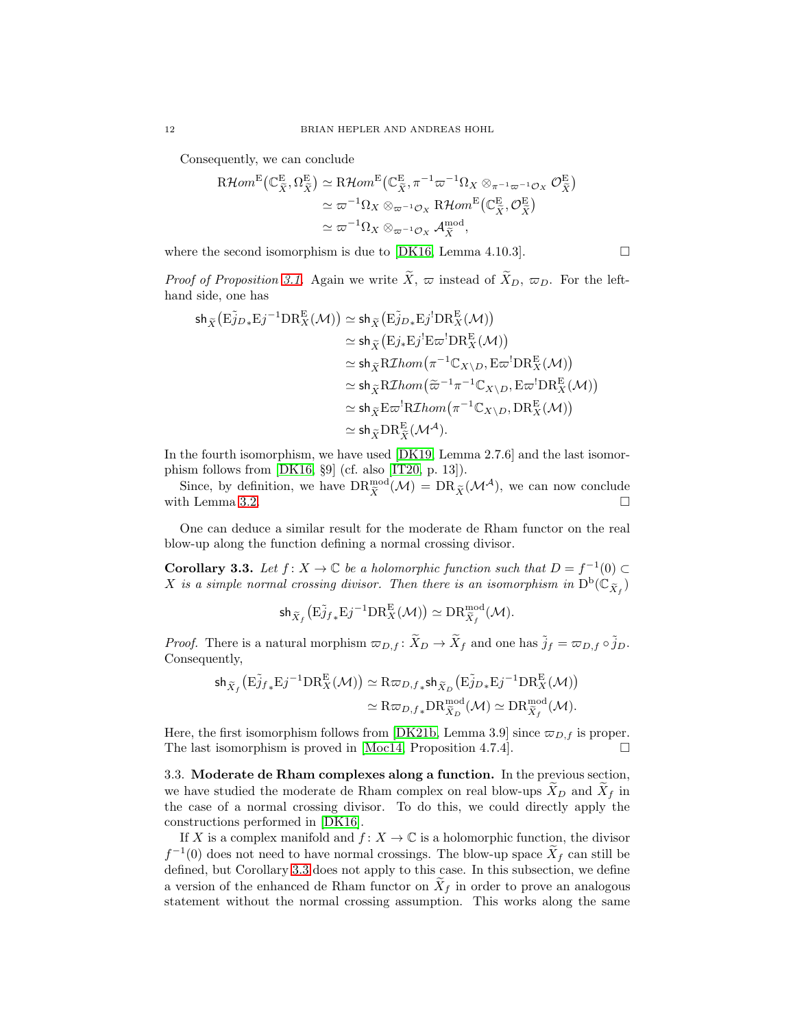Consequently, we can conclude

$$
\begin{split} \text{R}\mathcal{H}om^{\text{E}}\big(\mathbb{C}_{\tilde{X}}^{\text{E}},\Omega_{\tilde{X}}^{\text{E}}\big) &\simeq \text{R}\mathcal{H}om^{\text{E}}\big(\mathbb{C}_{\tilde{X}}^{\text{E}},\pi^{-1}\varpi^{-1}\Omega_{X}\otimes_{\pi^{-1}\varpi^{-1}\mathcal{O}_{X}}\mathcal{O}_{\tilde{X}}^{\text{E}}\big) \\ &\simeq \varpi^{-1}\Omega_{X}\otimes_{\varpi^{-1}\mathcal{O}_{X}}\text{R}\mathcal{H}om^{\text{E}}\big(\mathbb{C}_{\tilde{X}}^{\text{E}},\mathcal{O}_{\tilde{X}}^{\text{E}}\big) \\ &\simeq \varpi^{-1}\Omega_{X}\otimes_{\varpi^{-1}\mathcal{O}_{X}}\mathcal{A}_{\tilde{X}}^{\text{mod}}, \end{split}
$$

where the second isomorphism is due to [\[DK16,](#page-29-1) Lemma 4.10.3].  $\Box$ 

*Proof of Proposition [3.1.](#page-10-0)* Again we write  $\widetilde{X}$ ,  $\varpi$  instead of  $\widetilde{X}_D$ ,  $\varpi_D$ . For the lefthand side, one has

$$
\begin{aligned} \mathsf{sh}_{\widetilde{X}}\big(\mathrm{E}\widetilde{j}_{D*}\mathrm{E}j^{-1}\mathrm{DR}_{X}^{\mathrm{E}}(\mathcal{M})\big) &\simeq \mathsf{sh}_{\widetilde{X}}\big(\mathrm{E}\widetilde{j}_{D*}\mathrm{E}j^!\mathrm{DR}_{X}^{\mathrm{E}}(\mathcal{M})\big) \\ &\simeq \mathsf{sh}_{\widetilde{X}}\big(\mathrm{E}j_*\mathrm{E}j^!\mathrm{E}\varpi^!\mathrm{DR}_{X}^{\mathrm{E}}(\mathcal{M})\big) \\ &\simeq \mathsf{sh}_{\widetilde{X}}\mathrm{R} \mathrm{Z} hom\big(\pi^{-1}\mathbb{C}_{X\setminus D}, \mathrm{E}\varpi^!\mathrm{DR}_{X}^{\mathrm{E}}(\mathcal{M})\big) \\ &\simeq \mathsf{sh}_{\widetilde{X}}\mathrm{R} \mathrm{Z} hom\big(\widetilde{\varpi}^{-1}\pi^{-1}\mathbb{C}_{X\setminus D}, \mathrm{E}\varpi^!\mathrm{DR}_{X}^{\mathrm{E}}(\mathcal{M})\big) \\ &\simeq \mathsf{sh}_{\widetilde{X}}\mathrm{E}\varpi^!\mathrm{R} \mathrm{Z} hom\big(\pi^{-1}\mathbb{C}_{X\setminus D}, \mathrm{DR}_{X}^{\mathrm{E}}(\mathcal{M})\big) \\ &\simeq \mathsf{sh}_{\widetilde{X}}\mathrm{DR}_{\widetilde{X}}^{\mathrm{E}}(\mathcal{M}^{A}). \end{aligned}
$$

In the fourth isomorphism, we have used [\[DK19,](#page-29-21) Lemma 2.7.6] and the last isomorphism follows from [\[DK16,](#page-29-1) §9] (cf. also [\[IT20,](#page-29-22) p. 13]).

Since, by definition, we have  $\text{DR}_{\tilde{X}}^{\text{mod}}(\mathcal{M}) = \text{DR}_{\tilde{X}}(\mathcal{M}^{\mathcal{A}})$ , we can now conclude with Lemma [3.2.](#page-10-1)  $\Box$ 

One can deduce a similar result for the moderate de Rham functor on the real blow-up along the function defining a normal crossing divisor.

<span id="page-11-1"></span>**Corollary 3.3.** Let  $f: X \to \mathbb{C}$  be a holomorphic function such that  $D = f^{-1}(0) \subset$ X is a simple normal crossing divisor. Then there is an isomorphism in  $\mathrm{D}^{\mathrm{b}}(\mathbb{C}_{\widetilde X_f})$ 

$$
\text{sh}_{\widetilde{X}_f}\big(\mathrm{E}\widetilde{j}_{f_*}\mathrm{E}j^{-1}\mathrm{DR}^{\mathrm{E}}_X(\mathcal{M})\big)\simeq\mathrm{DR}^{\mathrm{mod}}_{\widetilde{X}_f}(\mathcal{M}).
$$

*Proof.* There is a natural morphism  $\varpi_{D,f}$ :  $\widetilde{X}_{D} \to \widetilde{X}_{f}$  and one has  $\widetilde{j}_f = \varpi_{D,f} \circ \widetilde{j}_D$ . Consequently,

$$
\begin{aligned} \mathsf{sh}_{\widetilde{X}_f}\big(\mathrm{E} \widetilde{j}_{f}{}_{*}\mathrm{E} j^{-1} \mathrm{DR}^{\mathrm{E}}_{X}(\mathcal{M})\big) &\simeq \mathrm{R} \varpi_{D,f}{}_{*} \mathsf{sh}_{\widetilde{X}_D}\big(\mathrm{E} \widetilde{j}_{D}{}_{*}\mathrm{E} j^{-1} \mathrm{DR}^{\mathrm{E}}_{X}(\mathcal{M})\big) \\ &\simeq \mathrm{R} \varpi_{D,f}{}_{*} \mathrm{DR}^{\mathrm{mod}}_{\widetilde{X}_D}(\mathcal{M}) \simeq \mathrm{DR}^{\mathrm{mod}}_{\widetilde{X}_f}(\mathcal{M}). \end{aligned}
$$

Here, the first isomorphism follows from [\[DK21b,](#page-29-15) Lemma 3.9] since  $\varpi_{D,f}$  is proper. The last isomorphism is proved in [\[Moc14,](#page-29-19) Proposition 4.7.4].  $\Box$ 

<span id="page-11-0"></span>3.3. Moderate de Rham complexes along a function. In the previous section, we have studied the moderate de Rham complex on real blow-ups  $\tilde{X}_D$  and  $\tilde{X}_f$  in the case of a normal crossing divisor. To do this, we could directly apply the constructions performed in [\[DK16\]](#page-29-1).

If X is a complex manifold and  $f: X \to \mathbb{C}$  is a holomorphic function, the divisor  $f^{-1}(0)$  does not need to have normal crossings. The blow-up space  $\tilde{X}_f$  can still be defined, but Corollary [3.3](#page-11-1) does not apply to this case. In this subsection, we define a version of the enhanced de Rham functor on  $X_f$  in order to prove an analogous statement without the normal crossing assumption. This works along the same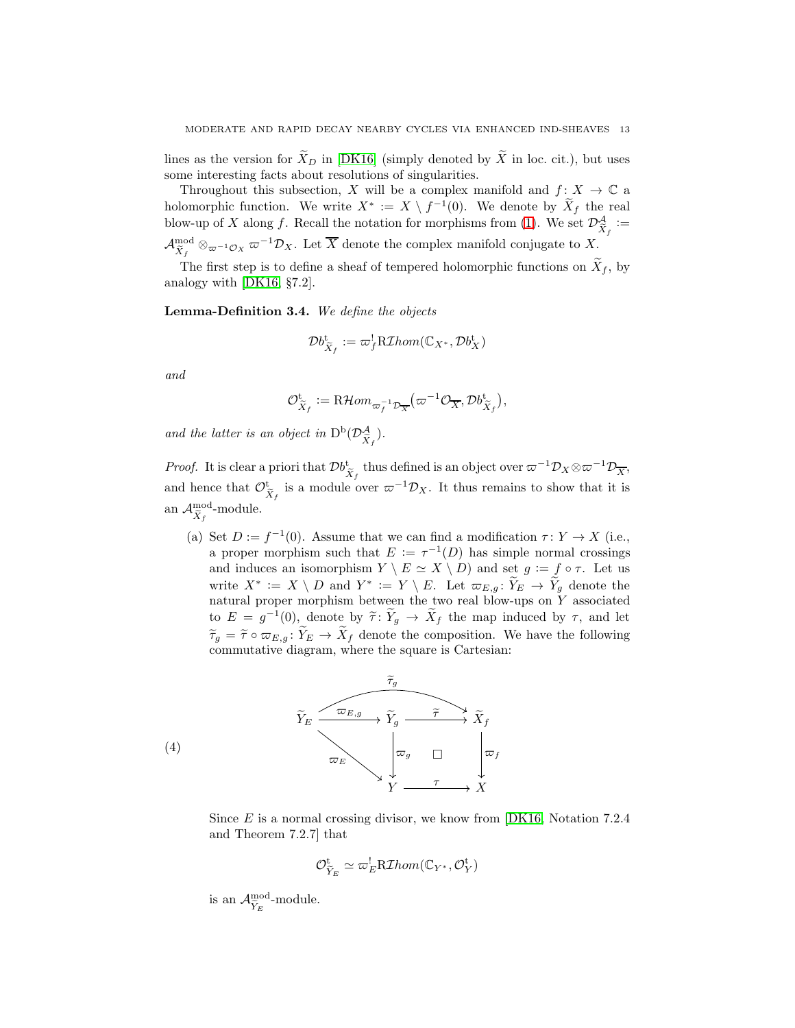lines as the version for  $\widetilde{X}_D$  in [\[DK16\]](#page-29-1) (simply denoted by  $\widetilde{X}$  in loc. cit.), but uses some interesting facts about resolutions of singularities.

Throughout this subsection, X will be a complex manifold and  $f: X \to \mathbb{C}$  a holomorphic function. We write  $X^* := X \setminus f^{-1}(0)$ . We denote by  $\tilde{X}_f$  the real blow-up of X along f. Recall the notation for morphisms from [\(1\)](#page-6-1). We set  $\mathcal{D}^{\mathcal{A}}_{\tilde{X}_f} :=$  $\mathcal{A}^{\rm mod}_{\widetilde{X}_f}\otimes_{\varpi^{-1}\mathcal{O}_X}\varpi^{-1}\mathcal{D}_X$ . Let  $\overline{X}$  denote the complex manifold conjugate to X.

The first step is to define a sheaf of tempered holomorphic functions on  $X_f$ , by analogy with [\[DK16,](#page-29-1) §7.2].

<span id="page-12-1"></span>Lemma-Definition 3.4. *We define the objects*

$$
\mathcal{D}b_{\widetilde{X}_f}^{\mathrm{t}}:=\varpi_f^!\mathrm{R}\mathcal{I}hom(\mathbb{C}_{X^*},\mathcal{D}b_X^{\mathrm{t}})
$$

*and*

$$
\mathcal{O}^{\mathrm{t}}_{\widetilde{X}_f} \coloneqq \mathrm{R}\mathcal{H}om_{\varpi_f^{-1}\mathcal{D}_{\overline{X}}} \big(\varpi^{-1}\mathcal{O}_{\overline{X}}, \mathcal{D}b^{\mathrm{t}}_{\widetilde{X}_f}\big),
$$

*and the latter is an object in*  $D^b(\mathcal{D}_{\tilde{X}_f}^{\mathcal{A}})$ *.* 

*Proof.* It is clear a priori that  $\mathcal{D}b^{\dagger}_{\widetilde{X}_f}$  thus defined is an object over  $\varpi^{-1}\mathcal{D}_X\otimes \varpi^{-1}\mathcal{D}_{\overline{X}_f}$ , and hence that  $\mathcal{O}_{\tilde{X}_f}^{\mathbf{t}}$  is a module over  $\varpi^{-1}\mathcal{D}_X$ . It thus remains to show that it is an  $\mathcal{A}_{\widetilde{X}_f}^{\text{mod}}$ -module.

(a) Set  $D := f^{-1}(0)$ . Assume that we can find a modification  $\tau: Y \to X$  (i.e., a proper morphism such that  $E := \tau^{-1}(D)$  has simple normal crossings and induces an isomorphism  $Y \setminus E \simeq X \setminus D$  and set  $g := f \circ \tau$ . Let us write  $X^* := X \setminus D$  and  $Y^* := Y \setminus E$ . Let  $\varpi_{E,g} : Y_E \to Y_g$  denote the natural proper morphism between the two real blow-ups on  $\overline{Y}$  associated to  $E = g^{-1}(0)$ , denote by  $\widetilde{\tau}: \widetilde{Y}_g \to \widetilde{X}_f$  the map induced by  $\tau$ , and let  $\widetilde{\tau}_g = \widetilde{\tau} \circ \varpi_{E,g} \colon Y_E \to X_f$  denote the composition. We have the following commutative diagram, where the square is Cartesian:

<span id="page-12-0"></span>

(4)

Since E is a normal crossing divisor, we know from  $[DK16, Notation 7.2.4]$ and Theorem 7.2.7] that

$$
\mathcal{O}_{\widetilde{Y}_E}^{\mathrm{t}} \simeq \varpi_E^! \mathrm{R}\mathcal{I}hom(\mathbb{C}_{Y^*}, \mathcal{O}_Y^{\mathrm{t}})
$$

is an  $\mathcal{A}_{\widetilde{Y}_E}^{\text{mod}}$ -module.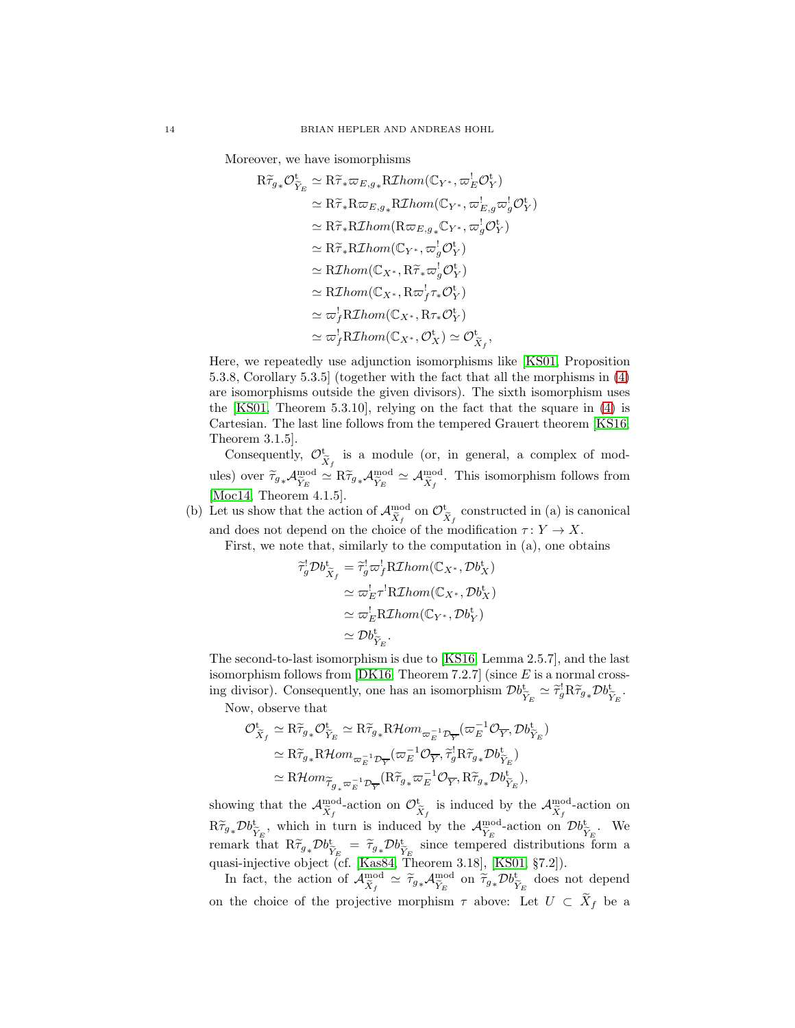Moreover, we have isomorphisms

$$
\begin{aligned}\n\mathbf{R}\widetilde{\tau}_{g*}\mathcal{O}_{\widetilde{Y}_{E}}^{\mathbf{t}} &\simeq \mathbf{R}\widetilde{\tau}_{*}\varpi_{E,g_{*}}\mathbf{R}\mathcal{I}hom(\mathbb{C}_{Y^{*}}, \varpi_{E}^{l}\mathcal{O}_{Y}^{\mathbf{t}}) \\
&\simeq \mathbf{R}\widetilde{\tau}_{*}\mathbf{R}\varpi_{E,g_{*}}\mathbf{R}\mathcal{I}hom(\mathbb{C}_{Y^{*}}, \varpi_{E,g}^{l}\varpi_{g}^{l}\mathcal{O}_{Y}^{\mathbf{t}}) \\
&\simeq \mathbf{R}\widetilde{\tau}_{*}\mathbf{R}\mathcal{I}hom(\mathbf{R}\varpi_{E,g_{*}}\mathbb{C}_{Y^{*}}, \varpi_{g}^{l}\mathcal{O}_{Y}^{\mathbf{t}}) \\
&\simeq \mathbf{R}\widetilde{\tau}_{*}\mathbf{R}\mathcal{I}hom(\mathbb{C}_{Y^{*}}, \varpi_{g}^{l}\mathcal{O}_{Y}^{\mathbf{t}}) \\
&\simeq \mathbf{R}\mathcal{I}hom(\mathbb{C}_{X^{*}}, \mathbf{R}\widetilde{\tau}_{*}\varpi_{g}^{l}\mathcal{O}_{Y}^{\mathbf{t}}) \\
&\simeq \mathbf{R}\mathcal{I}hom(\mathbb{C}_{X^{*}}, \mathbf{R}\varpi_{f}^{l}\tau_{*}\mathcal{O}_{Y}^{\mathbf{t}}) \\
&\simeq \varpi_{f}^{l}\mathbf{R}\mathcal{I}hom(\mathbb{C}_{X^{*}}, \mathbf{R}\tau_{*}\mathcal{O}_{X}^{\mathbf{t}}) \\
&\simeq \varpi_{f}^{l}\mathbf{R}\mathcal{I}hom(\mathbb{C}_{X^{*}}, \mathcal{O}_{X}^{\mathbf{t}}) \simeq \mathcal{O}_{\widetilde{X}_{f}}^{\mathbf{t}},\n\end{aligned}
$$

Here, we repeatedly use adjunction isomorphisms like [\[KS01,](#page-29-0) Proposition 5.3.8, Corollary 5.3.5] (together with the fact that all the morphisms in [\(4\)](#page-12-0) are isomorphisms outside the given divisors). The sixth isomorphism uses the [\[KS01,](#page-29-0) Theorem 5.3.10], relying on the fact that the square in [\(4\)](#page-12-0) is Cartesian. The last line follows from the tempered Grauert theorem [\[KS16,](#page-29-10) Theorem 3.1.5].

Consequently,  $\mathcal{O}_{\tilde{X}_f}^{\mathbf{t}}$  is a module (or, in general, a complex of modules) over  $\widetilde{\tau}_{g*} A_{\widetilde{Y}_E}^{\text{mod}} \simeq R \widetilde{\tau}_{g*} A_{\widetilde{Y}_E}^{\text{mod}} \simeq A_{\widetilde{X}_f}^{\text{mod}}$ . This isomorphism follows from [\[Moc14,](#page-29-19) Theorem 4.1.5].

(b) Let us show that the action of  $\mathcal{A}_{\tilde{X}_f}^{\text{mod}}$  on  $\mathcal{O}_{\tilde{X}_f}^{\text{t}}$  constructed in (a) is canonical and does not depend on the choice of the modification  $\tau: Y \to X$ .

First, we note that, similarly to the computation in (a), one obtains

$$
\widetilde{\tau}_{g}^{!} \mathcal{D} b_{\widetilde{X}_{f}}^{t} = \widetilde{\tau}_{g}^{!} \varpi_{f}^{!} \mathrm{R} \mathcal{I} hom(\mathbb{C}_{X^*}, \mathcal{D} b_X^t)
$$
\n
$$
\simeq \varpi_{E}^{!} \tau^{!} \mathrm{R} \mathcal{I} hom(\mathbb{C}_{X^*}, \mathcal{D} b_X^t)
$$
\n
$$
\simeq \varpi_{E}^{!} \mathrm{R} \mathcal{I} hom(\mathbb{C}_{Y^*}, \mathcal{D} b_Y^t)
$$
\n
$$
\simeq \mathcal{D} b_{\widetilde{Y}_{E}}^{t}.
$$

The second-to-last isomorphism is due to [\[KS16,](#page-29-10) Lemma 2.5.7], and the last isomorphism follows from  $[DK16, Theorem 7.2.7]$  (since E is a normal crossing divisor). Consequently, one has an isomorphism  $\mathcal{D}b_{\widetilde{Y}_E}^{\mathbf{t}} \simeq \widetilde{\tau}_g^{\mathbf{t}} \mathbf{R} \widetilde{\tau}_{g*} \mathcal{D}b_{\widetilde{Y}_E}^{\mathbf{t}}$ .

Now, observe that

$$
\begin{split} \mathcal{O}_{\widetilde{X}_{f}}^{\mathbf{t}} &\simeq \mathrm{R} \widetilde{\tau}_{g*} \mathcal{O}_{\widetilde{Y}_{E}}^{\mathbf{t}} \simeq \mathrm{R} \widetilde{\tau}_{g*} \mathrm{R} \mathcal{H} om_{\varpi_{E}^{-1} \mathcal{D}_{\overline{Y}}} (\varpi_{E}^{-1} \mathcal{O}_{\overline{Y}}, \mathcal{D} b_{\widetilde{Y}_{E}}^{\mathbf{t}}) \\ &\simeq \mathrm{R} \widetilde{\tau}_{g*} \mathrm{R} \mathcal{H} om_{\varpi_{E}^{-1} \mathcal{D}_{\overline{Y}}} (\varpi_{E}^{-1} \mathcal{O}_{\overline{Y}}, \widetilde{\tau}_{g}^{\mathbf{t}} \mathrm{R} \widetilde{\tau}_{g*} \mathcal{D} b_{\widetilde{Y}_{E}}^{\mathbf{t}}) \\ &\simeq \mathrm{R} \mathcal{H} om_{\widetilde{\tau}_{g*} \varpi_{E}^{-1} \mathcal{D}_{\overline{Y}}} (\mathrm{R} \widetilde{\tau}_{g*} \varpi_{E}^{-1} \mathcal{O}_{\overline{Y}}, \mathrm{R} \widetilde{\tau}_{g*} \mathcal{D} b_{\widetilde{Y}_{E}}^{\mathbf{t}}), \end{split}
$$

showing that the  $\mathcal{A}_{\tilde{X}_f}^{\text{mod}}$ -action on  $\mathcal{O}_{\tilde{X}_f}^{\text{t}}$  is induced by the  $\mathcal{A}_{\tilde{X}_f}^{\text{mod}}$ -action on  $R\widetilde{\tau}_{g*}\mathcal{D}b_{\widetilde{Y}_E}^{\mathrm{t}},$  which in turn is induced by the  $\mathcal{A}_{\widetilde{Y}_E}^{\mathrm{mod}}$ -action on  $\mathcal{D}b_{\widetilde{Y}_E}^{\mathrm{t}}$ . We remark that  $R\widetilde{\tau}_{g*}\mathcal{D}b_{\widetilde{Y}_E}^{\mathbf{t}} = \widetilde{\tau}_{g*}\mathcal{D}b_{\widetilde{Y}_E}^{\mathbf{t}}$  since tempered distributions form a quasi-injective object (cf. [\[Kas84,](#page-29-2) Theorem 3.18], [\[KS01,](#page-29-0) §7.2]).

In fact, the action of  $\mathcal{A}_{\widetilde{X}_f}^{\text{mod}} \simeq \widetilde{\tau}_{g*} \mathcal{A}_{\widetilde{Y}_E}^{\text{mod}}$  on  $\widetilde{\tau}_{g*} \mathcal{D} b_{\widetilde{Y}_E}^{\text{t}}$  does not depend on the choice of the projective morphism  $\tau$  above: Let  $U \subset X_f$  be a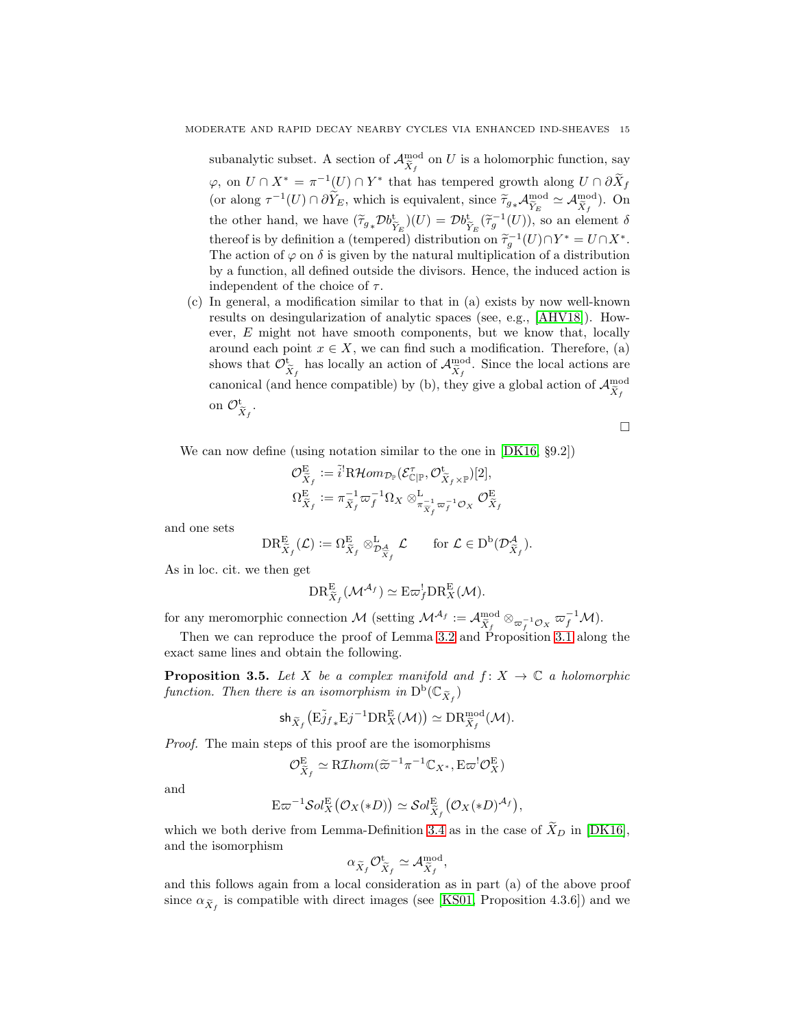subanalytic subset. A section of  $\mathcal{A}_{\tilde{X}_f}^{\text{mod}}$  on U is a holomorphic function, say  $\varphi$ , on  $U \cap X^* = \pi^{-1}(U) \cap Y^*$  that has tempered growth along  $U \cap \partial X_f$ (or along  $\tau^{-1}(U) \cap \partial \widetilde{Y}_E$ , which is equivalent, since  $\widetilde{\tau}_{g*} A_{\widetilde{Y}_E}^{\text{mod}} \simeq A_{\widetilde{X}_f}^{\text{mod}}$ ). On the other hand, we have  $(\tilde{\tau}_{g*} \mathcal{D}^{\text{bt}}_{\tilde{Y}_E})(U) = \mathcal{D}^{\text{bt}}_{\tilde{Y}_E}(\tilde{\tau}_g^{-1}(U)),$  so an element  $\delta$ thereof is by definition a (tempered) distribution on  $\tilde{\tau}_g^{-1}(U) \cap Y^* = U \cap X^*$ . The action of  $\varphi$  on  $\delta$  is given by the natural multiplication of a distribution by a function, all defined outside the divisors. Hence, the induced action is independent of the choice of  $\tau$ .

(c) In general, a modification similar to that in (a) exists by now well-known results on desingularization of analytic spaces (see, e.g., [\[AHV18\]](#page-28-3)). However, E might not have smooth components, but we know that, locally around each point  $x \in X$ , we can find such a modification. Therefore, (a) shows that  $\mathcal{O}_{\tilde{X}_f}^{\text{t}}$  has locally an action of  $\mathcal{A}_{\tilde{X}_f}^{\text{mod}}$ . Since the local actions are canonical (and hence compatible) by (b), they give a global action of  ${\cal A}^{\rm mod}_{\widetilde X_f}$ on  $\mathcal{O}_{\widetilde{X}_f}^{\operatorname{t}}$ .

 $\Box$ 

We can now define (using notation similar to the one in [\[DK16,](#page-29-1) §9.2])

$$
\mathcal{O}_{\widetilde{X}_f}^{\mathcal{E}} := \widetilde{i}^!\mathrm{R}\mathcal{H}om_{\mathcal{D}_{\mathbb{P}}}(\mathcal{E}_{\mathbb{C}|\mathbb{P}}^{\tau}, \mathcal{O}_{\widetilde{X}_f\times\mathbb{P}}^{\mathbf{t}})[2],
$$
  

$$
\Omega_{\widetilde{X}_f}^{\mathcal{E}} := \pi_{\widetilde{X}_f}^{-1} \varpi_f^{-1} \Omega_X \otimes_{\pi_{\widetilde{X}_f}^{-1} \varpi_f^{-1} \mathcal{O}_X}^{\mathcal{E}} \mathcal{O}_{\widetilde{X}_f}^{\mathcal{E}}
$$

and one sets

$$
\mathrm{DR}^{\mathrm{E}}_{\widetilde{X}_f}(\mathcal{L}):=\Omega^{\mathrm{E}}_{\widetilde{X}_f}\otimes^{\mathrm{L}}_{\mathcal{D}_{\widetilde{X}_f}^{\mathcal{A}}}\mathcal{L}\qquad\text{for }\mathcal{L}\in\mathrm{D}^{\mathrm{b}}(\mathcal{D}^{\mathcal{A}}_{\widetilde{X}_f}).
$$

As in loc. cit. we then get

$$
\text{DR}_{\widetilde{X}_f}^{\text{E}}(\mathcal{M}^{\mathcal{A}_f}) \simeq \text{E}\varpi_f^! \text{DR}_X^{\text{E}}(\mathcal{M}).
$$

for any meromorphic connection M (setting  $\mathcal{M}^{\mathcal{A}_f} := \mathcal{A}_{\widetilde{X}_f}^{\text{mod}} \otimes_{\varpi_f^{-1} \mathcal{O}_X} \varpi_f^{-1} \mathcal{M}$ ).

Then we can reproduce the proof of Lemma [3.2](#page-10-1) and Proposition [3.1](#page-10-0) along the exact same lines and obtain the following.

**Proposition 3.5.** Let X be a complex manifold and  $f: X \to \mathbb{C}$  a holomorphic function. Then there is an isomorphism in  $\mathrm{D}^{\mathrm{b}}(\mathbb{C}_{\widetilde{X}_f})$ 

$$
\mathsf{sh}_{\widetilde{X}_f}\big(\mathrm{E}\widetilde{j}_{f*}\mathrm{E}j^{-1}\mathrm{DR}_X^{\mathrm{E}}(\mathcal{M})\big) \simeq \mathrm{DR}_{\widetilde{X}_f}^{\mathrm{mod}}(\mathcal{M}).
$$

*Proof.* The main steps of this proof are the isomorphisms

$$
\mathcal{O}^{\mathrm{E}}_{\widetilde{X}_f} \simeq \text{R}\mathcal{I}hom(\widetilde{\varpi}^{-1}\pi^{-1}\mathbb{C}_{X^*}, \mathrm{E}\varpi^!\mathcal{O}_X^{\mathrm{E}})
$$

and

$$
\mathbf{E}\varpi^{-1}\mathcal{S}ol_X^{\mathbf{E}}(\mathcal{O}_X(*D))\simeq\mathcal{S}ol_{\widetilde{X}_f}^{\mathbf{E}}(\mathcal{O}_X(*D)^{\mathcal{A}_f}),
$$

which we both derive from Lemma-Definition [3.4](#page-12-1) as in the case of  $\tilde{X}_D$  in [\[DK16\]](#page-29-1), and the isomorphism

$$
\alpha_{\widetilde{X}_f} \mathcal{O}_{\widetilde{X}_f}^{\mathbf{t}} \simeq \mathcal{A}_{\widetilde{X}_f}^{\mathrm{mod}},
$$

and this follows again from a local consideration as in part (a) of the above proof since  $\alpha_{\widetilde{X}_f}$  is compatible with direct images (see [\[KS01,](#page-29-0) Proposition 4.3.6]) and we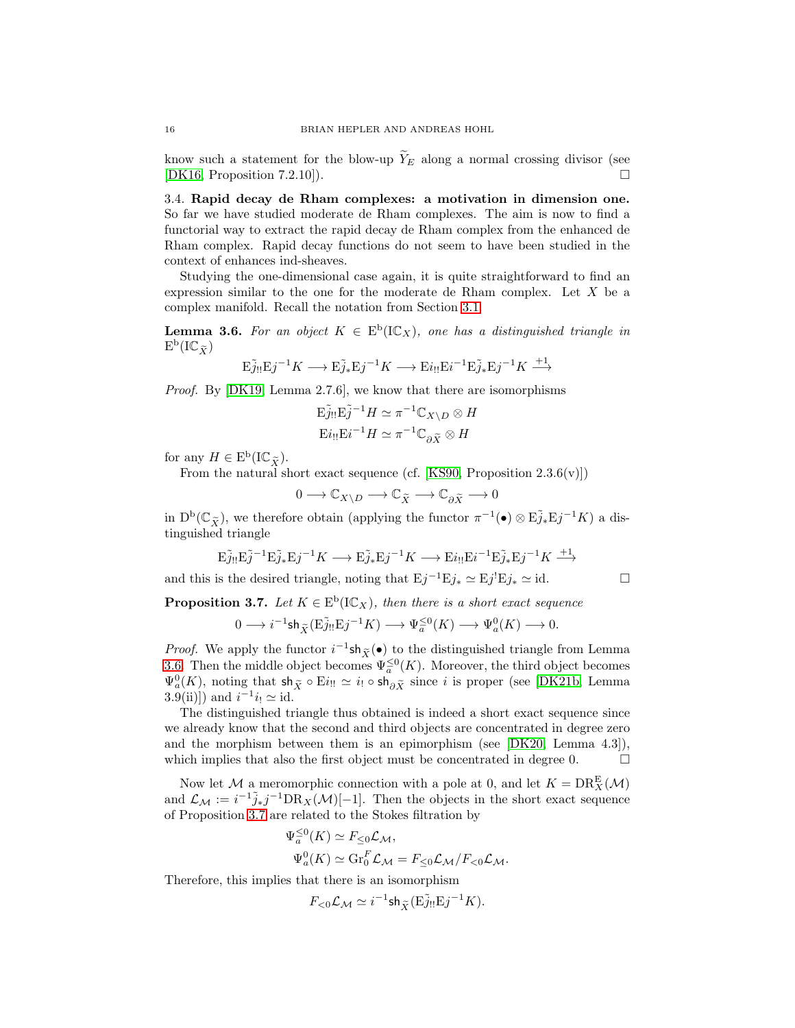know such a statement for the blow-up  $\widetilde{Y}_E$  along a normal crossing divisor (see [DK16, Proposition 7.2.10]). [\[DK16,](#page-29-1) Proposition 7.2.10]).

<span id="page-15-0"></span>3.4. Rapid decay de Rham complexes: a motivation in dimension one. So far we have studied moderate de Rham complexes. The aim is now to find a functorial way to extract the rapid decay de Rham complex from the enhanced de Rham complex. Rapid decay functions do not seem to have been studied in the context of enhances ind-sheaves.

Studying the one-dimensional case again, it is quite straightforward to find an expression similar to the one for the moderate de Rham complex. Let  $X$  be a complex manifold. Recall the notation from Section [3.1.](#page-9-1)

<span id="page-15-1"></span>**Lemma 3.6.** For an object  $K \in E^b(\mathbb{IC}_X)$ , one has a distinguished triangle in  $\mathrm{E}^{\mathrm{b}}(\mathrm{I}\mathbb{C}_{\widetilde{X}})$ 

$$
\mathrm{E} \tilde{j}_{!!}\mathrm{E} j^{-1} K \longrightarrow \mathrm{E} \tilde{j}_{*}\mathrm{E} j^{-1} K \longrightarrow \mathrm{E} i_{!!}\mathrm{E} i^{-1}\mathrm{E} \tilde{j}_{*}\mathrm{E} j^{-1} K \overset{+1}{\longrightarrow}
$$

*Proof.* By [\[DK19,](#page-29-21) Lemma 2.7.6], we know that there are isomorphisms

$$
\mathbf{E}\tilde{j}_{!!}\mathbf{E}\tilde{j}^{-1}H \simeq \pi^{-1}\mathbb{C}_{X\setminus D} \otimes H
$$

$$
\mathbf{E}i_{!!}\mathbf{E}i^{-1}H \simeq \pi^{-1}\mathbb{C}_{\partial\widetilde{X}} \otimes H
$$

for any  $H \in \mathrm{E}^{\mathrm{b}}(\mathrm{I}\mathbb{C}_{\widetilde{X}}).$ 

From the natural short exact sequence (cf. [\[KS90,](#page-29-12) Proposition  $2.3.6(v)$ ])

$$
0\longrightarrow \mathbb{C}_{X\backslash D}\longrightarrow \mathbb{C}_{\widetilde{X}}\longrightarrow \mathbb{C}_{\partial \widetilde{X}}\longrightarrow 0
$$

in  $D^b(\mathbb{C}_{\tilde{X}})$ , we therefore obtain (applying the functor  $\pi^{-1}(\bullet) \otimes \tilde{E}_{J*} \tilde{E}_{J}^{-1}K$ ) a distinguished triangle

$$
E\tilde{j}_{!!}E\tilde{j}^{-1}E\tilde{j}_{*}Ej^{-1}K \longrightarrow E\tilde{j}_{*}Ej^{-1}K \longrightarrow Ei_{!!}Ei^{-1}E\tilde{j}_{*}Ej^{-1}K \stackrel{+1}{\longrightarrow}
$$

and this is the desired triangle, noting that  $Ej^{-1}Ej_* \simeq Ej^!Ej_* \simeq id.$ 

<span id="page-15-2"></span>**Proposition 3.7.** Let  $K \in E^b(\mathbb{IC}_X)$ , then there is a short exact sequence

$$
0 \longrightarrow i^{-1} \mathsf{sh}_{\widetilde{X}}(\widetilde{\mathsf{EJ}_!} \mathsf{H} \widetilde{\mathsf{L}}^{j-1} K) \longrightarrow \Psi_a^{\leq 0}(K) \longrightarrow \Psi_a^0(K) \longrightarrow 0.
$$

*Proof.* We apply the functor  $i^{-1}$ sh $_{\tilde{X}}(\bullet)$  to the distinguished triangle from Lemma [3.6.](#page-15-1) Then the middle object becomes  $\Psi_a^{\leq 0}(K)$ . Moreover, the third object becomes  $\Psi_a^0(K)$ , noting that  $\mathsf{sh}_{\widetilde{X}} \circ \mathrm{E}i_{!!} \simeq i_! \circ \mathsf{sh}_{\partial \widetilde{X}}$  since i is proper (see [\[DK21b,](#page-29-15) Lemma 3.9(ii)]) and  $i^{-1}i_! \simeq \text{id}$ .

The distinguished triangle thus obtained is indeed a short exact sequence since we already know that the second and third objects are concentrated in degree zero and the morphism between them is an epimorphism (see [\[DK20,](#page-29-8) Lemma 4.3]), which implies that also the first object must be concentrated in degree 0.  $\Box$ 

Now let M a meromorphic connection with a pole at 0, and let  $K = \text{DR}_X^{\text{E}}(\mathcal{M})$ and  $\mathcal{L}_{\mathcal{M}} := i^{-1} \tilde{j}_* j^{-1} \text{DR}_X(\mathcal{M})[-1]$ . Then the objects in the short exact sequence of Proposition [3.7](#page-15-2) are related to the Stokes filtration by

$$
\Psi_a^{\leq 0}(K) \simeq F_{\leq 0} \mathcal{L}_{\mathcal{M}},
$$
  

$$
\Psi_a^0(K) \simeq \text{Gr}_0^F \mathcal{L}_{\mathcal{M}} = F_{\leq 0} \mathcal{L}_{\mathcal{M}} / F_{< 0} \mathcal{L}_{\mathcal{M}}.
$$

Therefore, this implies that there is an isomorphism

$$
F_{<0}\mathcal{L}_{\mathcal{M}}\simeq i^{-1}\mathrm{sh}_{\widetilde{X}}(\mathrm{E}\widetilde{j}_{!!}\mathrm{E}j^{-1}K).
$$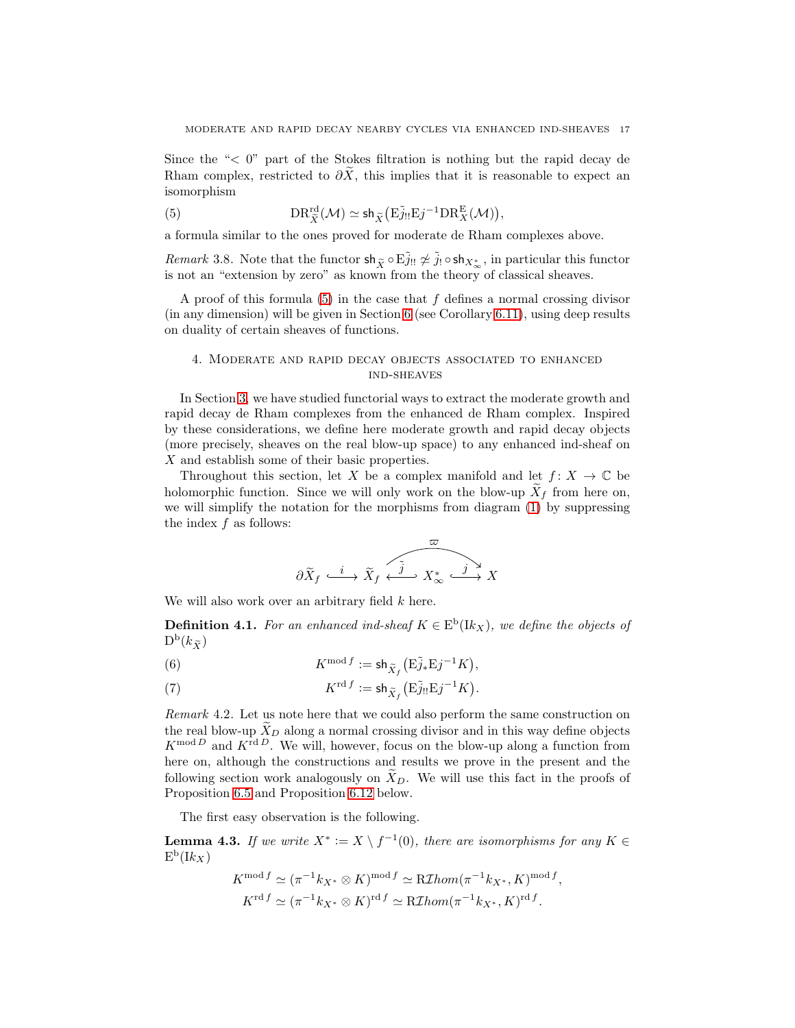Since the " $\leq 0$ " part of the Stokes filtration is nothing but the rapid decay de Rham complex, restricted to  $\partial \tilde{X}$ , this implies that it is reasonable to expect an isomorphism

<span id="page-16-1"></span>(5) 
$$
DR_{\tilde{X}}^{\text{rd}}(\mathcal{M}) \simeq \mathsf{sh}_{\tilde{X}}\big(E\tilde{j}_{!!}Ej^{-1}DR_X^E(\mathcal{M})\big),
$$

a formula similar to the ones proved for moderate de Rham complexes above.

*Remark* 3.8. Note that the functor  $\sin \tilde{x} \circ \tilde{E} \tilde{j}_! \approx \tilde{j}_! \circ \sin \chi_{\infty}$ , in particular this functor is not an "extension by zero" as known from the theory of classical sheaves.

A proof of this formula  $(5)$  in the case that f defines a normal crossing divisor (in any dimension) will be given in Section [6](#page-22-0) (see Corollary [6.11\)](#page-27-1), using deep results on duality of certain sheaves of functions.

# <span id="page-16-0"></span>4. Moderate and rapid decay objects associated to enhanced ind-sheaves

In Section [3,](#page-9-0) we have studied functorial ways to extract the moderate growth and rapid decay de Rham complexes from the enhanced de Rham complex. Inspired by these considerations, we define here moderate growth and rapid decay objects (more precisely, sheaves on the real blow-up space) to any enhanced ind-sheaf on  $X$  and establish some of their basic properties.

Throughout this section, let X be a complex manifold and let  $f: X \to \mathbb{C}$  be holomorphic function. Since we will only work on the blow-up  $X_f$  from here on, we will simplify the notation for the morphisms from diagram [\(1\)](#page-6-1) by suppressing the index  $f$  as follows:

$$
\partial \widetilde{X}_f \xrightarrow{i} \widetilde{X}_f \xleftarrow{\widetilde{j}} X^*_{\infty} \xrightarrow{j} X
$$

We will also work over an arbitrary field  $k$  here.

<span id="page-16-2"></span>**Definition 4.1.** For an enhanced ind-sheaf  $K \in E^b(K_X)$ , we define the objects of  $\mathrm{D}^{\mathrm{b}}(k_{\widetilde{X}})$ 

(6) 
$$
K^{\text{mod } f} := \mathsf{sh}_{\widetilde{X}_f} \big( \mathbb{E} \widetilde{j}_* \mathbb{E} j^{-1} K \big),
$$

(7) 
$$
K^{\text{rd } f} := \mathsf{sh}_{\widetilde{X}_f} \big( \mathbb{E} \widetilde{j}_{!!} \mathbb{E} j^{-1} K \big).
$$

*Remark* 4.2*.* Let us note here that we could also perform the same construction on the real blow-up  $\tilde{X}_D$  along a normal crossing divisor and in this way define objects  $K^{\text{mod }D}$  and  $K^{\text{rd }D}$ . We will, however, focus on the blow-up along a function from here on, although the constructions and results we prove in the present and the following section work analogously on  $X_D$ . We will use this fact in the proofs of Proposition [6.5](#page-23-1) and Proposition [6.12](#page-28-2) below.

The first easy observation is the following.

**Lemma 4.3.** If we write  $X^* := X \setminus f^{-1}(0)$ , there are isomorphisms for any  $K \in$  $\mathrm{E}^{\mathrm{b}}(\mathrm{I}k_X)$ 

$$
K^{\text{mod } f} \simeq (\pi^{-1}k_{X^*} \otimes K)^{\text{mod } f} \simeq \text{R} \mathcal{I}hom(\pi^{-1}k_{X^*}, K)^{\text{mod } f},
$$
  

$$
K^{\text{rd } f} \simeq (\pi^{-1}k_{X^*} \otimes K)^{\text{rd } f} \simeq \text{R} \mathcal{I}hom(\pi^{-1}k_{X^*}, K)^{\text{rd } f}.
$$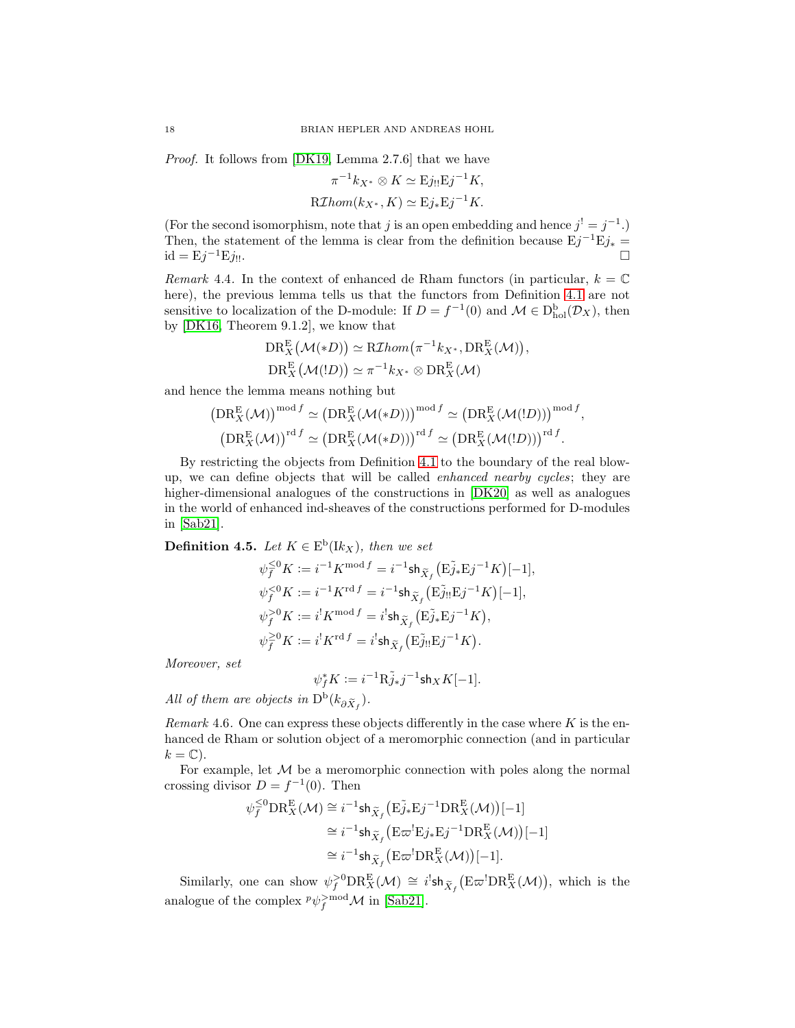*Proof.* It follows from [\[DK19,](#page-29-21) Lemma 2.7.6] that we have

$$
\pi^{-1}k_{X^*} \otimes K \simeq \mathrm{E}j_{!!}\mathrm{E}j^{-1}K,
$$
  
\nR*Thomas* $(k_{X^*}, K) \simeq \mathrm{E}j_*\mathrm{E}j^{-1}K.$ 

(For the second isomorphism, note that j is an open embedding and hence  $j^! = j^{-1}$ .) Then, the statement of the lemma is clear from the definition because  $Ej^{-1}Ej_* =$  $id = \mathrm{E}j^{-1}\mathrm{E}j_{!!}.$  $^{-1}$ Ej!!.

*Remark* 4.4. In the context of enhanced de Rham functors (in particular,  $k = \mathbb{C}$ ) here), the previous lemma tells us that the functors from Definition [4.1](#page-16-2) are not sensitive to localization of the D-module: If  $D = f^{-1}(0)$  and  $\mathcal{M} \in D_{hol}^{b}(\mathcal{D}_{X})$ , then by [\[DK16,](#page-29-1) Theorem 9.1.2], we know that

$$
DR_X^E(\mathcal{M}(*D)) \simeq R\mathcal{I}hom(\pi^{-1}k_{X^*}, DR_X^E(\mathcal{M})),
$$
  
\n
$$
DR_X^E(\mathcal{M}(!D)) \simeq \pi^{-1}k_{X^*} \otimes DR_X^E(\mathcal{M})
$$

and hence the lemma means nothing but

$$
(\text{DR}_X^{\mathcal{E}}(\mathcal{M}))^{\text{mod }f} \simeq (\text{DR}_X^{\mathcal{E}}(\mathcal{M}(*D)))^{\text{mod }f} \simeq (\text{DR}_X^{\mathcal{E}}(\mathcal{M}(!D)))^{\text{mod }f},
$$
  

$$
(\text{DR}_X^{\mathcal{E}}(\mathcal{M}))^{\text{rd }f} \simeq (\text{DR}_X^{\mathcal{E}}(\mathcal{M}(*D)))^{\text{rd }f} \simeq (\text{DR}_X^{\mathcal{E}}(\mathcal{M}(!D)))^{\text{rd }f}.
$$

By restricting the objects from Definition [4.1](#page-16-2) to the boundary of the real blowup, we can define objects that will be called *enhanced nearby cycles*; they are higher-dimensional analogues of the constructions in [\[DK20\]](#page-29-8) as well as analogues in the world of enhanced ind-sheaves of the constructions performed for D-modules in [\[Sab21\]](#page-30-0).

<span id="page-17-0"></span>**Definition 4.5.** *Let*  $K \in E^b(K_X)$ *, then we set* 

$$
\psi_f^{\leq 0} K := i^{-1} K^{\text{mod } f} = i^{-1} \text{sh}_{\widetilde{X}_f} \left( \mathbf{E} \widetilde{j}_* \mathbf{E} j^{-1} K \right)[-1],
$$
  

$$
\psi_f^{< 0} K := i^{-1} K^{\text{rd } f} = i^{-1} \text{sh}_{\widetilde{X}_f} \left( \mathbf{E} \widetilde{j}_! \mathbf{E} j^{-1} K \right)[-1],
$$
  

$$
\psi_f^{> 0} K := i^! K^{\text{mod } f} = i^! \text{sh}_{\widetilde{X}_f} \left( \mathbf{E} \widetilde{j}_* \mathbf{E} j^{-1} K \right),
$$
  

$$
\psi_f^{\geq 0} K := i^! K^{\text{rd } f} = i^! \text{sh}_{\widetilde{X}_f} \left( \mathbf{E} \widetilde{j}_! \mathbf{E} j^{-1} K \right).
$$

*Moreover, set*

$$
\psi_f^* K := i^{-1} \mathcal{R} \tilde{j}_* j^{-1} \mathsf{sh}_X K[-1].
$$

*All of them are objects in*  $D^b(k_{\partial \tilde{X}_f})$ *.* 

*Remark* 4.6. One can express these objects differently in the case where  $K$  is the enhanced de Rham or solution object of a meromorphic connection (and in particular  $k = \mathbb{C}$ .

For example, let  $M$  be a meromorphic connection with poles along the normal crossing divisor  $D = f^{-1}(0)$ . Then

$$
\psi_f^{\leq 0} \text{DR}_X^{\mathcal{E}}(\mathcal{M}) \cong i^{-1} \text{sh}_{\widetilde{X}_f} \left( \mathcal{E}_{J*} \widetilde{\mathcal{E}}_j^{-1} \text{DR}_X^{\mathcal{E}}(\mathcal{M}) \right) [-1]
$$
  
\n
$$
\cong i^{-1} \text{sh}_{\widetilde{X}_f} \left( \mathcal{E} \varpi^! \mathcal{E} j_* \mathcal{E} j^{-1} \text{DR}_X^{\mathcal{E}}(\mathcal{M}) \right) [-1]
$$
  
\n
$$
\cong i^{-1} \text{sh}_{\widetilde{X}_f} \left( \mathcal{E} \varpi^! \text{DR}_X^{\mathcal{E}}(\mathcal{M}) \right) [-1].
$$

Similarly, one can show  $\psi_f^{>0} \text{DR}_X^{\mathcal{E}}(\mathcal{M}) \cong i^!\mathsf{sh}_{\widetilde{X}_f}(\text{E}\varpi^!\text{DR}_X^{\mathcal{E}}(\mathcal{M})),$  which is the analogue of the complex  $^p\psi_f^{>mod}\mathcal{M}$  in [\[Sab21\]](#page-30-0).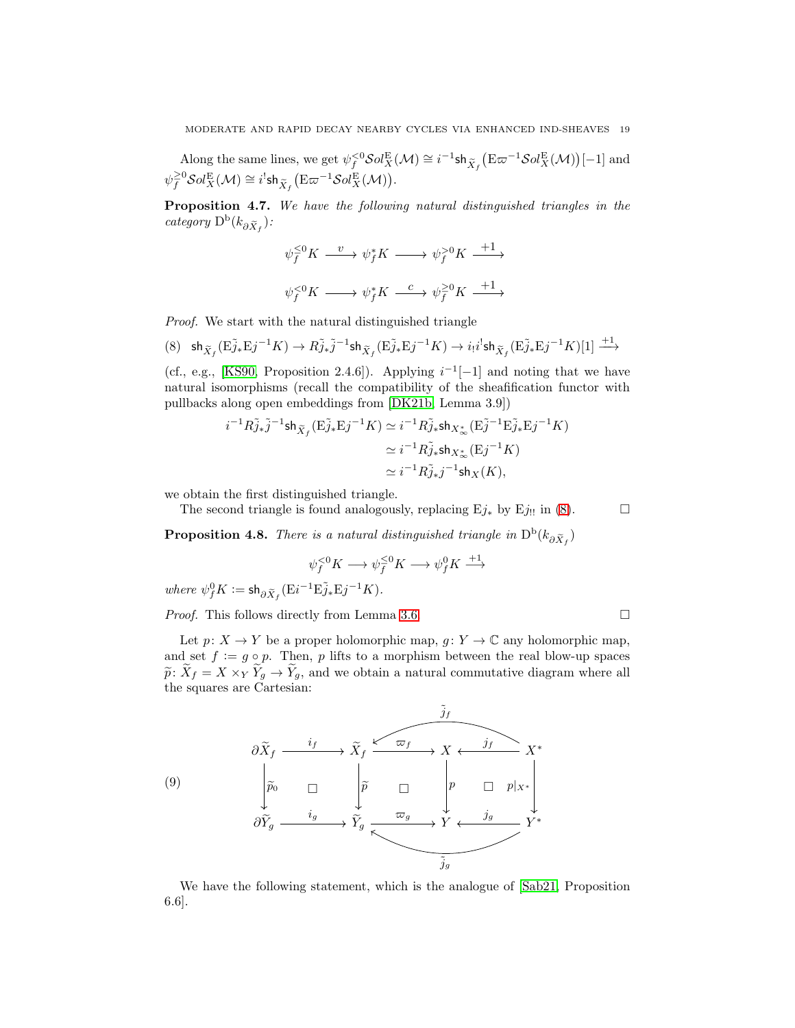Along the same lines, we get  $\psi_f^{<0} \mathcal{S}ol_X^{\mathcal{E}}(\mathcal{M}) \cong i^{-1} \mathsf{sh}_{\widetilde{X}_f} (\mathcal{E} \varpi^{-1} \mathcal{S}ol_X^{\mathcal{E}}(\mathcal{M}))[-1]$  and  $\psi_f^{\geq 0} {\mathcal S}ol^{\mathcal E}_X({\mathcal M}) \cong i^!{\mathsf {sh}}_{{\widetilde{X}}_f}\bigl({\mathcal E} \varpi^{-1} {\mathcal S}ol^{\mathcal E}_X({\mathcal M})\bigr).$ 

<span id="page-18-2"></span>Proposition 4.7. *We have the following natural distinguished triangles in the category*  $D^b(k_{\partial \widetilde{X}_f})$ *:* 

$$
\begin{aligned} \psi_f^{\leq 0} K @>v \to \psi_f^* K @>>> \psi_f^{> 0} K @>+1>> \\ \psi_f^{< 0} K @>>> \psi_f^* K @>c>> \psi_f^{\geq 0} K @>+1>> \end{aligned}
$$

*Proof.* We start with the natural distinguished triangle

<span id="page-18-0"></span>
$$
(8) \quad \mathsf{sh}_{\widetilde{X}_f}(\mathrm{E} \widetilde{j}_* \mathrm{E} j^{-1} K) \rightarrow R \widetilde{j}_* \widetilde{j}^{-1} \mathsf{sh}_{\widetilde{X}_f} (\mathrm{E} \widetilde{j}_* \mathrm{E} j^{-1} K) \rightarrow i_! i^! \mathsf{sh}_{\widetilde{X}_f} (\mathrm{E} \widetilde{j}_* \mathrm{E} j^{-1} K) [1] \xrightarrow{+1}
$$

(cf., e.g., [\[KS90,](#page-29-12) Proposition 2.4.6]). Applying  $i^{-1}[-1]$  and noting that we have natural isomorphisms (recall the compatibility of the sheafification functor with pullbacks along open embeddings from [\[DK21b,](#page-29-15) Lemma 3.9])

$$
i^{-1}R\tilde{j}_*\tilde{j}^{-1}\text{sh}_{\tilde{X}_f}(\mathbf{E}\tilde{j}_*\mathbf{E}j^{-1}K) \simeq i^{-1}R\tilde{j}_*\text{sh}_{X^*_{\infty}}(\mathbf{E}\tilde{j}^{-1}\mathbf{E}\tilde{j}_*\mathbf{E}j^{-1}K)
$$

$$
\simeq i^{-1}R\tilde{j}_*\text{sh}_{X^*_{\infty}}(\mathbf{E}j^{-1}K)
$$

$$
\simeq i^{-1}R\tilde{j}_*j^{-1}\text{sh}_X(K),
$$

we obtain the first distinguished triangle.

The second triangle is found analogously, replacing  $Ej_*$  by  $Ej_{!!}$  in [\(8\)](#page-18-0).

**Proposition 4.8.** *There is a natural distinguished triangle in*  $D^b(k_{\partial \tilde{X}_f})$ 

$$
\psi_f^{<0} K \longrightarrow \psi_f^{\leq 0} K \longrightarrow \psi_f^0 K \stackrel{+1}{\longrightarrow}
$$

 $where \ \psi_f^0 K := \mathsf{sh}_{\partial \widetilde{X}_f} (\mathbf{E} i^{-1} \mathbf{E} \widetilde{j}_* \mathbf{E} j^{-1} K).$ 

*Proof.* This follows directly from Lemma [3.6.](#page-15-1) □

Let  $p: X \to Y$  be a proper holomorphic map,  $q: Y \to \mathbb{C}$  any holomorphic map, and set  $f := g \circ p$ . Then, p lifts to a morphism between the real blow-up spaces  $\widetilde{p}: \widetilde{X}_f = X \times_Y \widetilde{Y}_g \to \widetilde{Y}_g$ , and we obtain a natural commutative diagram where all the squares are Cartesian:

<span id="page-18-1"></span>

We have the following statement, which is the analogue of [\[Sab21,](#page-30-0) Proposition 6.6].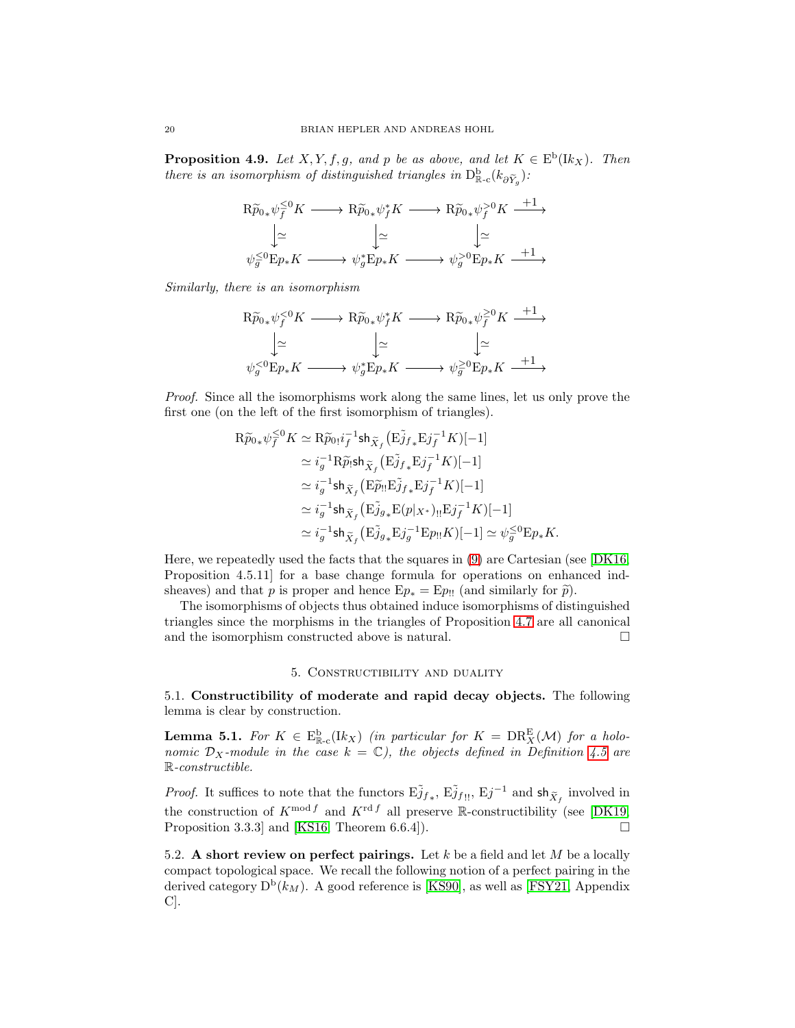**Proposition 4.9.** Let  $X, Y, f, g$ , and p be as above, and let  $K \in E^b(\mathbb{I}k_X)$ . Then *there is an isomorphism of distinguished triangles in*  $D_{\mathbb{R}-c}^{\mathbf{b}}(k_{\partial \widetilde{Y}_g})$ :

$$
\begin{array}{ccc}\n\mathrm{R}\widetilde{p}_{0*}\psi_{f}^{\leq 0}K & \longrightarrow & \mathrm{R}\widetilde{p}_{0*}\psi_{f}^{*}K \longrightarrow & \mathrm{R}\widetilde{p}_{0*}\psi_{f}^{>0}K \stackrel{+1}{\longrightarrow} \\
\downarrow \simeq & \downarrow \simeq & \downarrow \simeq & \\
\psi_{g}^{\leq 0}\mathrm{E}p_{*}K & \longrightarrow & \psi_{g}^{*}\mathrm{E}p_{*}K \longrightarrow & \psi_{g}^{>0}\mathrm{E}p_{*}K \stackrel{+1}{\longrightarrow} \\
\end{array}
$$

*Similarly, there is an isomorphism*

$$
\begin{array}{ccc}\n\mathrm{R}\widetilde{p}_{0*}\psi_{f}^{<0}K & \longrightarrow& \mathrm{R}\widetilde{p}_{0*}\psi_{f}^{*}K \longrightarrow\mathrm{R}\widetilde{p}_{0*}\psi_{f}^{\geq 0}K \stackrel{+1}{\longrightarrow} \\
& \downarrow\simeq & \downarrow\simeq & \downarrow\simeq \\
\psi_{g}^{<0}\mathrm{E}p_{*}K & \longrightarrow& \psi_{g}^{*}\mathrm{E}p_{*}K \longrightarrow& \psi_{g}^{\geq 0}\mathrm{E}p_{*}K \stackrel{+1}{\longrightarrow} \\
\end{array}
$$

*Proof.* Since all the isomorphisms work along the same lines, let us only prove the first one (on the left of the first isomorphism of triangles).

$$
\begin{aligned} \mathrm{R}\widetilde{p}_{0*}\psi_{f}^{\leq 0}K &\simeq \mathrm{R}\widetilde{p}_{0!}i_{f}^{-1}\mathrm{sh}_{\widetilde{X}_{f}}\big(\mathrm{E}\widetilde{j}_{f*}\mathrm{E}j_{f}^{-1}K\big)[-1] \\ &\simeq i_{g}^{-1}\mathrm{R}\widetilde{p}_{!}\mathrm{sh}_{\widetilde{X}_{f}}\big(\mathrm{E}\widetilde{j}_{f*}\mathrm{E}j_{f}^{-1}K\big)[-1] \\ &\simeq i_{g}^{-1}\mathrm{sh}_{\widetilde{X}_{f}}\big(\mathrm{E}\widetilde{p}_{!}\mathrm{E}\widetilde{j}_{f*}\mathrm{E}j_{f}^{-1}K\big)[-1] \\ &\simeq i_{g}^{-1}\mathrm{sh}_{\widetilde{X}_{f}}\big(\mathrm{E}\widetilde{j}_{g*}\mathrm{E}(p|x\ast)_{!!}\mathrm{E}j_{f}^{-1}K\big)[-1] \\ &\simeq i_{g}^{-1}\mathrm{sh}_{\widetilde{X}_{f}}\big(\mathrm{E}\widetilde{j}_{g*}\mathrm{E}j_{g}^{-1}\mathrm{E}p_{!!}K\big)[-1] \simeq \psi_{g}^{\leq 0}\mathrm{E}p_{*}K. \end{aligned}
$$

Here, we repeatedly used the facts that the squares in [\(9\)](#page-18-1) are Cartesian (see [\[DK16,](#page-29-1) Proposition 4.5.11] for a base change formula for operations on enhanced indsheaves) and that p is proper and hence  $Ep_* = Ep_{!!}$  (and similarly for  $\tilde{p}$ ).

The isomorphisms of objects thus obtained induce isomorphisms of distinguished triangles since the morphisms in the triangles of Proposition [4.7](#page-18-2) are all canonical and the isomorphism constructed above is natural.  $\Box$ 

### 5. Constructibility and duality

<span id="page-19-1"></span><span id="page-19-0"></span>5.1. Constructibility of moderate and rapid decay objects. The following lemma is clear by construction.

<span id="page-19-3"></span>**Lemma 5.1.** For  $K \in \mathbb{E}_{\mathbb{R}_{\infty}}^{\mathbb{b}}(lk_X)$  *(in particular for*  $K = \text{DR}_X^{\mathbb{E}}(\mathcal{M})$  *for a holonomic*  $D_X$ *-module in the case*  $k = \mathbb{C}$ *), the objects defined in Definition* [4.5](#page-17-0) *are* R*-constructible.*

*Proof.* It suffices to note that the functors  $E\tilde{j}_{f*}$ ,  $E\tilde{j}_{f}$ <sub>!!</sub>,  $Ej^{-1}$  and  $sh_{\tilde{X}_f}$  involved in the construction of  $K^{\text{mod }f}$  and  $K^{\text{rd }f}$  all preserve R-constructibility (see [\[DK19,](#page-29-21) Proposition 3.3.3] and [\[KS16,](#page-29-10) Theorem 6.6.4]).  $\Box$ 

<span id="page-19-2"></span>5.2. A short review on perfect pairings. Let  $k$  be a field and let  $M$  be a locally compact topological space. We recall the following notion of a perfect pairing in the derived category  $D^b(k_M)$ . A good reference is [\[KS90\]](#page-29-12), as well as [\[FSY21,](#page-29-23) Appendix C].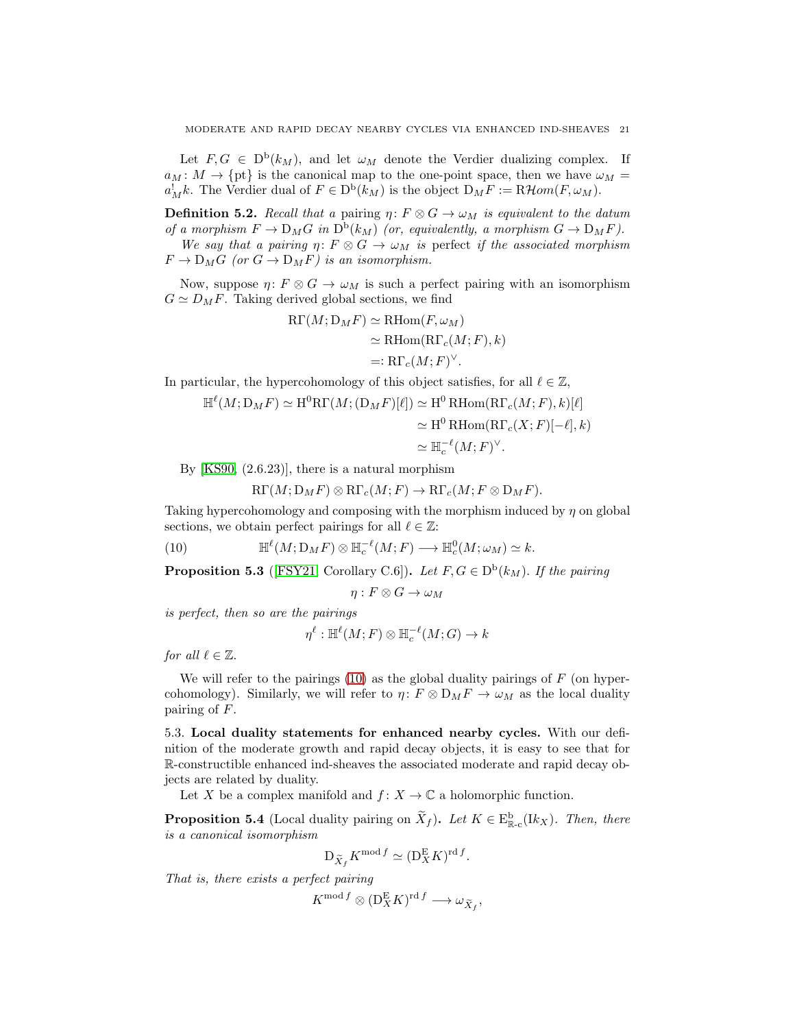Let  $F, G \in D^b(k_M)$ , and let  $\omega_M$  denote the Verdier dualizing complex. If  $a_M: M \to \{\text{pt}\}\$ is the canonical map to the one-point space, then we have  $\omega_M =$  $a_M^!k$ . The Verdier dual of  $F \in D^b(k_M)$  is the object  $D_M F := \mathbb{R} \mathcal{H}$ *om* $(F, \omega_M)$ .

**Definition 5.2.** *Recall that a* pairing  $\eta: F \otimes G \to \omega_M$  *is equivalent to the datum of a morphism*  $F \to D_M G$  *in*  $D^b(k_M)$  *(or, equivalently, a morphism*  $G \to D_M F$ *).* 

*We say that a pairing*  $\eta: F \otimes G \to \omega_M$  *is* perfect *if the associated morphism*  $F \to D_M G$  (or  $G \to D_M F$ ) is an isomorphism.

Now, suppose  $\eta: F \otimes G \to \omega_M$  is such a perfect pairing with an isomorphism  $G \simeq D_M F$ . Taking derived global sections, we find

$$
R\Gamma(M; D_M F) \simeq R\text{Hom}(F, \omega_M)
$$
  
\n
$$
\simeq R\text{Hom}(R\Gamma_c(M; F), k)
$$
  
\n
$$
=: R\Gamma_c(M; F)^{\vee}.
$$

In particular, the hypercohomology of this object satisfies, for all  $\ell \in \mathbb{Z}$ ,

$$
\mathbb{H}^{\ell}(M; \mathcal{D}_{M} F) \simeq \mathrm{H}^{0} \mathrm{R} \Gamma(M; (\mathcal{D}_{M} F)[\ell]) \simeq \mathrm{H}^{0} \mathrm{R} \mathrm{Hom}(\mathrm{R} \Gamma_{c}(M; F), k)[\ell] \simeq \mathrm{H}^{0} \mathrm{R} \mathrm{Hom}(\mathrm{R} \Gamma_{c}(X; F)[- \ell], k) \simeq \mathbb{H}_{c}^{-\ell}(M; F)^{\vee}.
$$

By [\[KS90,](#page-29-12) (2.6.23)], there is a natural morphism

<span id="page-20-1"></span>
$$
\mathrm{R}\Gamma(M;\mathrm{D}_MF)\otimes \mathrm{R}\Gamma_c(M;F)\to \mathrm{R}\Gamma_c(M;F\otimes \mathrm{D}_MF).
$$

Taking hypercohomology and composing with the morphism induced by  $\eta$  on global sections, we obtain perfect pairings for all  $\ell \in \mathbb{Z}$ :

(10) 
$$
\mathbb{H}^{\ell}(M; \mathcal{D}_M F) \otimes \mathbb{H}_c^{-\ell}(M; F) \longrightarrow \mathbb{H}_c^0(M; \omega_M) \simeq k.
$$

<span id="page-20-3"></span>**Proposition 5.3** ([\[FSY21,](#page-29-23) Corollary C.6]). Let  $F, G \in D^b(k_M)$ . If the pairing

$$
\eta:F\otimes G\to \omega_M
$$

*is perfect, then so are the pairings*

$$
\eta^{\ell} : \mathbb{H}^{\ell}(M; F) \otimes \mathbb{H}^{-\ell}_c(M; G) \to k
$$

*for all*  $\ell \in \mathbb{Z}$ *.* 

We will refer to the pairings  $(10)$  as the global duality pairings of F (on hypercohomology). Similarly, we will refer to  $\eta: F \otimes D_M F \to \omega_M$  as the local duality pairing of F.

<span id="page-20-0"></span>5.3. Local duality statements for enhanced nearby cycles. With our definition of the moderate growth and rapid decay objects, it is easy to see that for R-constructible enhanced ind-sheaves the associated moderate and rapid decay objects are related by duality.

Let X be a complex manifold and  $f: X \to \mathbb{C}$  a holomorphic function.

<span id="page-20-2"></span>**Proposition 5.4** (Local duality pairing on  $\tilde{X}_f$ ). Let  $K \in \mathbb{E}_{\mathbb{R}-c}^{\mathbf{b}}(lk_X)$ . Then, there *is a canonical isomorphism*

$$
\mathcal{D}_{\widetilde{X}_f} K^{\text{mod } f} \simeq (\mathcal{D}_X^{\mathcal{E}} K)^{\text{rd } f}
$$

.

*That is, there exists a perfect pairing*

$$
K^{\operatorname{mod} f}\otimes (\operatorname{D}^{\operatorname{E}}_X K)^{\operatorname{rd} f} \longrightarrow \omega_{\widetilde{X}_f},
$$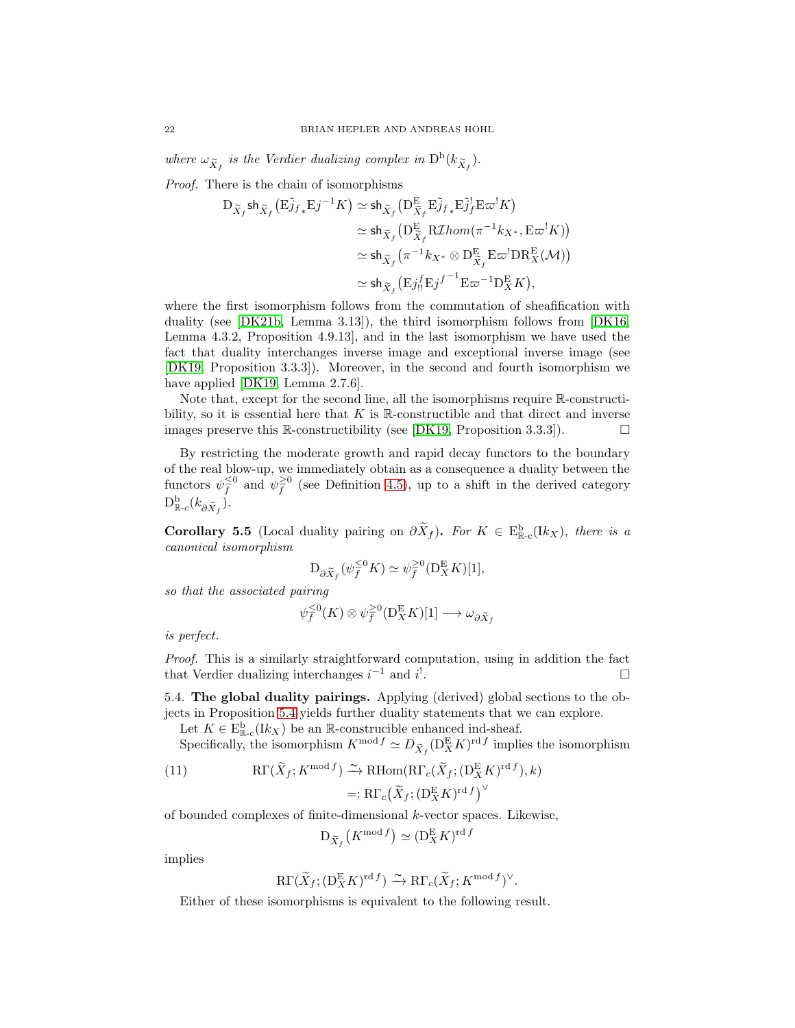where  $\omega_{\tilde{X}_f}$  is the Verdier dualizing complex in  $D^b(k_{\tilde{X}_f})$ .

*Proof.* There is the chain of isomorphisms

$$
\begin{split} \mathcal{D}_{\widetilde{X}_f} \mathsf{sh}_{\widetilde{X}_f} \big( \mathcal{E}_{Jf*}^{\widetilde{\jmath}} \mathcal{E}_{J}^{-1} K \big) &\simeq \mathsf{sh}_{\widetilde{X}_f} \big( \mathcal{D}_{\widetilde{X}_f}^{\mathcal{E}} \mathcal{E}_{Jf*}^{\widetilde{\jmath}} \mathcal{E}_{Jf}^{\widetilde{\jmath}} \mathcal{E}_{\varpi}^{-1} K \big) \\ &\simeq \mathsf{sh}_{\widetilde{X}_f} \big( \mathcal{D}_{\widetilde{X}_f}^{\mathcal{E}} \mathcal{R} \mathcal{I} hom(\pi^{-1} k_{X^*}, \mathcal{E} \varpi^! K) \big) \\ &\simeq \mathsf{sh}_{\widetilde{X}_f} \big( \pi^{-1} k_{X^*} \otimes \mathcal{D}_{\widetilde{X}_f}^{\mathcal{E}} \mathcal{E}^{-1} \mathcal{D} \mathcal{R}_{X}^{\mathcal{E}} (\mathcal{M}) \big) \\ &\simeq \mathsf{sh}_{\widetilde{X}_f} \big( \mathcal{E}_{JH}^{\widetilde{\jmath}} \mathcal{E}_{J}^{\widetilde{\jmath}}^{-1} \mathcal{E} \varpi^{-1} \mathcal{D}_{X}^{\mathcal{E}} K \big), \end{split}
$$

where the first isomorphism follows from the commutation of sheafification with duality (see [\[DK21b,](#page-29-15) Lemma 3.13]), the third isomorphism follows from [\[DK16,](#page-29-1) Lemma 4.3.2, Proposition 4.9.13], and in the last isomorphism we have used the fact that duality interchanges inverse image and exceptional inverse image (see [\[DK19,](#page-29-21) Proposition 3.3.3]). Moreover, in the second and fourth isomorphism we have applied [\[DK19,](#page-29-21) Lemma 2.7.6].

Note that, except for the second line, all the isomorphisms require R-constructibility, so it is essential here that  $K$  is R-constructible and that direct and inverse images preserve this R-constructibility (see [\[DK19,](#page-29-21) Proposition 3.3.3]).  $\Box$ 

By restricting the moderate growth and rapid decay functors to the boundary of the real blow-up, we immediately obtain as a consequence a duality between the functors  $\psi_f^{\leq 0}$  and  $\psi_f^{\geq 0}$  (see Definition [4.5\)](#page-17-0), up to a shift in the derived category  $\mathrm{D}^{\mathrm{b}}_{\mathbb{R}\text{-}c}(k_{\partial \widetilde{X}_f}).$ 

<span id="page-21-1"></span>**Corollary 5.5** (Local duality pairing on  $\partial \tilde{X}_f$ ). *For*  $K \in \mathbb{E}_{\mathbb{R}-c}^{\mathbb{b}}([k_X])$ , there is a *canonical isomorphism*

$$
D_{\partial \widetilde{X}_f}(\psi_f^{\leq 0} K) \simeq \psi_f^{\geq 0}(D_X^E K)[1],
$$

*so that the associated pairing*

$$
\psi_f^{\leq 0}(K) \otimes \psi_f^{\geq 0}(\mathcal{D}_X^{\mathcal{E}} K)[1] \longrightarrow \omega_{\partial \widetilde{X}_f}
$$

*is perfect.*

*Proof.* This is a similarly straightforward computation, using in addition the fact that Verdier dualizing interchanges  $i^{-1}$  and  $i'$ . В последните последните последните последните последните последните последните последните последните последн<br>В последните последните последните последните последните последните последните последните последните последнит

<span id="page-21-0"></span>5.4. The global duality pairings. Applying (derived) global sections to the objects in Proposition [5.4](#page-20-2) yields further duality statements that we can explore.

Let  $K \in \mathcal{E}_{\mathbb{R}-c}^{\mathbf{b}}(lk_X)$  be an  $\mathbb{R}$ -construcible enhanced ind-sheaf.

Specifically, the isomorphism  $K^{\text{mod } f} \simeq D_{\widetilde{X}_f}(\mathcal{D}_X^{\text{E}} K)^{\text{rd } f}$  implies the isomorphism

(11) 
$$
R\Gamma(\widetilde{X}_f; K^{\text{mod } f}) \xrightarrow{\sim} R\text{Hom}(R\Gamma_c(\widetilde{X}_f; (D^E_X K)^{\text{rd } f}), k)
$$

$$
=: R\Gamma_c(\widetilde{X}_f; (D^E_X K)^{\text{rd } f})^{\vee}
$$

of bounded complexes of finite-dimensional  $k$ -vector spaces. Likewise,

$$
\mathrm{D}_{\widetilde{X}_f}\left(K^{\operatorname{mod} f}\right) \simeq (\mathrm{D}_X^{\mathrm{E}} K)^{\operatorname{rd} f}
$$

implies

$$
\mathrm{R}\Gamma(\widetilde{X}_f;(\mathbf{D}_X^{\mathrm{E}}K)^{\mathrm{rd}\,f}) \xrightarrow{\sim} \mathrm{R}\Gamma_c(\widetilde{X}_f;K^{\mathrm{mod}\,f})^{\vee}.
$$

Either of these isomorphisms is equivalent to the following result.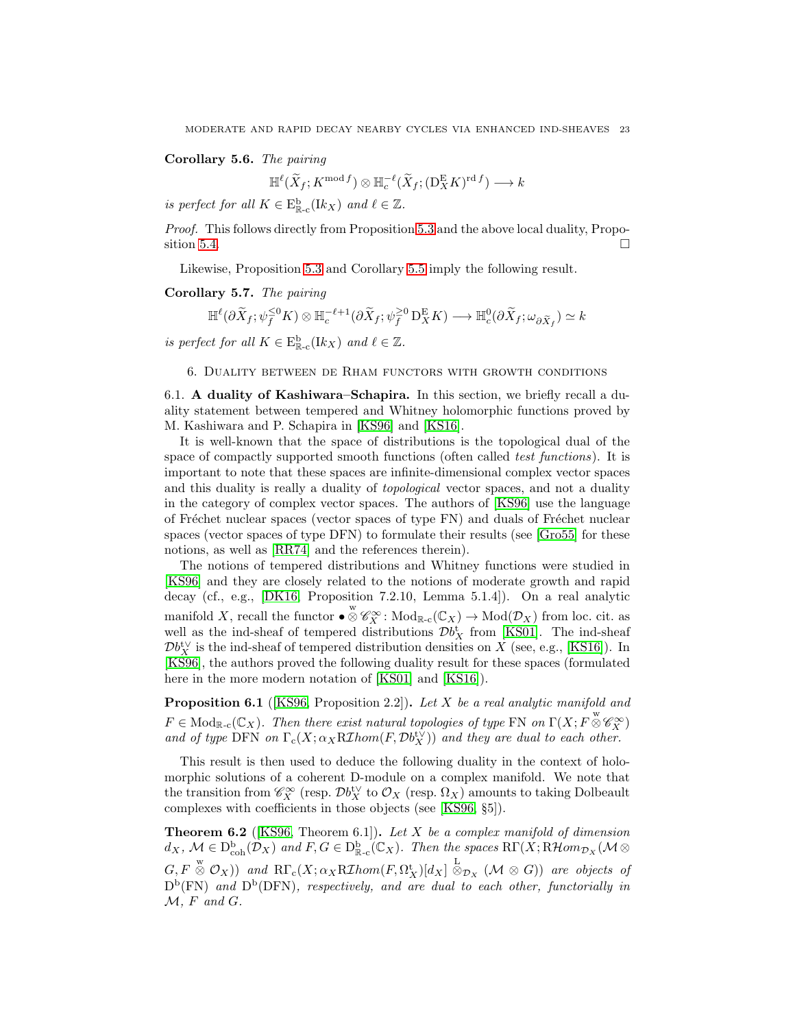### <span id="page-22-2"></span>Corollary 5.6. *The pairing*

$$
\mathbb{H}^{\ell}(\widetilde{X}_f; K^{\text{mod }f}) \otimes \mathbb{H}^{-\ell}_c(\widetilde{X}_f; (\mathbf{D}_X^{\mathbf{E}} K)^{\text{rd }f}) \longrightarrow k
$$

*is perfect for all*  $K \in E_{\mathbb{R}-c}^{\mathbf{b}}(\mathbf{I}k_X)$  *and*  $\ell \in \mathbb{Z}$ *.* 

*Proof.* This follows directly from Proposition [5.3](#page-20-3) and the above local duality, Propo-sition [5.4.](#page-20-2)  $\Box$ 

Likewise, Proposition [5.3](#page-20-3) and Corollary [5.5](#page-21-1) imply the following result.

Corollary 5.7. *The pairing*

$$
\mathbb{H}^{\ell}(\partial\widetilde{X}_f;\psi_f^{\leq 0}K)\otimes \mathbb{H}^{-\ell+1}_c(\partial\widetilde{X}_f;\psi_f^{\geq 0}\operatorname{D}^E_XK)\longrightarrow \mathbb{H}^0_c(\partial\widetilde{X}_f;\omega_{\partial\widetilde{X}_f})\simeq k
$$

<span id="page-22-0"></span>*is perfect for all*  $K \in E_{\mathbb{R}-c}^{\mathbf{b}}(\mathbf{I}k_X)$  *and*  $\ell \in \mathbb{Z}$ *.* 

6. Duality between de Rham functors with growth conditions

<span id="page-22-1"></span>6.1. A duality of Kashiwara–Schapira. In this section, we briefly recall a duality statement between tempered and Whitney holomorphic functions proved by M. Kashiwara and P. Schapira in [\[KS96\]](#page-29-11) and [\[KS16\]](#page-29-10).

It is well-known that the space of distributions is the topological dual of the space of compactly supported smooth functions (often called *test functions*). It is important to note that these spaces are infinite-dimensional complex vector spaces and this duality is really a duality of *topological* vector spaces, and not a duality in the category of complex vector spaces. The authors of [\[KS96\]](#page-29-11) use the language of Fréchet nuclear spaces (vector spaces of type FN) and duals of Fréchet nuclear spaces (vector spaces of type DFN) to formulate their results (see [\[Gro55\]](#page-29-24) for these notions, as well as [\[RR74\]](#page-29-25) and the references therein).

The notions of tempered distributions and Whitney functions were studied in [\[KS96\]](#page-29-11) and they are closely related to the notions of moderate growth and rapid decay (cf., e.g., [\[DK16,](#page-29-1) Proposition 7.2.10, Lemma 5.1.4]). On a real analytic manifold X, recall the functor  $\bullet \otimes^w \mathscr{C}_X^{\infty}$ :  $\text{Mod}_{\mathbb{R}\text{-}\mathrm{c}}(\mathbb{C}_X) \to \text{Mod}(\mathcal{D}_X)$  from loc. cit. as well as the ind-sheaf of tempered distributions  $\mathcal{D}b_X^{\dagger}$  from [\[KS01\]](#page-29-0). The ind-sheaf  $\mathcal{D}b^{\mathrm{t}\vee}_X$  is the ind-sheaf of tempered distribution densities on X (see, e.g., [\[KS16\]](#page-29-10)). In [\[KS96\]](#page-29-11), the authors proved the following duality result for these spaces (formulated here in the more modern notation of [\[KS01\]](#page-29-0) and [\[KS16\]](#page-29-10)).

Proposition 6.1 ([\[KS96,](#page-29-11) Proposition 2.2]). *Let* X *be a real analytic manifold and*  $F \in Mod_{\mathbb{R}^{\infty}}(\mathbb{C}_X)$ . Then there exist natural topologies of type FN on  $\Gamma(X; F \overset{w}{\otimes} \mathscr{C}_X^{\infty})$ *and of type* DFN *on*  $\Gamma_c(X; \alpha_X R\mathcal{I}hom(F, \mathcal{D}b_X^{t\vee}))$  *and they are dual to each other.* 

This result is then used to deduce the following duality in the context of holomorphic solutions of a coherent D-module on a complex manifold. We note that the transition from  $\mathscr{C}^\infty_X$  (resp.  $\mathcal{D}b_X^{\text{tV}}$  to  $\mathcal{O}_X$  (resp.  $\Omega_X$ ) amounts to taking Dolbeault complexes with coefficients in those objects (see [\[KS96,](#page-29-11) §5]).

Theorem 6.2 ([\[KS96,](#page-29-11) Theorem 6.1]). *Let* X *be a complex manifold of dimension*  $d_X$ ,  $\mathcal{M} \in D^{\text{b}}_{\text{coh}}(\mathcal{D}_X)$  and  $F, G \in D^{\text{b}}_{\mathbb{R}-\text{c}}(\mathbb{C}_X)$ *. Then the spaces*  $\mathrm{R}\Gamma(X;\text{R}\mathcal{H}om_{\mathcal{D}_X}(\mathcal{M}\otimes \mathcal{H}))$  $G, F \overset{w}{\otimes} \mathcal{O}_X$ )) and  $\mathrm{R}\Gamma_c(X; \alpha_X \mathrm{R}\mathcal{I}hom(F, \Omega_X^t)[d_X] \overset{\mathcal{L}}{\otimes}_{\mathcal{D}_X} (\mathcal{M} \otimes G))$  are objects of  $D^b(FN)$  and  $D^b(DFN)$ , respectively, and are dual to each other, functorially in  $M$ *, F and G.*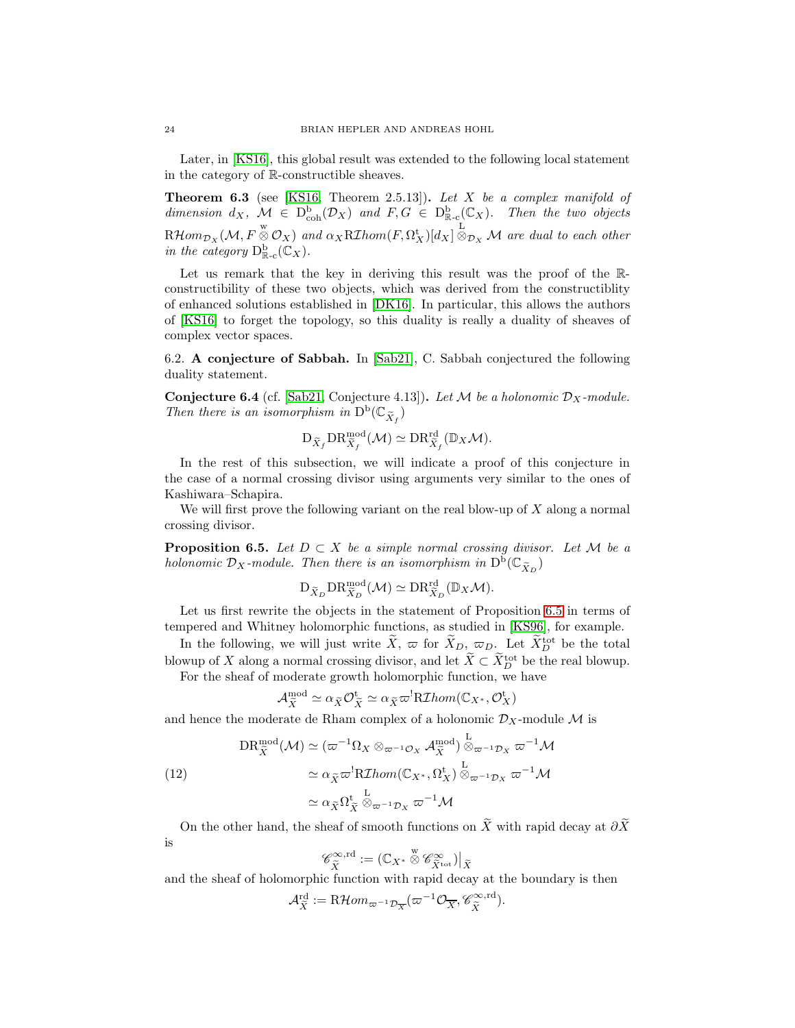Later, in [\[KS16\]](#page-29-10), this global result was extended to the following local statement in the category of R-constructible sheaves.

Theorem 6.3 (see [\[KS16,](#page-29-10) Theorem 2.5.13]). *Let* X *be a complex manifold of* dimension  $d_X$ ,  $\mathcal{M} \in D^b_{coh}(\mathcal{D}_X)$  and  $F, G \in D^b_{\mathbb{R}-c}(\mathbb{C}_X)$ . Then the two objects  $R\mathcal{H}om_{\mathcal{D}_X}(\mathcal{M}, F\overset{\text{w}}{\otimes}\mathcal{O}_X)$  and  $\alpha_XR\mathcal{I}hom(F, \Omega_X^{\mathbf{t}})[d_X]\overset{\text{L}}{\otimes}_{\mathcal{D}_X}\mathcal{M}$  are dual to each other *in the category*  $D_{\mathbb{R}-c}^b(\mathbb{C}_X)$ .

Let us remark that the key in deriving this result was the proof of the Rconstructibility of these two objects, which was derived from the constructiblity of enhanced solutions established in [\[DK16\]](#page-29-1). In particular, this allows the authors of [\[KS16\]](#page-29-10) to forget the topology, so this duality is really a duality of sheaves of complex vector spaces.

<span id="page-23-0"></span>6.2. A conjecture of Sabbah. In [\[Sab21\]](#page-30-0), C. Sabbah conjectured the following duality statement.

**Conjecture 6.4** (cf. [\[Sab21,](#page-30-0) Conjecture 4.13]). Let M be a holonomic  $D_X$ -module. Then there is an isomorphism in  $D^b(\mathbb{C}_{\widetilde{X}_f})$ 

$$
\mathrm{D}_{\widetilde{X}_f} \mathrm{DR}^{\mathrm{mod}}_{\widetilde{X}_f}(\mathcal{M}) \simeq \mathrm{DR}^{\mathrm{rd}}_{\widetilde{X}_f}(\mathbb{D}_X \mathcal{M}).
$$

In the rest of this subsection, we will indicate a proof of this conjecture in the case of a normal crossing divisor using arguments very similar to the ones of Kashiwara–Schapira.

We will first prove the following variant on the real blow-up of  $X$  along a normal crossing divisor.

<span id="page-23-1"></span>**Proposition 6.5.** *Let*  $D \subset X$  *be a simple normal crossing divisor. Let*  $M$  *be a holonomic*  $\mathcal{D}_X$ -module. Then there is an isomorphism in  $D^b(\mathbb{C}_{\widetilde{X}_D})$ 

$$
\mathrm{D}_{\widetilde{X}_D}\mathrm{DR}^{\mathrm{mod}}_{\widetilde{X}_D}(\mathcal{M})\simeq \mathrm{DR}^{\mathrm{rd}}_{\widetilde{X}_D}(\mathbb{D}_X\mathcal{M}).
$$

Let us first rewrite the objects in the statement of Proposition [6.5](#page-23-1) in terms of tempered and Whitney holomorphic functions, as studied in [\[KS96\]](#page-29-11), for example.

In the following, we will just write  $\tilde{X}, \varpi$  for  $\tilde{X}_D, \varpi_D$ . Let  $\tilde{X}_D^{\text{tot}}$  be the total blowup of X along a normal crossing divisor, and let  $\tilde{X} \subset \tilde{X}_{D}^{\text{tot}}$  be the real blowup.

For the sheaf of moderate growth holomorphic function, we have

$$
\mathcal{A}_{\tilde{X}}^{\text{mod}} \simeq \alpha_{\tilde{X}} \mathcal{O}_{\tilde{X}}^{\text{t}} \simeq \alpha_{\tilde{X}} \varpi^! \text{R} \mathcal{I} \text{hom}(\mathbb{C}_{X^*}, \mathcal{O}_X^{\text{t}})
$$

and hence the moderate de Rham complex of a holonomic  $\mathcal{D}_X$ -module M is

<span id="page-23-2"></span>(12)  
\n
$$
DR_{\tilde{X}}^{\text{mod}}(\mathcal{M}) \simeq (\varpi^{-1}\Omega_X \otimes_{\varpi^{-1}\mathcal{O}_X} \mathcal{A}_{\tilde{X}}^{\text{mod}}) \overset{\text{L}}{\otimes}_{\varpi^{-1}\mathcal{D}_X} \varpi^{-1}\mathcal{M}
$$
\n
$$
\simeq \alpha_{\tilde{X}} \varpi^! R \mathcal{I}hom(\mathbb{C}_{X^*}, \Omega_X^t) \overset{\text{L}}{\otimes}_{\varpi^{-1}\mathcal{D}_X} \varpi^{-1}\mathcal{M}
$$
\n
$$
\simeq \alpha_{\tilde{X}} \Omega_{\tilde{X}}^t \overset{\text{L}}{\otimes}_{\varpi^{-1}\mathcal{D}_X} \varpi^{-1}\mathcal{M}
$$

On the other hand, the sheaf of smooth functions on  $\widetilde{X}$  with rapid decay at  $\partial \widetilde{X}$ is

$$
\mathscr{C}^{\infty,\mathrm{rd}}_{\tilde{X}}:= (\mathbb{C}_{X^*}\overset{\mathrm{w}}{\otimes} \mathscr{C}^{\infty}_{\tilde{X}^\mathrm{tot}})\big|_{\tilde{X}}
$$

and the sheaf of holomorphic function with rapid decay at the boundary is then

$$
\mathcal{A}_{\tilde{X}}^{\text{rd}} := \text{R}\mathcal{H}om_{\varpi^{-1}\mathcal{D}_{\overline{X}}}(\varpi^{-1}\mathcal{O}_{\overline{X}}, \mathscr{C}_{\tilde{X}}^{\infty, \text{rd}}).
$$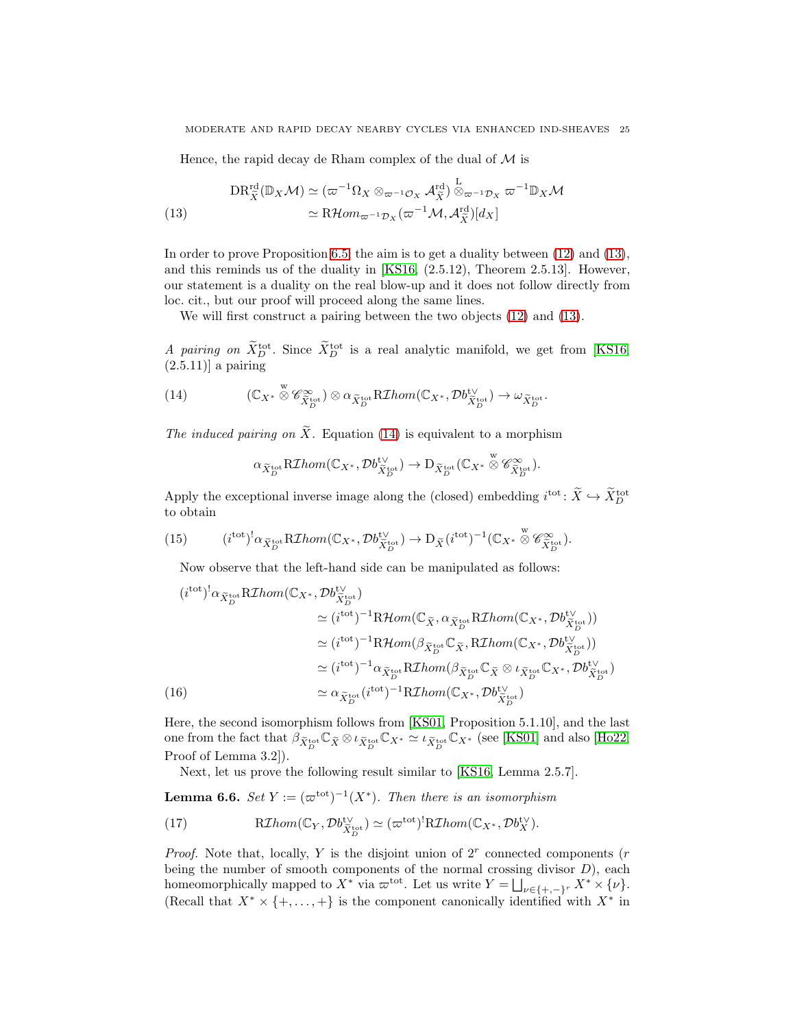Hence, the rapid decay de Rham complex of the dual of  $\mathcal M$  is

<span id="page-24-0"></span>(13) 
$$
DR_{\tilde{X}}^{\text{rd}}(\mathbb{D}_X \mathcal{M}) \simeq (\varpi^{-1}\Omega_X \otimes_{\varpi^{-1}\mathcal{O}_X} \mathcal{A}_{\tilde{X}}^{\text{rd}}) \stackrel{\text{L}}{\otimes}_{\varpi^{-1}\mathcal{D}_X} \varpi^{-1} \mathbb{D}_X \mathcal{M}
$$

$$
\simeq R\mathcal{H}om_{\varpi^{-1}\mathcal{D}_X}(\varpi^{-1}\mathcal{M}, \mathcal{A}_{\tilde{X}}^{\text{rd}})[d_X]
$$

In order to prove Proposition [6.5,](#page-23-1) the aim is to get a duality between [\(12\)](#page-23-2) and [\(13\)](#page-24-0), and this reminds us of the duality in [\[KS16,](#page-29-10) (2.5.12), Theorem 2.5.13]. However, our statement is a duality on the real blow-up and it does not follow directly from loc. cit., but our proof will proceed along the same lines.

We will first construct a pairing between the two objects [\(12\)](#page-23-2) and [\(13\)](#page-24-0).

*A pairing on*  $\tilde{X}_{D}^{\text{tot}}$ . Since  $\tilde{X}_{D}^{\text{tot}}$  is a real analytic manifold, we get from [\[KS16,](#page-29-10)  $(2.5.11)$ ] a pairing

(14) 
$$
(\mathbb{C}_{X^*} \overset{\text{w}}{\otimes} \mathscr{C}_{\widetilde{X}_D^{\text{tot}}}^{\infty}) \otimes \alpha_{\widetilde{X}_D^{\text{tot}}} R\mathcal{I}hom(\mathbb{C}_{X^*}, \mathcal{D}b_{\widetilde{X}_D^{\text{tot}}}^{\text{t}}) \to \omega_{\widetilde{X}_D^{\text{tot}}}.
$$

*The induced pairing on*  $\widetilde{X}$ . Equation [\(14\)](#page-24-1) is equivalent to a morphism

<span id="page-24-1"></span>
$$
\alpha_{\widetilde{X}^{\mathrm{tot}}_{D}}\mathrm{R}\mathcal{I}hom(\mathbb{C}_{X^*},\mathcal{D}b_{\widetilde{X}^{\mathrm{tot}}_{D}}^{\mathrm{t}\vee})\to \mathrm{D}_{\widetilde{X}^{\mathrm{tot}}_{D}}(\mathbb{C}_{X^*}\overset{\mathrm{w}}{\otimes} \mathscr{C}^{\infty}_{\widetilde{X}^{\mathrm{tot}}_{D}}).
$$

Apply the exceptional inverse image along the (closed) embedding  $i^{\text{tot}}$ :  $\bar{X} \hookrightarrow \bar{X}_{D}^{\text{tot}}$ to obtain

(15) 
$$
(i^{\text{tot}})^! \alpha_{\tilde{X}_D^{\text{tot}}} R \mathcal{I} hom(\mathbb{C}_{X^*}, \mathcal{D}b_{\tilde{X}_D^{\text{tot}}}^{\text{tot}}) \to D_{\tilde{X}}(i^{\text{tot}})^{-1}(\mathbb{C}_{X^*} \overset{\text{w}}{\otimes} \mathscr{C}_{\tilde{X}_D^{\text{tot}}}^{\infty}).
$$

<span id="page-24-4"></span>Now observe that the left-hand side can be manipulated as follows:

$$
(itot)1 \alpha_{\tilde{X}_{D}^{tot}} RThom(\mathbb{C}_{X^*}, \mathcal{D}b_{\tilde{X}_{D}^{tot}}^{t\vee})
$$
  
\n
$$
\simeq (itot)^{-1} RHom(\mathbb{C}_{\tilde{X}}, \alpha_{\tilde{X}_{D}^{tot}} RThom(\mathbb{C}_{X^*}, \mathcal{D}b_{\tilde{X}_{D}^{tot}}^{t\vee}))
$$
  
\n
$$
\simeq (itot)^{-1} RHom(\beta_{\tilde{X}_{D}^{tot}} \mathbb{C}_{\tilde{X}}, RThom(\mathbb{C}_{X^*}, \mathcal{D}b_{\tilde{X}_{D}^{tot}}^{t\vee}))
$$
  
\n
$$
\simeq (itot)^{-1} \alpha_{\tilde{X}_{D}^{tot}} RThom(\beta_{\tilde{X}_{D}^{tot}} \mathbb{C}_{\tilde{X}} \otimes \iota_{\tilde{X}_{D}^{tot}}^{t\vee} \mathbb{C}_{X^*}, \mathcal{D}b_{\tilde{X}_{D}^{tot}}^{t\vee})
$$
  
\n(16)  
\n
$$
\simeq \alpha_{\tilde{X}_{D}^{tot}}(itot)^{-1} RThom(\mathbb{C}_{X^*}, \mathcal{D}b_{\tilde{X}_{D}^{tot}}^{t\vee})
$$

<span id="page-24-3"></span>Here, the second isomorphism follows from [\[KS01,](#page-29-0) Proposition 5.1.10], and the last one from the fact that  $\beta_{\widetilde{X}_{D}^{\text{tot}}} \mathbb{C}_{\widetilde{X}} \otimes \iota_{\widetilde{X}_{D}^{\text{tot}}} \mathbb{C}_{X^*} \simeq \iota_{\widetilde{X}_{D}^{\text{tot}}} \mathbb{C}_{X^*}$  (see [\[KS01\]](#page-29-0) and also [\[Ho22,](#page-29-26) Proof of Lemma 3.2]).

Next, let us prove the following result similar to [\[KS16,](#page-29-10) Lemma 2.5.7].

**Lemma 6.6.** *Set*  $Y := (\varpi^{\text{tot}})^{-1}(X^*)$ . Then there is an isomorphism

<span id="page-24-2"></span>(17) 
$$
\mathrm{R}\mathcal{I}hom(\mathbb{C}_Y, \mathcal{D}b_{\tilde{X}_D^{\mathrm{tot}}}^{\mathrm{t}\vee}) \simeq (\varpi^{\mathrm{tot}})^{\mathrm{l}}\mathrm{R}\mathcal{I}hom(\mathbb{C}_{X^*}, \mathcal{D}b_X^{\mathrm{t}\vee}).
$$

*Proof.* Note that, locally, Y is the disjoint union of  $2<sup>r</sup>$  connected components (r being the number of smooth components of the normal crossing divisor  $D$ ), each homeomorphically mapped to  $X^*$  via  $\varpi^{\text{tot}}$ . Let us write  $Y = \bigsqcup_{\nu \in \{+,-\}^r} X^* \times \{\nu\}$ . (Recall that  $X^* \times \{+, \ldots, +\}$  is the component canonically identified with  $X^*$  in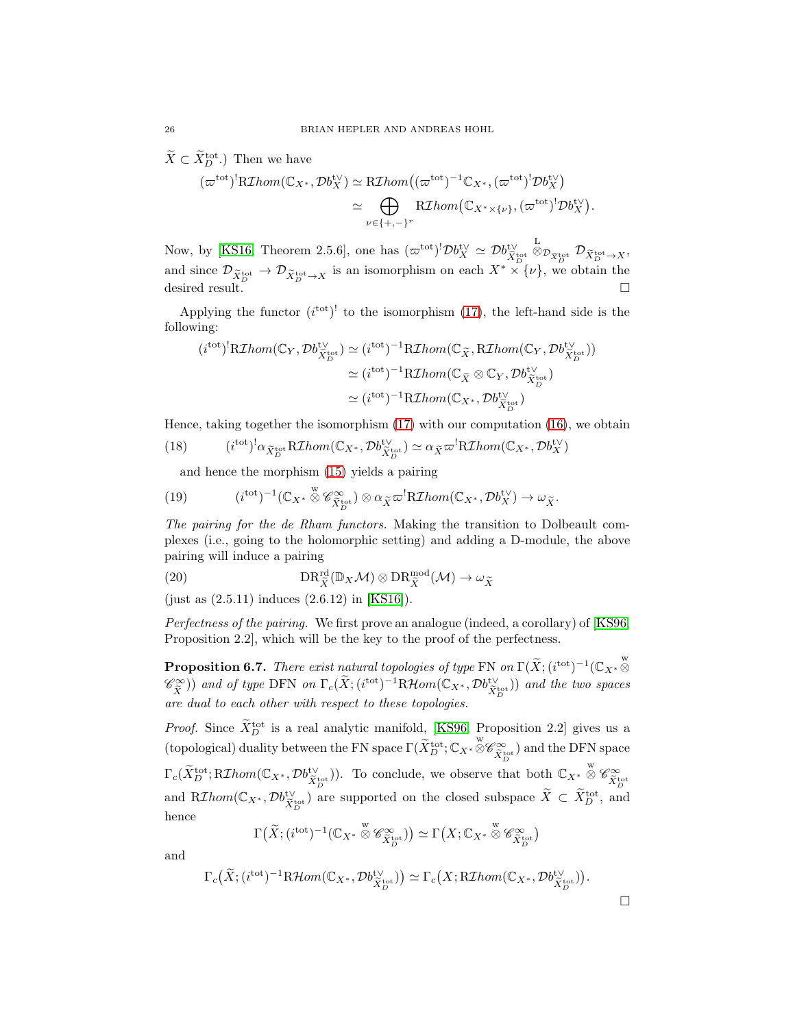$\tilde{X} \subset \tilde{X}_D^{\text{tot}}$ .) Then we have

$$
(\varpi^{\text{tot}})^{!} R\mathcal{I}hom(\mathbb{C}_{X^*}, \mathcal{D}b_X^{\text{tV}}) \simeq R\mathcal{I}hom((\varpi^{\text{tot}})^{-1}\mathbb{C}_{X^*}, (\varpi^{\text{tot}})^{!}\mathcal{D}b_X^{\text{tV}})
$$

$$
\simeq \bigoplus_{\nu \in \{+,-\}^r} R\mathcal{I}hom(\mathbb{C}_{X^*\times \{\nu\}}, (\varpi^{\text{tot}})^{!}\mathcal{D}b_X^{\text{tV}}).
$$

Now, by [\[KS16,](#page-29-10) Theorem 2.5.6], one has  $(\varpi^{\text{tot}})^! \mathcal{D} b_X^{\text{tV}} \simeq \mathcal{D} b_{\widetilde{X}_D^{\text{tot}}}^{\text{tV}}$ L<br>  $\otimes_{\mathcal{D}_{\widetilde{X}_D^{\mathrm{tot}}}} \mathcal{D}_{\widetilde{X}_D^{\mathrm{tot}} \to X},$ and since  $\mathcal{D}_{\tilde{X}_D^{\text{tot}} \to \mathcal{D}_{\tilde{X}_D^{\text{tot}} \to X}}$  is an isomorphism on each  $X^* \times \{\nu\}$ , we obtain the desired result.  $\Box$ 

Applying the functor  $(i<sup>tot</sup>)<sup>!</sup>$  to the isomorphism [\(17\)](#page-24-2), the left-hand side is the following:

$$
(itot)!RIhom(\mathbb{C}_Y, \mathcal{D}b_{\widetilde{X}_D^{tot}}^{\vee}) \simeq (itot)^{-1}RIhom(\mathbb{C}_{\widetilde{X}}, RIhom(\mathbb{C}_Y, \mathcal{D}b_{\widetilde{X}_D^{tot}}^{\vee}))
$$
  

$$
\simeq (itot)^{-1}RIhom(\mathbb{C}_{\widetilde{X}} \otimes \mathbb{C}_Y, \mathcal{D}b_{\widetilde{X}_D^{tot}}^{\vee})
$$
  

$$
\simeq (itot)^{-1}RIhom(\mathbb{C}_{X^*}, \mathcal{D}b_{\widetilde{X}_D^{tot}}^{\vee})
$$

Hence, taking together the isomorphism  $(17)$  with our computation  $(16)$ , we obtain

(18) 
$$
(itot)1 \alpha_{\tilde{X}_D^{tot}} R \mathcal{I} hom(\mathbb{C}_{X^*}, \mathcal{D}b_{\tilde{X}_D^{tot}}^{t\vee}) \simeq \alpha_{\tilde{X}} \varpi^! R \mathcal{I} hom(\mathbb{C}_{X^*}, \mathcal{D}b_X^{t\vee})
$$

and hence the morphism [\(15\)](#page-24-4) yields a pairing

(19) 
$$
(i^{\text{tot}})^{-1}(\mathbb{C}_{X^*} \overset{\text{w}}{\otimes} \mathscr{C}_{\widetilde{X}_D^{\text{tot}}}^{\infty}) \otimes \alpha_{\widetilde{X}} \varpi^! R \mathcal{I}hom(\mathbb{C}_{X^*}, \mathcal{D}b_X^{\text{tv}}) \to \omega_{\widetilde{X}}.
$$

*The pairing for the de Rham functors.* Making the transition to Dolbeault complexes (i.e., going to the holomorphic setting) and adding a D-module, the above pairing will induce a pairing

<span id="page-25-1"></span>(20) 
$$
\text{DR}_{\tilde{X}}^{\text{rd}}(\mathbb{D}_X \mathcal{M}) \otimes \text{DR}_{\tilde{X}}^{\text{mod}}(\mathcal{M}) \to \omega_{\tilde{X}}
$$

(just as (2.5.11) induces (2.6.12) in [\[KS16\]](#page-29-10)).

*Perfectness of the pairing.* We first prove an analogue (indeed, a corollary) of [\[KS96,](#page-29-11) Proposition 2.2], which will be the key to the proof of the perfectness.

<span id="page-25-0"></span>**Proposition 6.7.** *There exist natural topologies of type* FN *on*  $\Gamma(\widetilde{X}; (i^{\text{tot}})^{-1}(\mathbb{C}_{X^*})^{\otimes n})$  $(\mathscr{C}^{\infty}_{\tilde{X}})$  and of type DFN on  $\Gamma_c(\tilde{X}; (i^{\text{tot}})^{-1}R\mathcal{H}om(\mathbb{C}_{X^*}, \mathcal{D}b_{\tilde{X}_{D}^{\text{tot}}}^{t\vee})$  and the two spaces *are dual to each other with respect to these topologies.*

*Proof.* Since  $\tilde{X}_{D}^{tot}$  is a real analytic manifold, [\[KS96,](#page-29-11) Proposition 2.2] gives us a (topological) duality between the FN space  $\Gamma(\widetilde{X}_{D}^{\text{tot}}; \mathbb{C}_{X^*} \otimes \mathscr{C}_{\widetilde{X}_{D}^{\text{tot}}}^{\infty})$  and the DFN space  $\Gamma_c(\widetilde{X}_{D}^{\text{tot}}; R\mathcal{I}hom(\mathbb{C}_{X^*}, \mathcal{D}b_{\widetilde{X}_{D}^{\text{tot}}}^{\mathsf{tv}})).$  To conclude, we observe that both  $\mathbb{C}_{X^*} \overset{\text{w}}{\otimes} \mathscr{C}_{\widetilde{X}_{D}^{\text{tot}}}^{\infty}$ and R*Ihom*( $\mathbb{C}_{X^*}, \mathcal{D}b_{\tilde{X}_D^{tot}}^{t\vee}$ ) are supported on the closed subspace  $\tilde{X} \subset \tilde{X}_D^{tot}$ , and hence

$$
\Gamma\big(\widetilde{X}; (i^{\text{tot}})^{-1}(\mathbb{C}_{X^*} \overset{\text{w}}{\otimes} \mathscr{C}_{\widetilde{X}_D^{\text{tot}}}^{\infty})\big) \simeq \Gamma\big(X; \mathbb{C}_{X^*} \overset{\text{w}}{\otimes} \mathscr{C}_{\widetilde{X}_D^{\text{tot}}}^{\infty}\big)
$$

and

$$
\Gamma_c\big(\widetilde{X}; (i^{\text{tot}})^{-1}\mathrm{R}\mathcal{H}om(\mathbb{C}_{X^*}, \mathcal{D}b_{\widetilde{X}_D^{\text{tot}}}^{\mathbb{t}\vee})\big) \simeq \Gamma_c\big(X; \mathrm{R}\mathcal{I}hom(\mathbb{C}_{X^*}, \mathcal{D}b_{\widetilde{X}_D^{\text{tot}}}^{\mathbb{t}\vee})\big).
$$

 $\Box$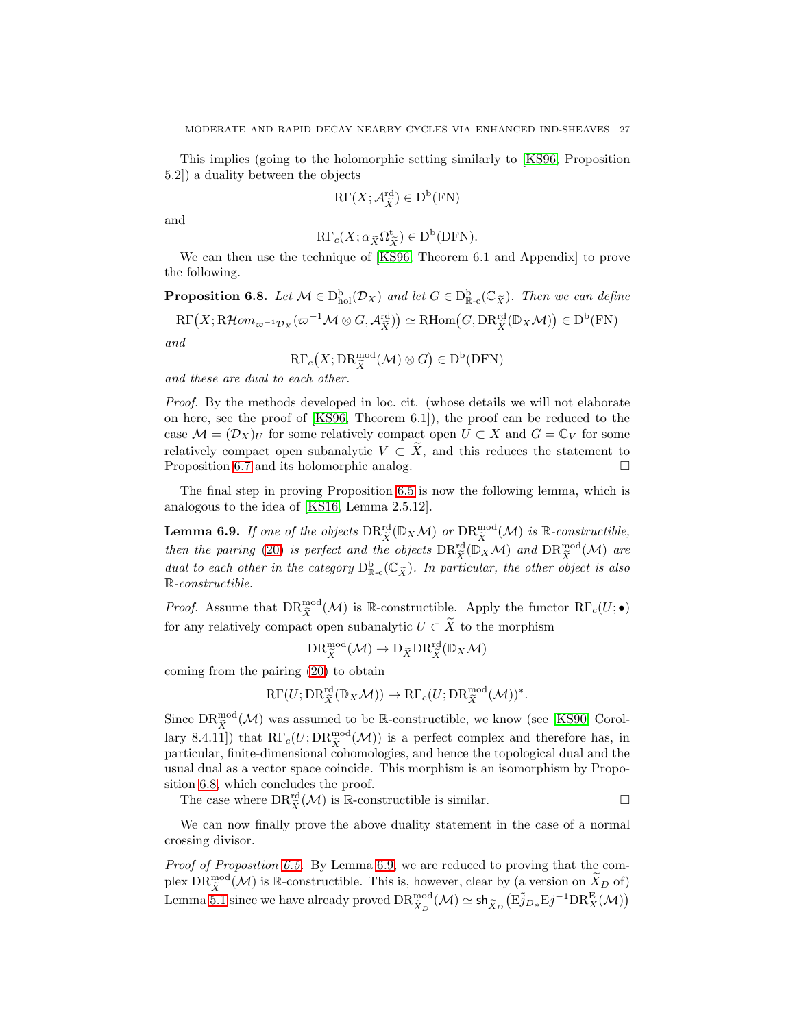This implies (going to the holomorphic setting similarly to [\[KS96,](#page-29-11) Proposition 5.2]) a duality between the objects

$$
\mathrm{R}\Gamma(X;\mathcal{A}_{\widetilde{X}}^{\mathrm{rd}})\in\mathrm{D}^{\mathrm{b}}(\mathrm{FN})
$$

and

$$
\mathrm{R}\Gamma_c(X;\alpha_{\widetilde{X}}\Omega_{\widetilde{X}}^{\mathrm{t}})\in\mathrm{D}^{\mathrm{b}}(\mathrm{D}\mathrm{F}\mathrm{N}).
$$

We can then use the technique of [\[KS96,](#page-29-11) Theorem 6.1 and Appendix] to prove the following.

<span id="page-26-0"></span>**Proposition 6.8.** Let  $M \in D_{hol}^b(\mathcal{D}_X)$  and let  $G \in D_{\mathbb{R}-c}^b(\mathbb{C}_{\widetilde{X}})$ . Then we can define  $\mathrm{R}\Gamma\left(X;\mathrm{R}\mathcal{H} om_{\varpi^{-1}\mathcal{D}_X}(\varpi^{-1}\mathcal{M}\otimes G,\mathcal{A}_{\widetilde{X}}^{\mathrm{rd}})\right)\simeq \mathrm{R}\mathrm{Hom}\big(G,\mathrm{DR}^{\mathrm{rd}}_{\widetilde{X}}(\mathbb{D}_X\mathcal{M})\big)\in \mathrm{D}^{\mathrm{b}}(\mathrm{FN})$ *and*

$$
\mathrm{R}\Gamma_c(X;\mathrm{DR}^{\mathrm{mod}}_{\widetilde{X}}(\mathcal{M})\otimes G)\in\mathrm{D}^{\mathrm{b}}(\mathrm{D}\mathrm{F}\mathrm{N})
$$

*and these are dual to each other.*

*Proof.* By the methods developed in loc. cit. (whose details we will not elaborate on here, see the proof of [\[KS96,](#page-29-11) Theorem 6.1]), the proof can be reduced to the case  $\mathcal{M} = (\mathcal{D}_X)_U$  for some relatively compact open  $U \subset X$  and  $G = \mathbb{C}_V$  for some relatively compact open subanalytic  $V \subset \tilde{X}$ , and this reduces the statement to Proposition 6.7 and its holomorphic analog. Proposition [6.7](#page-25-0) and its holomorphic analog.

The final step in proving Proposition [6.5](#page-23-1) is now the following lemma, which is analogous to the idea of [\[KS16,](#page-29-10) Lemma 2.5.12].

<span id="page-26-1"></span>**Lemma 6.9.** If one of the objects  $DR_{\tilde{X}}^{rd}(\mathbb{D}_X \mathcal{M})$  or  $DR_{\tilde{X}}^{mod}(\mathcal{M})$  is  $\mathbb{R}$ -constructible, *then the pairing* [\(20\)](#page-25-1) *is perfect and the objects*  $DR_{\tilde{X}}^{rd}(\mathbb{D}_X \mathcal{M})$  *and*  $DR_{\tilde{X}}^{mod}(\mathcal{M})$  *are dual to each other in the category*  $D_{\mathbb{R}_c}^{\mathbf{b}}(\mathbb{C}_{\widetilde{X}})$ *. In particular, the other object is also* R*-constructible.*

*Proof.* Assume that  $DR_{\tilde{X}}^{\text{mod}}(\mathcal{M})$  is R-constructible. Apply the functor  $R\Gamma_c(U; \bullet)$ for any relatively compact open subanalytic  $U \subset \widetilde{X}$  to the morphism

$$
\text{DR}^{\text{mod}}_{\widetilde{X}}(\mathcal{M}) \to \text{D}_{\widetilde{X}}\text{DR}^{\text{rd}}_{\widetilde{X}}(\mathbb{D}_X\mathcal{M})
$$

coming from the pairing [\(20\)](#page-25-1) to obtain

$$
\mathrm{R}\Gamma(U; \mathrm{DR}^{\mathrm{rd}}_{\widetilde{X}}(\mathbb{D}_X \mathcal{M})) \to \mathrm{R}\Gamma_c(U; \mathrm{DR}^{\mathrm{mod}}_{\widetilde{X}}(\mathcal{M}))^*.
$$

Since  $\text{DR}^{\text{mod}}_{\tilde{X}}(\mathcal{M})$  was assumed to be R-constructible, we know (see [\[KS90,](#page-29-12) Corollary 8.4.11]) that  $R\Gamma_c(U;DR_{\tilde{X}}^{\text{mod}}(\mathcal{M}))$  is a perfect complex and therefore has, in particular, finite-dimensional cohomologies, and hence the topological dual and the usual dual as a vector space coincide. This morphism is an isomorphism by Proposition [6.8,](#page-26-0) which concludes the proof.

The case where  $DR_{\tilde{X}}^{\text{rd}}(\mathcal{M})$  is R-constructible is similar.

We can now finally prove the above duality statement in the case of a normal crossing divisor.

*Proof of Proposition [6.5.](#page-23-1)* By Lemma [6.9,](#page-26-1) we are reduced to proving that the complex  $DR_{\tilde{X}}^{\text{mod}}(\mathcal{M})$  is R-constructible. This is, however, clear by (a version on  $\tilde{X}_D$  of) Lemma [5.1](#page-19-3) since we have already proved  $\text{DR}_{\tilde{X}_D}^{\text{mod}}(\mathcal{M}) \simeq \text{sh}_{\tilde{X}_D}(\text{E} \tilde{j}_{D*} \text{E} j^{-1} \text{DR}_X^{\text{E}}(\mathcal{M}))$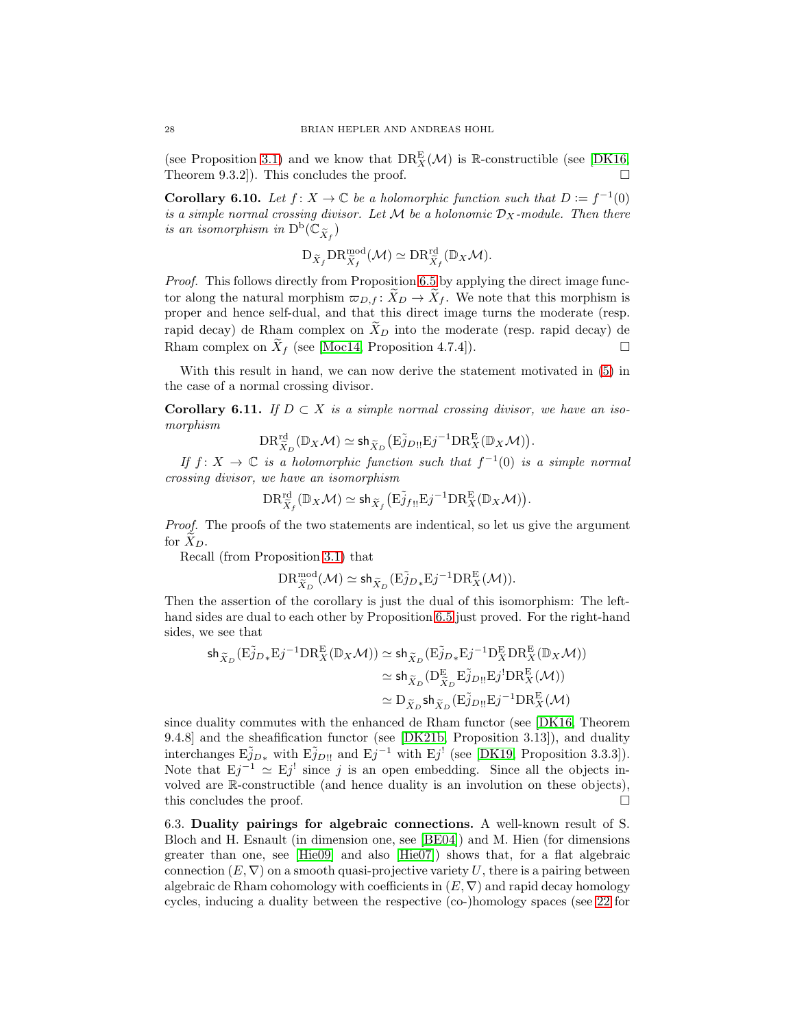(see Proposition [3.1\)](#page-10-0) and we know that  $DR_X^E(\mathcal{M})$  is R-constructible (see [\[DK16,](#page-29-1) Theorem 9.3.2]). This concludes the proof.  $\square$ 

**Corollary 6.10.** Let  $f: X \to \mathbb{C}$  be a holomorphic function such that  $D := f^{-1}(0)$ *is a simple normal crossing divisor. Let*  $M$  *be a holonomic*  $D_X$ -module. Then there *is an isomorphism in*  $D^b(\mathbb{C}_{\widetilde{X}_f})$ 

$$
\mathrm{D}_{\widetilde{X}_f} \mathrm{DR}^{\mathrm{mod}}_{\widetilde{X}_f}(\mathcal{M}) \simeq \mathrm{DR}^{\mathrm{rd}}_{\widetilde{X}_f}(\mathbb{D}_X \mathcal{M}).
$$

*Proof.* This follows directly from Proposition [6.5](#page-23-1) by applying the direct image functor along the natural morphism  $\varpi_{D,f} : X_D \to X_f$ . We note that this morphism is proper and hence self-dual, and that this direct image turns the moderate (resp. rapid decay) de Rham complex on  $\widetilde{X}_D$  into the moderate (resp. rapid decay) de Rham complex on  $\widetilde{X}_f$  (see [\[Moc14,](#page-29-19) Proposition 4.7.4]).

With this result in hand, we can now derive the statement motivated in [\(5\)](#page-16-1) in the case of a normal crossing divisor.

<span id="page-27-1"></span>**Corollary 6.11.** *If*  $D \subset X$  *is a simple normal crossing divisor, we have an isomorphism*

$$
\mathrm{DR}^{\mathrm{rd}}_{\widetilde{X}_D}(\mathbb{D}_X\mathcal{M})\simeq \mathsf{sh}_{\widetilde{X}_D}\big(\mathrm{E}\widetilde{j}_{D!!}\mathrm{E}j^{-1}\mathrm{DR}^\mathrm{E}_X(\mathbb{D}_X\mathcal{M})\big).
$$

*If*  $f: X \to \mathbb{C}$  *is a holomorphic function such that*  $f^{-1}(0)$  *is a simple normal crossing divisor, we have an isomorphism*

$$
\mathrm{DR}^{\mathrm{rd}}_{\widetilde{X}_f}(\mathbb{D}_X\mathcal{M})\simeq \mathsf{sh}_{\widetilde{X}_f}\big(\mathrm{E}\widetilde{j}_{f!!}\mathrm{E}j^{-1}\mathrm{DR}^{\mathrm{E}}_X(\mathbb{D}_X\mathcal{M})\big).
$$

*Proof.* The proofs of the two statements are indentical, so let us give the argument for  $X_D$ .

Recall (from Proposition [3.1\)](#page-10-0) that

$$
\mathrm{DR}^{\mathrm{mod}}_{\widetilde{X}_D}(\mathcal{M})\simeq \mathrm{sh}_{\widetilde{X}_D}(\mathrm{E}\widetilde{j}_{D*}\mathrm{E}j^{-1}\mathrm{DR}^\mathrm{E}_X(\mathcal{M})).
$$

Then the assertion of the corollary is just the dual of this isomorphism: The lefthand sides are dual to each other by Proposition [6.5](#page-23-1) just proved. For the right-hand sides, we see that

$$
\begin{split} \mathsf{sh}_{\widetilde{X}_D}(\mathrm{E} \widetilde{j}_{D*}\mathrm{E} j^{-1} \mathrm{DR}^\mathrm{E}_X(\mathbb{D}_X \mathcal{M})) &\simeq \mathsf{sh}_{\widetilde{X}_D}(\mathrm{E} \widetilde{j}_{D*}\mathrm{E} j^{-1} \mathrm{D}^\mathrm{E}_X \mathrm{DR}^\mathrm{E}_X(\mathbb{D}_X \mathcal{M})) \\ &\simeq \mathsf{sh}_{\widetilde{X}_D}(\mathrm{D}^\mathrm{E}_{\widetilde{X}_D} \mathrm{E} \widetilde{j}_{D\mathrm{II}} \mathrm{E} j^! \mathrm{DR}^\mathrm{E}_X(\mathcal{M})) \\ &\simeq \mathrm{D}_{\widetilde{X}_D} \mathsf{sh}_{\widetilde{X}_D}(\mathrm{E} \widetilde{j}_{D\mathrm{II}} \mathrm{E} j^{-1} \mathrm{DR}^\mathrm{E}_X(\mathcal{M})) \end{split}
$$

since duality commutes with the enhanced de Rham functor (see [\[DK16,](#page-29-1) Theorem 9.4.8] and the sheafification functor (see [\[DK21b,](#page-29-15) Proposition 3.13]), and duality interchanges  $E\tilde{j}_{D*}$  with  $E\tilde{j}_{D!!}$  and  $Ej^{-1}$  with  $Ej'$  (see [\[DK19,](#page-29-21) Proposition 3.3.3]). Note that  $Ej^{-1} \simeq Ej^!$  since j is an open embedding. Since all the objects involved are R-constructible (and hence duality is an involution on these objects), this concludes the proof.

<span id="page-27-0"></span>6.3. Duality pairings for algebraic connections. A well-known result of S. Bloch and H. Esnault (in dimension one, see [\[BE04\]](#page-28-4)) and M. Hien (for dimensions greater than one, see [\[Hie09\]](#page-29-13) and also  $[He07]$  shows that, for a flat algebraic connection  $(E, \nabla)$  on a smooth quasi-projective variety U, there is a pairing between algebraic de Rham cohomology with coefficients in  $(E, \nabla)$  and rapid decay homology cycles, inducing a duality between the respective (co-)homology spaces (see [22](#page-28-5) for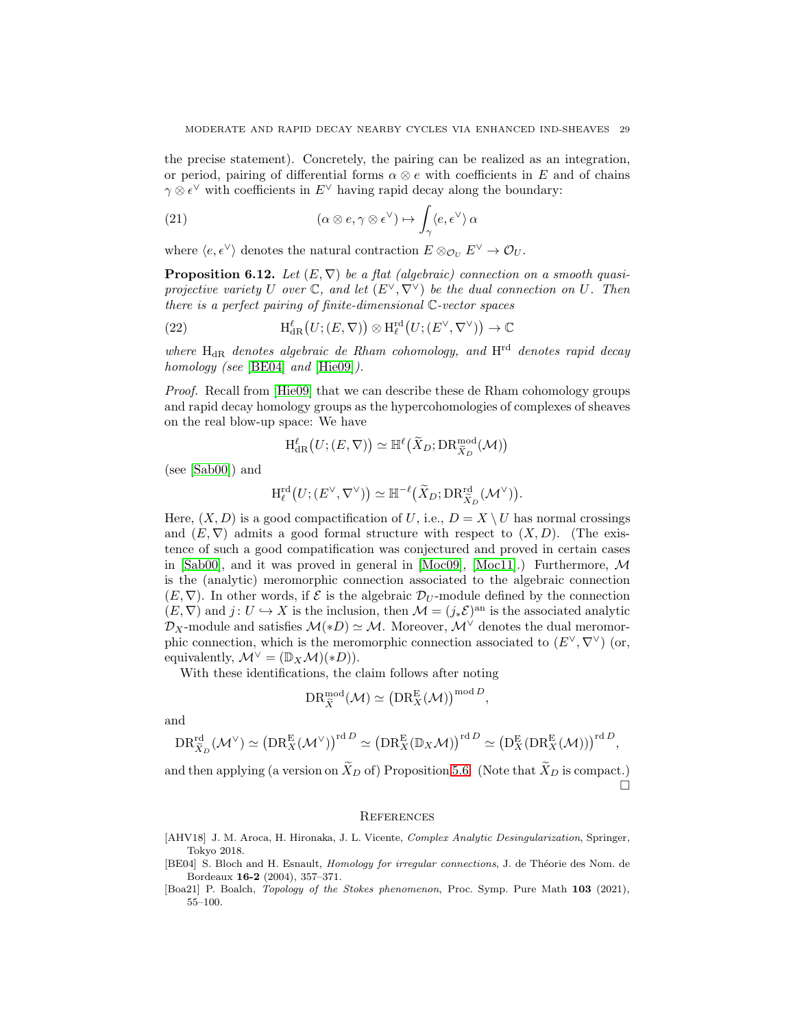the precise statement). Concretely, the pairing can be realized as an integration, or period, pairing of differential forms  $\alpha \otimes e$  with coefficients in E and of chains  $\gamma \otimes \epsilon^{\vee}$  with coefficients in  $E^{\vee}$  having rapid decay along the boundary:

(21) 
$$
(\alpha \otimes e, \gamma \otimes \epsilon^{\vee}) \mapsto \int_{\gamma} \langle e, \epsilon^{\vee} \rangle \, \alpha
$$

where  $\langle e, \epsilon^{\vee} \rangle$  denotes the natural contraction  $E \otimes_{\mathcal{O}_U} E^{\vee} \to \mathcal{O}_U$ .

<span id="page-28-2"></span>**Proposition 6.12.** Let  $(E, \nabla)$  be a flat (algebraic) connection on a smooth quasi*projective variety* U *over*  $\mathbb{C}$ *, and let*  $(E^{\vee}, \nabla^{\vee})$  *be the dual connection on* U. Then *there is a perfect pairing of finite-dimensional* C*-vector spaces*

<span id="page-28-5"></span>(22) 
$$
H_{\text{dR}}^{\ell}(U;(E,\nabla)) \otimes H_{\ell}^{\text{rd}}(U;(E^{\vee},\nabla^{\vee})) \to \mathbb{C}
$$

*where* HdR *denotes algebraic de Rham cohomology, and* Hrd *denotes rapid decay homology (see* [\[BE04\]](#page-28-4) *and* [\[Hie09\]](#page-29-13)*).*

*Proof.* Recall from [\[Hie09\]](#page-29-13) that we can describe these de Rham cohomology groups and rapid decay homology groups as the hypercohomologies of complexes of sheaves on the real blow-up space: We have

$$
\mathrm{H}^{\ell}_{\operatorname{dR}}\big(U; (E, \nabla)\big) \simeq \mathbb{H}^{\ell}\big(\widetilde{X}_{D}; \operatorname{DR}^{\operatorname{mod}}_{\widetilde{X}_{D}}(\mathcal{M})\big)
$$

(see [\[Sab00\]](#page-29-20)) and

$$
\textnormal{H}^{\textnormal{rd}}_{\ell}\big(U; (E^\vee,\nabla^\vee)\big) \simeq \mathbb{H}^{-\ell}\big(\widetilde{X}_D; \textnormal{DR}^{\textnormal{rd}}_{\widetilde{X}_D}(\mathcal{M}^\vee)\big).
$$

Here,  $(X, D)$  is a good compactification of U, i.e.,  $D = X \setminus U$  has normal crossings and  $(E, \nabla)$  admits a good formal structure with respect to  $(X, D)$ . (The existence of such a good compatification was conjectured and proved in certain cases in [\[Sab00\]](#page-29-20), and it was proved in general in [\[Moc09\]](#page-29-28), [\[Moc11\]](#page-29-29).) Furthermore,  $\mathcal{M}$ is the (analytic) meromorphic connection associated to the algebraic connection  $(E, \nabla)$ . In other words, if  $\mathcal E$  is the algebraic  $\mathcal D_U$ -module defined by the connection  $(E, \nabla)$  and  $j: U \hookrightarrow X$  is the inclusion, then  $\mathcal{M} = (j_* \mathcal{E})^{\text{an}}$  is the associated analytic  $\mathcal{D}_X$ -module and satisfies  $\mathcal{M}(*D) \simeq \mathcal{M}$ . Moreover,  $\mathcal{M}^{\vee}$  denotes the dual meromorphic connection, which is the meromorphic connection associated to  $(E^{\vee}, \nabla^{\vee})$  (or, equivalently,  $\mathcal{M}^{\vee} = (\mathbb{D}_X \mathcal{M})(*D)).$ 

With these identifications, the claim follows after noting

$$
\mathrm{DR}^{\mathrm{mod}}_{\widetilde{X}}(\mathcal{M}) \simeq \left(\mathrm{DR}^{\mathrm{E}}_{X}(\mathcal{M})\right)^{\mathrm{mod} D},
$$

and

$$
\mathrm{DR}^{\mathrm{rd}}_{\widetilde{X}_D}(\mathcal{M}^\vee) \simeq \left(\mathrm{DR}^{\mathrm{E}}_X(\mathcal{M}^\vee)\right)^{\mathrm{rd}\,D} \simeq \left(\mathrm{DR}^{\mathrm{E}}_X(\mathbb{D}_X\mathcal{M})\right)^{\mathrm{rd}\,D} \simeq \left(\mathrm{D}^{\mathrm{E}}_X(\mathrm{DR}^{\mathrm{E}}_X(\mathcal{M}))\right)^{\mathrm{rd}\,D},
$$

and then applying (a version on  $\widetilde{X}_D$  of) Proposition [5.6.](#page-22-2) (Note that  $\widetilde{X}_D$  is compact.)  $\Box$ 

## <span id="page-28-0"></span>**REFERENCES**

- <span id="page-28-3"></span>[AHV18] J. M. Aroca, H. Hironaka, J. L. Vicente, *Complex Analytic Desingularization*, Springer, Tokyo 2018.
- <span id="page-28-4"></span>[BE04] S. Bloch and H. Esnault, *Homology for irregular connections*, J. de Théorie des Nom. de Bordeaux 16-2 (2004), 357–371.
- <span id="page-28-1"></span>[Boa21] P. Boalch, Topology of the Stokes phenomenon, Proc. Symp. Pure Math 103 (2021), 55–100.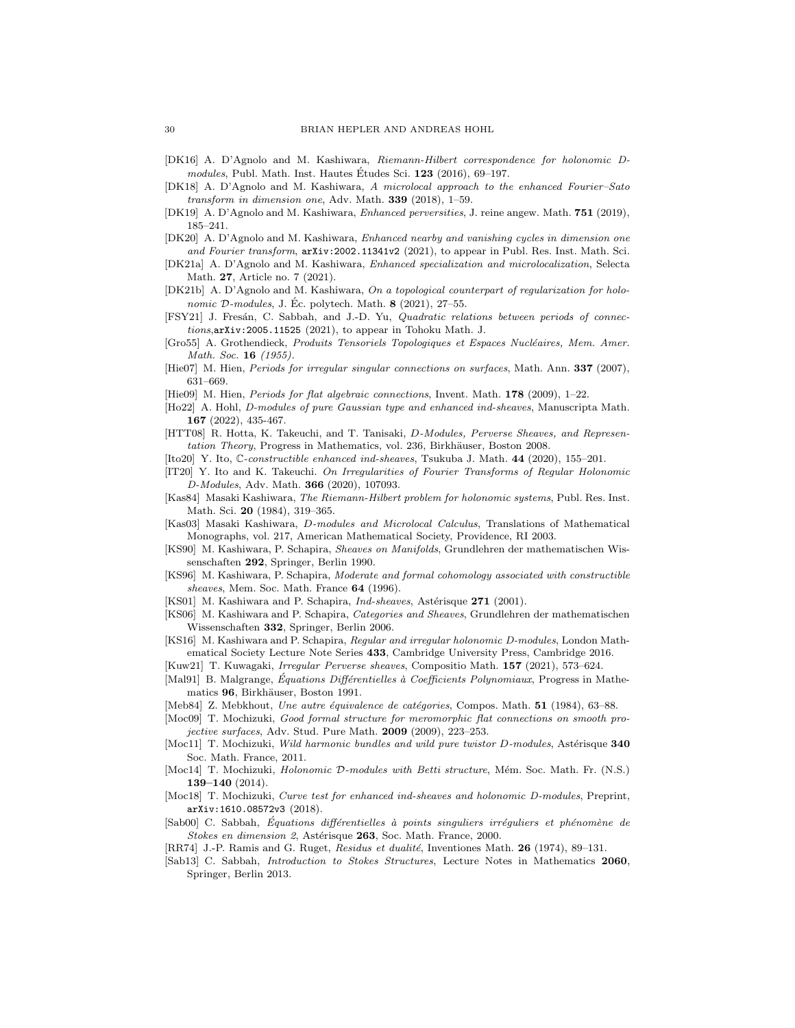- <span id="page-29-1"></span>[DK16] A. D'Agnolo and M. Kashiwara, Riemann-Hilbert correspondence for holonomic Dmodules, Publ. Math. Inst. Hautes Études Sci.  $123$  (2016), 69–197.
- <span id="page-29-9"></span>[DK18] A. D'Agnolo and M. Kashiwara, A microlocal approach to the enhanced Fourier–Sato transform in dimension one, Adv. Math.  $339$  (2018), 1–59.
- <span id="page-29-21"></span>[DK19] A. D'Agnolo and M. Kashiwara, Enhanced perversities, J. reine angew. Math. 751 (2019), 185–241.
- <span id="page-29-8"></span>[DK20] A. D'Agnolo and M. Kashiwara, Enhanced nearby and vanishing cycles in dimension one and Fourier transform, arXiv:2002.11341v2 (2021), to appear in Publ. Res. Inst. Math. Sci.
- [DK21a] A. D'Agnolo and M. Kashiwara, Enhanced specialization and microlocalization, Selecta Math. 27, Article no. 7 (2021).
- <span id="page-29-15"></span>[DK21b] A. D'Agnolo and M. Kashiwara, On a topological counterpart of regularization for holonomic  $D$ -modules, J. Ec. polytech. Math.  $\bf{8}$  (2021), 27–55.
- <span id="page-29-23"></span>[FSY21] J. Fresán, C. Sabbah, and J.-D. Yu, Quadratic relations between periods of connections,arXiv:2005.11525 (2021), to appear in Tohoku Math. J.
- <span id="page-29-24"></span>[Gro55] A. Grothendieck, Produits Tensoriels Topologiques et Espaces Nucléaires, Mem. Amer. Math. Soc. 16 (1955).
- <span id="page-29-27"></span>[Hie07] M. Hien, *Periods for irregular singular connections on surfaces*, Math. Ann. **337** (2007), 631–669.
- <span id="page-29-13"></span>[Hie09] M. Hien, Periods for flat algebraic connections, Invent. Math. 178 (2009), 1–22.
- <span id="page-29-26"></span>[Ho22] A. Hohl, D-modules of pure Gaussian type and enhanced ind-sheaves, Manuscripta Math. 167 (2022), 435-467.
- <span id="page-29-18"></span>[HTT08] R. Hotta, K. Takeuchi, and T. Tanisaki, D-Modules, Perverse Sheaves, and Representation Theory, Progress in Mathematics, vol. 236, Birkhäuser, Boston 2008.
- <span id="page-29-4"></span>[Ito20] Y. Ito, C-constructible enhanced ind-sheaves, Tsukuba J. Math. 44 (2020), 155–201.
- <span id="page-29-22"></span>[IT20] Y. Ito and K. Takeuchi. On Irregularities of Fourier Transforms of Regular Holonomic D-Modules, Adv. Math. 366 (2020), 107093.
- <span id="page-29-2"></span>[Kas84] Masaki Kashiwara, The Riemann-Hilbert problem for holonomic systems, Publ. Res. Inst. Math. Sci. 20 (1984), 319–365.
- <span id="page-29-17"></span>[Kas03] Masaki Kashiwara, D-modules and Microlocal Calculus, Translations of Mathematical Monographs, vol. 217, American Mathematical Society, Providence, RI 2003.
- <span id="page-29-12"></span>[KS90] M. Kashiwara, P. Schapira, Sheaves on Manifolds, Grundlehren der mathematischen Wissenschaften 292, Springer, Berlin 1990.
- <span id="page-29-11"></span>[KS96] M. Kashiwara, P. Schapira, Moderate and formal cohomology associated with constructible sheaves, Mem. Soc. Math. France 64 (1996).
- <span id="page-29-0"></span>[KS01] M. Kashiwara and P. Schapira, Ind-sheaves, Astérisque 271 (2001).
- <span id="page-29-14"></span>[KS06] M. Kashiwara and P. Schapira, Categories and Sheaves, Grundlehren der mathematischen Wissenschaften 332, Springer, Berlin 2006.
- <span id="page-29-10"></span>[KS16] M. Kashiwara and P. Schapira, Regular and irregular holonomic D-modules, London Mathematical Society Lecture Note Series 433, Cambridge University Press, Cambridge 2016.
- <span id="page-29-5"></span>[Kuw21] T. Kuwagaki, Irregular Perverse sheaves, Compositio Math. 157 (2021), 573–624.
- <span id="page-29-6"></span>[Mal91] B. Malgrange, *Équations Différentielles à Coefficients Polynomiaux*, Progress in Mathematics 96, Birkhäuser, Boston 1991.
- <span id="page-29-3"></span>[Meb84] Z. Mebkhout, Une autre équivalence de catégories, Compos. Math. 51 (1984), 63-88.
- <span id="page-29-28"></span>[Moc09] T. Mochizuki, Good formal structure for meromorphic flat connections on smooth projective surfaces, Adv. Stud. Pure Math. 2009 (2009), 223–253.
- <span id="page-29-29"></span>[Moc11] T. Mochizuki, Wild harmonic bundles and wild pure twistor D-modules, Astérisque 340 Soc. Math. France, 2011.
- <span id="page-29-19"></span>[Moc14] T. Mochizuki, *Holonomic D-modules with Betti structure*, Mém. Soc. Math. Fr. (N.S.) 139–140 (2014).
- <span id="page-29-16"></span>[Moc18] T. Mochizuki, *Curve test for enhanced ind-sheaves and holonomic D-modules*, Preprint, arXiv:1610.08572v3 (2018).
- <span id="page-29-20"></span>[Sab00] C. Sabbah, Équations différentielles à points singuliers irréguliers et phénomène de Stokes en dimension 2, Astérisque 263, Soc. Math. France, 2000.
- <span id="page-29-25"></span>[RR74] J.-P. Ramis and G. Ruget, Residus et dualité, Inventiones Math. 26 (1974), 89–131.
- <span id="page-29-7"></span>[Sab13] C. Sabbah, Introduction to Stokes Structures, Lecture Notes in Mathematics 2060, Springer, Berlin 2013.